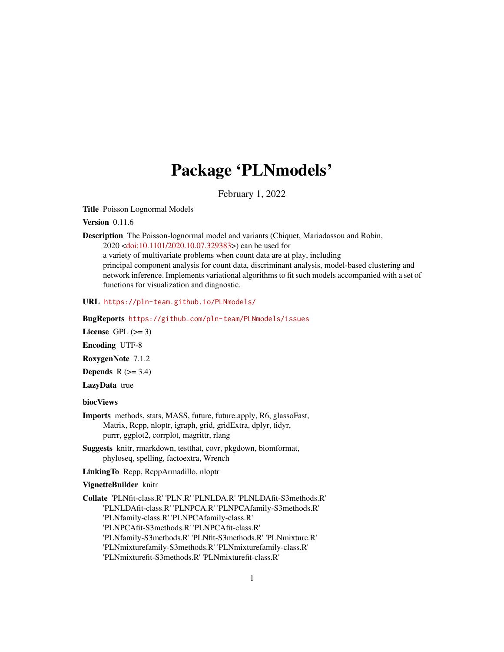# Package 'PLNmodels'

February 1, 2022

<span id="page-0-0"></span>Title Poisson Lognormal Models

Version 0.11.6

Description The Poisson-lognormal model and variants (Chiquet, Mariadassou and Robin, 2020 [<doi:10.1101/2020.10.07.329383>](https://doi.org/10.1101/2020.10.07.329383)) can be used for a variety of multivariate problems when count data are at play, including principal component analysis for count data, discriminant analysis, model-based clustering and network inference. Implements variational algorithms to fit such models accompanied with a set of functions for visualization and diagnostic.

URL <https://pln-team.github.io/PLNmodels/>

BugReports <https://github.com/pln-team/PLNmodels/issues>

License GPL  $(>= 3)$ 

Encoding UTF-8

RoxygenNote 7.1.2

Depends  $R$  ( $>= 3.4$ )

LazyData true

## biocViews

Imports methods, stats, MASS, future, future.apply, R6, glassoFast, Matrix, Rcpp, nloptr, igraph, grid, gridExtra, dplyr, tidyr, purrr, ggplot2, corrplot, magrittr, rlang

Suggests knitr, rmarkdown, testthat, covr, pkgdown, biomformat, phyloseq, spelling, factoextra, Wrench

LinkingTo Rcpp, RcppArmadillo, nloptr

## VignetteBuilder knitr

Collate 'PLNfit-class.R' 'PLN.R' 'PLNLDA.R' 'PLNLDAfit-S3methods.R' 'PLNLDAfit-class.R' 'PLNPCA.R' 'PLNPCAfamily-S3methods.R' 'PLNfamily-class.R' 'PLNPCAfamily-class.R' 'PLNPCAfit-S3methods.R' 'PLNPCAfit-class.R' 'PLNfamily-S3methods.R' 'PLNfit-S3methods.R' 'PLNmixture.R' 'PLNmixturefamily-S3methods.R' 'PLNmixturefamily-class.R' 'PLNmixturefit-S3methods.R' 'PLNmixturefit-class.R'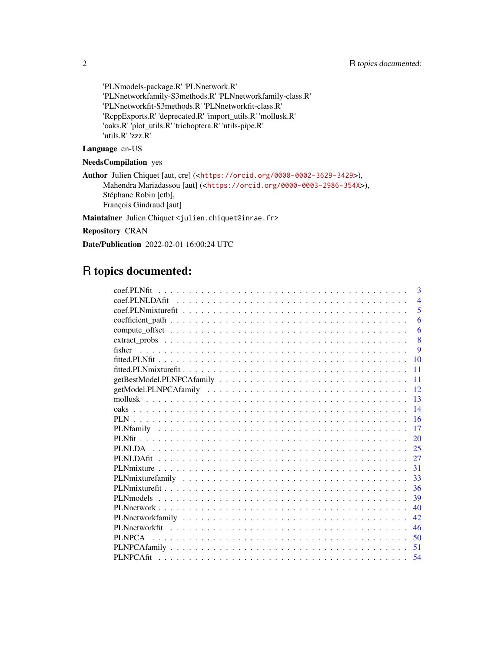'PLNmodels-package.R' 'PLNnetwork.R' 'PLNnetworkfamily-S3methods.R' 'PLNnetworkfamily-class.R' 'PLNnetworkfit-S3methods.R' 'PLNnetworkfit-class.R' 'RcppExports.R' 'deprecated.R' 'import\_utils.R' 'mollusk.R' 'oaks.R' 'plot\_utils.R' 'trichoptera.R' 'utils-pipe.R' 'utils.R' 'zzz.R'

## Language en-US

## NeedsCompilation yes

Author Julien Chiquet [aut, cre] (<<https://orcid.org/0000-0002-3629-3429>>), Mahendra Mariadassou [aut] (<<https://orcid.org/0000-0003-2986-354X>>), Stéphane Robin [ctb], François Gindraud [aut]

Maintainer Julien Chiquet <julien.chiquet@inrae.fr>

Repository CRAN

Date/Publication 2022-02-01 16:00:24 UTC

# R topics documented:

| coef.PLNfit<br>3       |
|------------------------|
| $\overline{4}$         |
| 5                      |
| 6                      |
| 6                      |
| 8                      |
| $\mathbf{Q}$<br>fisher |
| 10                     |
| 11                     |
| 11                     |
| 12                     |
| 13                     |
| 14                     |
| 16                     |
| 17                     |
| 20                     |
| 25                     |
| 27                     |
| 31                     |
| 33                     |
| 36                     |
| 39                     |
| 40                     |
| 42.                    |
| 46                     |
| 50                     |
| 51                     |
| 54                     |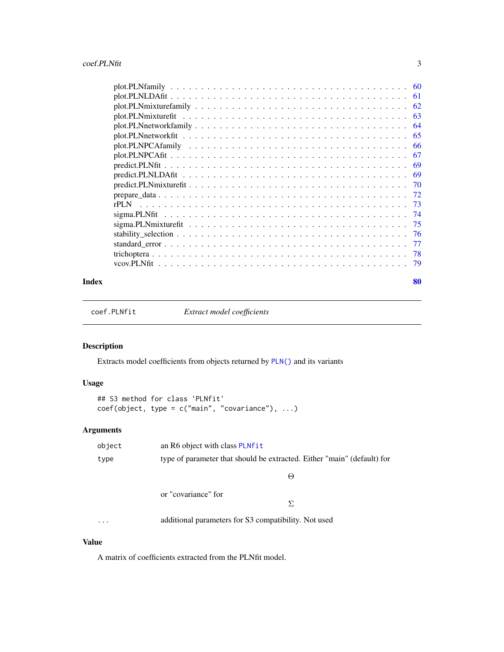<span id="page-2-0"></span>

|                                                                                                                    | -61 |
|--------------------------------------------------------------------------------------------------------------------|-----|
|                                                                                                                    | 62  |
|                                                                                                                    | 63  |
| $plot.PLNnetwork family \dots \dots \dots \dots \dots \dots \dots \dots \dots \dots \dots \dots \dots \dots \dots$ | 64  |
|                                                                                                                    | 65  |
|                                                                                                                    | -66 |
|                                                                                                                    | 67  |
|                                                                                                                    | 69  |
|                                                                                                                    | -69 |
|                                                                                                                    | -70 |
|                                                                                                                    | -72 |
| rPLN                                                                                                               | -73 |
|                                                                                                                    | -74 |
|                                                                                                                    | -75 |
|                                                                                                                    |     |
|                                                                                                                    | -77 |
|                                                                                                                    | 78  |
|                                                                                                                    | -79 |

#### $\blacksquare$  Index  $\blacksquare$

coef.PLNfit *Extract model coefficients*

## Description

Extracts model coefficients from objects returned by [PLN\(\)](#page-15-1) and its variants

## Usage

```
## S3 method for class 'PLNfit'
coef(object, type = c("main", "covariance"), ...)
```
## Arguments

| object   | an R6 object with class PLNfit                                          |
|----------|-------------------------------------------------------------------------|
| type     | type of parameter that should be extracted. Either "main" (default) for |
|          | $\Theta$                                                                |
|          | or "covariance" for                                                     |
|          | Σ.                                                                      |
| $\cdots$ | additional parameters for S3 compatibility. Not used                    |

## Value

A matrix of coefficients extracted from the PLNfit model.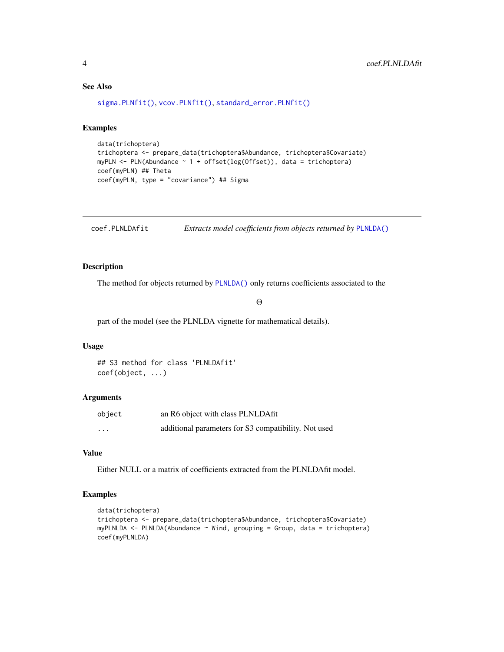## See Also

[sigma.PLNfit\(\)](#page-73-1), [vcov.PLNfit\(\)](#page-78-1), [standard\\_error.PLNfit\(\)](#page-76-1)

#### Examples

```
data(trichoptera)
trichoptera <- prepare_data(trichoptera$Abundance, trichoptera$Covariate)
myPLN <- PLN(Abundance ~ 1 + offset(log(Offset)), data = trichoptera)
coef(myPLN) ## Theta
coef(myPLN, type = "covariance") ## Sigma
```
coef.PLNLDAfit *Extracts model coefficients from objects returned by* [PLNLDA\(\)](#page-24-1)

## Description

The method for objects returned by [PLNLDA\(\)](#page-24-1) only returns coefficients associated to the

Θ

part of the model (see the PLNLDA vignette for mathematical details).

#### Usage

## S3 method for class 'PLNLDAfit' coef(object, ...)

#### Arguments

| object                  | an R6 object with class PLNLDAfit                    |
|-------------------------|------------------------------------------------------|
| $\cdot$ $\cdot$ $\cdot$ | additional parameters for S3 compatibility. Not used |

## Value

Either NULL or a matrix of coefficients extracted from the PLNLDAfit model.

## Examples

```
data(trichoptera)
trichoptera <- prepare_data(trichoptera$Abundance, trichoptera$Covariate)
myPLNLDA <- PLNLDA(Abundance ~ Wind, grouping = Group, data = trichoptera)
coef(myPLNLDA)
```
<span id="page-3-0"></span>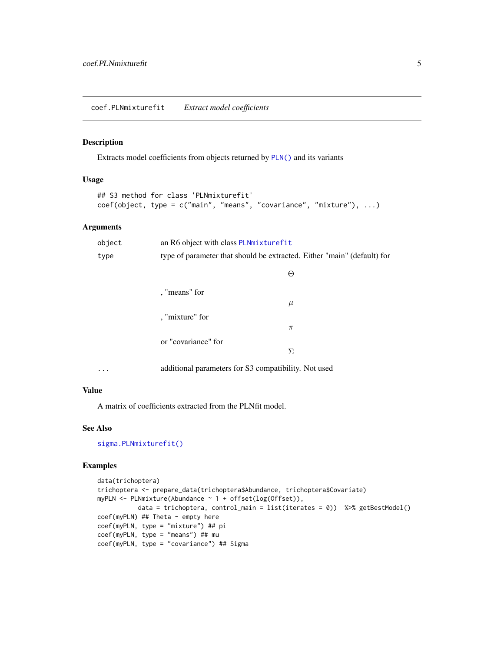#### <span id="page-4-0"></span>Description

Extracts model coefficients from objects returned by [PLN\(\)](#page-15-1) and its variants

### Usage

```
## S3 method for class 'PLNmixturefit'
coef(object, type = c("main", "means", "covariance", "mixture"), ...)
```
## Arguments

| object   | an R6 object with class PLNmixturefit                                   |       |
|----------|-------------------------------------------------------------------------|-------|
| type     | type of parameter that should be extracted. Either "main" (default) for |       |
|          |                                                                         | Θ     |
|          | , "means" for                                                           |       |
|          |                                                                         | $\mu$ |
|          | , "mixture" for                                                         |       |
|          |                                                                         | $\pi$ |
|          | or "covariance" for                                                     |       |
|          |                                                                         | Σ     |
| $\cdots$ | additional parameters for S3 compatibility. Not used                    |       |

#### Value

A matrix of coefficients extracted from the PLNfit model.

#### See Also

[sigma.PLNmixturefit\(\)](#page-74-1)

## Examples

```
data(trichoptera)
trichoptera <- prepare_data(trichoptera$Abundance, trichoptera$Covariate)
myPLN <- PLNmixture(Abundance ~ 1 + offset(log(Offset)),
           data = trichoptera, control_main = list(iterates = 0)) %>% getBestModel()
coef(myPLN) ## Theta - empty here
coef(myPLN, type = "mixture") ## pi
coef(myPLN, type = "means") ## mu
coef(myPLN, type = "covariance") ## Sigma
```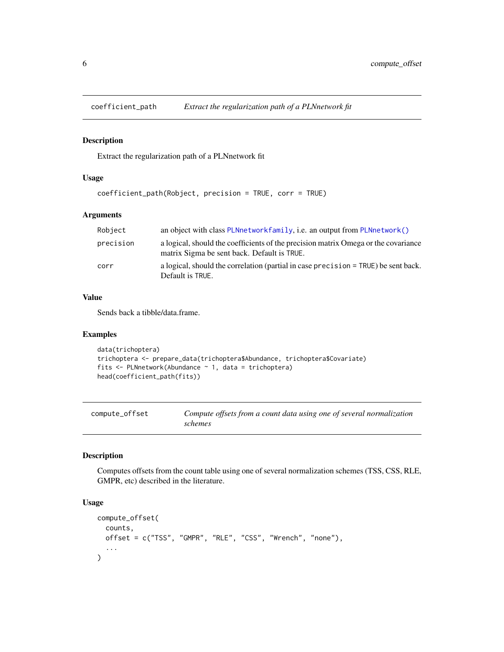<span id="page-5-0"></span>

## Description

Extract the regularization path of a PLNnetwork fit

#### Usage

```
coefficient_path(Robject, precision = TRUE, corr = TRUE)
```
## Arguments

| Robject   | an object with class PLNnetworkfamily, i.e. an output from PLNnetwork()                                                           |
|-----------|-----------------------------------------------------------------------------------------------------------------------------------|
| precision | a logical, should the coefficients of the precision matrix Omega or the covariance<br>matrix Sigma be sent back. Default is TRUE. |
| corr      | a logical, should the correlation (partial in case precision = TRUE) be sent back.<br>Default is TRUE.                            |

#### Value

Sends back a tibble/data.frame.

#### Examples

```
data(trichoptera)
trichoptera <- prepare_data(trichoptera$Abundance, trichoptera$Covariate)
fits \leq PLNnetwork(Abundance \sim 1, data = trichoptera)
head(coefficient_path(fits))
```

| compute_offset | Compute offsets from a count data using one of several normalization |
|----------------|----------------------------------------------------------------------|
|                | schemes                                                              |

## Description

Computes offsets from the count table using one of several normalization schemes (TSS, CSS, RLE, GMPR, etc) described in the literature.

## Usage

```
compute_offset(
  counts,
  offset = c("TSS", "GMPR", "RLE", "CSS", "Wrench", "none"),
  ...
\mathcal{E}
```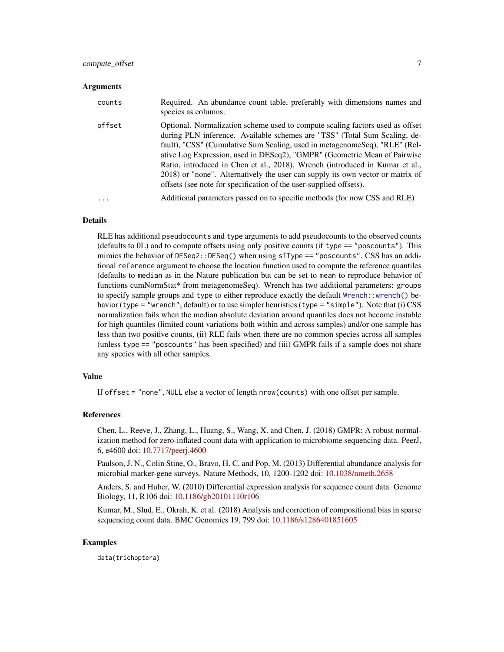#### Arguments

| counts | Required. An abundance count table, preferably with dimensions names and<br>species as columns.                                                                                                                                                                                                                                                                                                                                                                                                                                                               |
|--------|---------------------------------------------------------------------------------------------------------------------------------------------------------------------------------------------------------------------------------------------------------------------------------------------------------------------------------------------------------------------------------------------------------------------------------------------------------------------------------------------------------------------------------------------------------------|
| offset | Optional. Normalization scheme used to compute scaling factors used as offset<br>during PLN inference. Available schemes are "TSS" (Total Sum Scaling, de-<br>fault), "CSS" (Cumulative Sum Scaling, used in metagenomeSeq), "RLE" (Rel-<br>ative Log Expression, used in DESeq2), "GMPR" (Geometric Mean of Pairwise<br>Ratio, introduced in Chen et al., 2018), Wrench (introduced in Kumar et al.,<br>2018) or "none". Alternatively the user can supply its own vector or matrix of<br>offsets (see note for specification of the user-supplied offsets). |
|        | Additional parameters passed on to specific methods (for now CSS and RLE)                                                                                                                                                                                                                                                                                                                                                                                                                                                                                     |

### **Details**

RLE has additional pseudocounts and type arguments to add pseudocounts to the observed counts (defaults to 0L) and to compute offsets using only positive counts (if type == "poscounts"). This mimics the behavior of DESeq2::DESeq() when using sfType == "poscounts". CSS has an additional reference argument to choose the location function used to compute the reference quantiles (defaults to median as in the Nature publication but can be set to mean to reproduce behavior of functions cumNormStat\* from metagenomeSeq). Wrench has two additional parameters: groups to specify sample groups and type to either reproduce exactly the default [Wrench::wrench\(\)](#page-0-0) behavior (type = "wrench", default) or to use simpler heuristics (type = "simple"). Note that (i) CSS normalization fails when the median absolute deviation around quantiles does not become instable for high quantiles (limited count variations both within and across samples) and/or one sample has less than two positive counts, (ii) RLE fails when there are no common species across all samples (unless type == "poscounts" has been specified) and (iii) GMPR fails if a sample does not share any species with all other samples.

#### Value

If offset = "none", NULL else a vector of length nrow(counts) with one offset per sample.

#### **References**

Chen, L., Reeve, J., Zhang, L., Huang, S., Wang, X. and Chen, J. (2018) GMPR: A robust normalization method for zero-inflated count data with application to microbiome sequencing data. PeerJ, 6, e4600 doi: [10.7717/peerj.4600](https://doi.org/10.7717/peerj.4600)

Paulson, J. N., Colin Stine, O., Bravo, H. C. and Pop, M. (2013) Differential abundance analysis for microbial marker-gene surveys. Nature Methods, 10, 1200-1202 doi: [10.1038/nmeth.2658](https://doi.org/10.1038/nmeth.2658)

Anders, S. and Huber, W. (2010) Differential expression analysis for sequence count data. Genome Biology, 11, R106 doi: [10.1186/gb20101110r106](https://doi.org/10.1186/gb-2010-11-10-r106)

Kumar, M., Slud, E., Okrah, K. et al. (2018) Analysis and correction of compositional bias in sparse sequencing count data. BMC Genomics 19, 799 doi: [10.1186/s1286401851605](https://doi.org/10.1186/s12864-018-5160-5)

#### Examples

data(trichoptera)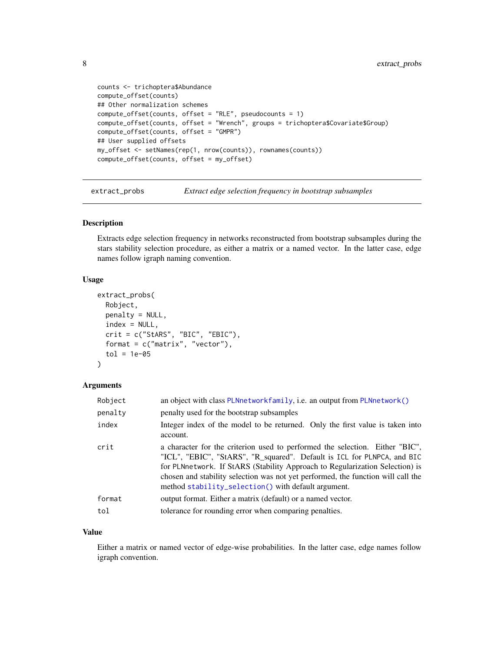```
counts <- trichoptera$Abundance
compute_offset(counts)
## Other normalization schemes
compute_offset(counts, offset = "RLE", pseudocounts = 1)
compute_offset(counts, offset = "Wrench", groups = trichoptera$Covariate$Group)
compute_offset(counts, offset = "GMPR")
## User supplied offsets
my_offset <- setNames(rep(1, nrow(counts)), rownames(counts))
compute_offset(counts, offset = my_offset)
```
extract\_probs *Extract edge selection frequency in bootstrap subsamples*

#### Description

Extracts edge selection frequency in networks reconstructed from bootstrap subsamples during the stars stability selection procedure, as either a matrix or a named vector. In the latter case, edge names follow igraph naming convention.

#### Usage

```
extract_probs(
 Robject,
 penalty = NULL,index = NULL,crit = c("StARS", "BIC", "EBIC"),
  format = c("matrix", "vector"),
  tol = 1e-05)
```
#### **Arguments**

| Robject | an object with class PLNnetworkfamily, i.e. an output from PLNnetwork()                                                                                                                                                                                                                                                                                                            |
|---------|------------------------------------------------------------------------------------------------------------------------------------------------------------------------------------------------------------------------------------------------------------------------------------------------------------------------------------------------------------------------------------|
| penalty | penalty used for the bootstrap subsamples                                                                                                                                                                                                                                                                                                                                          |
| index   | Integer index of the model to be returned. Only the first value is taken into<br>account.                                                                                                                                                                                                                                                                                          |
| crit    | a character for the criterion used to performed the selection. Either "BIC",<br>"ICL", "EBIC", "StARS", "R_squared". Default is ICL for PLNPCA, and BIC<br>for PLNnetwork. If StARS (Stability Approach to Regularization Selection) is<br>chosen and stability selection was not yet performed, the function will call the<br>method stability_selection() with default argument. |
| format  | output format. Either a matrix (default) or a named vector.                                                                                                                                                                                                                                                                                                                        |
| tol     | tolerance for rounding error when comparing penalties.                                                                                                                                                                                                                                                                                                                             |

## Value

Either a matrix or named vector of edge-wise probabilities. In the latter case, edge names follow igraph convention.

<span id="page-7-0"></span>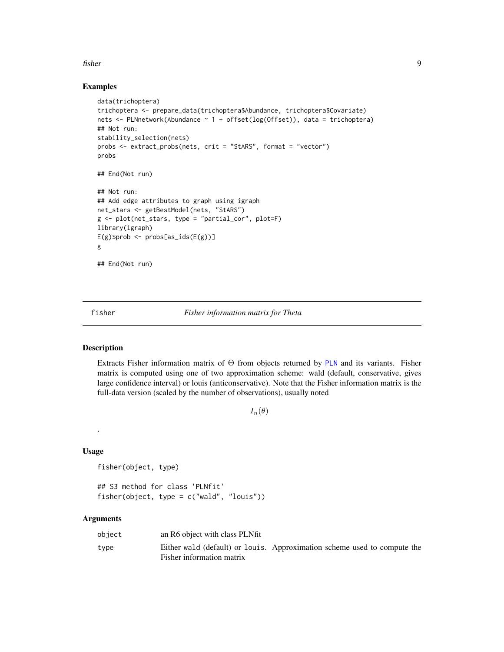#### <span id="page-8-0"></span>fisher 9

#### Examples

```
data(trichoptera)
trichoptera <- prepare_data(trichoptera$Abundance, trichoptera$Covariate)
nets <- PLNnetwork(Abundance ~ 1 + offset(log(Offset)), data = trichoptera)
## Not run:
stability_selection(nets)
probs <- extract_probs(nets, crit = "StARS", format = "vector")
probs
## End(Not run)
## Not run:
## Add edge attributes to graph using igraph
net_stars <- getBestModel(nets, "StARS")
g <- plot(net_stars, type = "partial_cor", plot=F)
library(igraph)
E(g)$prob <- probs[as_ids(E(g))]
g
## End(Not run)
```
fisher *Fisher information matrix for Theta*

## Description

Extracts Fisher information matrix of Θ from objects returned by [PLN](#page-15-1) and its variants. Fisher matrix is computed using one of two approximation scheme: wald (default, conservative, gives large confidence interval) or louis (anticonservative). Note that the Fisher information matrix is the full-data version (scaled by the number of observations), usually noted

```
I_n(\theta)
```
#### Usage

.

fisher(object, type)

## S3 method for class 'PLNfit' fisher(object, type = c("wald", "louis"))

## Arguments

| object | an R6 object with class PLNfit                                                                        |  |  |
|--------|-------------------------------------------------------------------------------------------------------|--|--|
| type   | Either wald (default) or louis. Approximation scheme used to compute the<br>Fisher information matrix |  |  |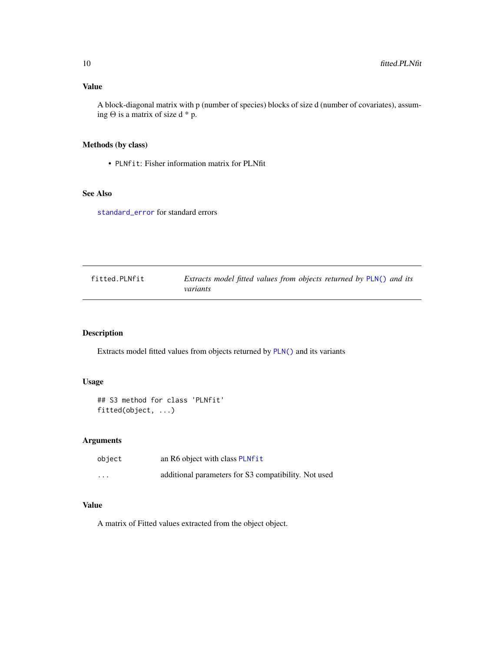<span id="page-9-0"></span>A block-diagonal matrix with p (number of species) blocks of size d (number of covariates), assuming  $\Theta$  is a matrix of size d \* p.

## Methods (by class)

• PLNfit: Fisher information matrix for PLNfit

#### See Also

[standard\\_error](#page-76-1) for standard errors

| fitted.PLNfit | Extracts model fitted values from objects returned by PLN() and its |
|---------------|---------------------------------------------------------------------|
|               | variants                                                            |

## Description

Extracts model fitted values from objects returned by [PLN\(\)](#page-15-1) and its variants

## Usage

```
## S3 method for class 'PLNfit'
fitted(object, ...)
```
## Arguments

| object                  | an R6 object with class PLNfit                       |
|-------------------------|------------------------------------------------------|
| $\cdot$ $\cdot$ $\cdot$ | additional parameters for S3 compatibility. Not used |

## Value

A matrix of Fitted values extracted from the object object.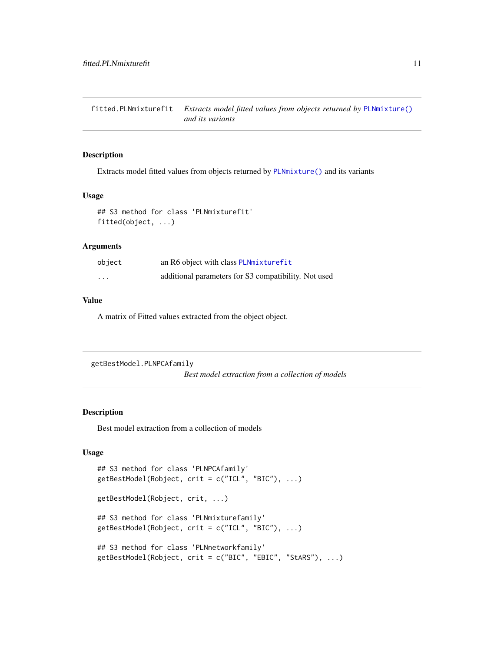<span id="page-10-0"></span>fitted.PLNmixturefit *Extracts model fitted values from objects returned by* [PLNmixture\(\)](#page-30-1) *and its variants*

## Description

Extracts model fitted values from objects returned by [PLNmixture\(\)](#page-30-1) and its variants

#### Usage

```
## S3 method for class 'PLNmixturefit'
fitted(object, ...)
```
#### Arguments

| object                  | an R6 object with class PLNmixturefit                |
|-------------------------|------------------------------------------------------|
| $\cdot$ $\cdot$ $\cdot$ | additional parameters for S3 compatibility. Not used |

## Value

A matrix of Fitted values extracted from the object object.

```
getBestModel.PLNPCAfamily
```
*Best model extraction from a collection of models*

## <span id="page-10-1"></span>Description

Best model extraction from a collection of models

## Usage

```
## S3 method for class 'PLNPCAfamily'
getBestModel(Robject, crit = c("ICL", "BIC"), ...)
getBestModel(Robject, crit, ...)
## S3 method for class 'PLNmixturefamily'
getBestModel(Robject, crit = c("ICL", "BIC"), ...)
## S3 method for class 'PLNnetworkfamily'
getBestModel(Robject, crit = c("BIC", "EBIC", "StARS"), ...)
```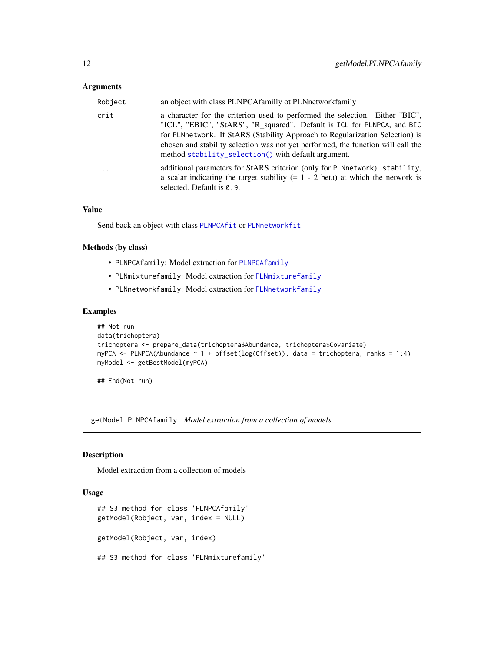#### <span id="page-11-0"></span>**Arguments**

| Robject | an object with class PLNPCAfamilly ot PLNnetworkfamily                                                                                                                                                                                                                                                                                                                             |
|---------|------------------------------------------------------------------------------------------------------------------------------------------------------------------------------------------------------------------------------------------------------------------------------------------------------------------------------------------------------------------------------------|
| crit    | a character for the criterion used to performed the selection. Either "BIC",<br>"ICL", "EBIC", "StARS", "R_squared". Default is ICL for PLNPCA, and BIC<br>for PLNnetwork. If StARS (Stability Approach to Regularization Selection) is<br>chosen and stability selection was not yet performed, the function will call the<br>method stability_selection() with default argument. |
| .       | additional parameters for StARS criterion (only for PLNnetwork). stability,<br>a scalar indicating the target stability $(= 1 - 2 \text{ beta})$ at which the network is<br>selected. Default is 0.9.                                                                                                                                                                              |

#### Value

Send back an object with class [PLNPCAfit](#page-53-1) or [PLNnetworkfit](#page-45-1)

#### Methods (by class)

- PLNPCAfamily: Model extraction for [PLNPCAfamily](#page-50-1)
- PLNmixturefamily: Model extraction for [PLNmixturefamily](#page-32-1)
- PLNnetworkfamily: Model extraction for [PLNnetworkfamily](#page-41-1)

## Examples

```
## Not run:
data(trichoptera)
trichoptera <- prepare_data(trichoptera$Abundance, trichoptera$Covariate)
myPCA <- PLNPCA(Abundance ~ 1 + offset(log(Offset)), data = trichoptera, ranks = 1:4)
myModel <- getBestModel(myPCA)
```
## End(Not run)

getModel.PLNPCAfamily *Model extraction from a collection of models*

## <span id="page-11-1"></span>Description

Model extraction from a collection of models

#### Usage

```
## S3 method for class 'PLNPCAfamily'
getModel(Robject, var, index = NULL)
getModel(Robject, var, index)
## S3 method for class 'PLNmixturefamily'
```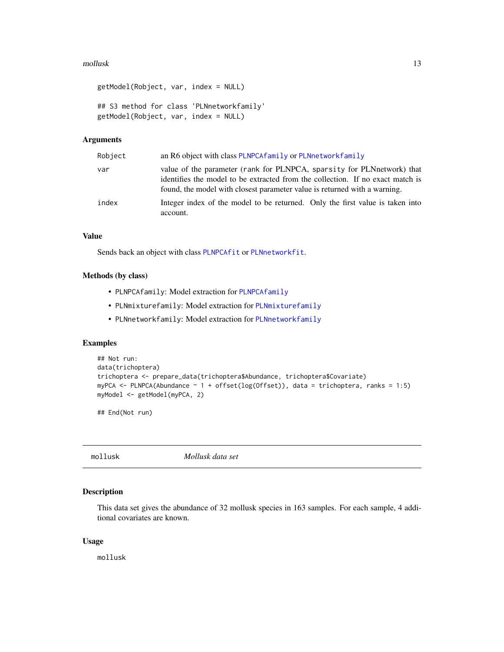#### <span id="page-12-0"></span>mollusk to the contract of the contract of the contract of the contract of the contract of the contract of the contract of the contract of the contract of the contract of the contract of the contract of the contract of the

```
getModel(Robject, var, index = NULL)
## S3 method for class 'PLNnetworkfamily'
getModel(Robject, var, index = NULL)
```
## Arguments

| Robject | an R6 object with class PLNPCA family or PLNnetwork family                                                                                                                                                                            |
|---------|---------------------------------------------------------------------------------------------------------------------------------------------------------------------------------------------------------------------------------------|
| var     | value of the parameter (rank for PLNPCA, sparsity for PLNnetwork) that<br>identifies the model to be extracted from the collection. If no exact match is<br>found, the model with closest parameter value is returned with a warning. |
| index   | Integer index of the model to be returned. Only the first value is taken into<br>account.                                                                                                                                             |

## Value

Sends back an object with class [PLNPCAfit](#page-53-1) or [PLNnetworkfit](#page-45-1).

## Methods (by class)

- PLNPCAfamily: Model extraction for [PLNPCAfamily](#page-50-1)
- PLNmixturefamily: Model extraction for [PLNmixturefamily](#page-32-1)
- PLNnetworkfamily: Model extraction for [PLNnetworkfamily](#page-41-1)

#### Examples

```
## Not run:
data(trichoptera)
trichoptera <- prepare_data(trichoptera$Abundance, trichoptera$Covariate)
myPCA <- PLNPCA(Abundance \sim 1 + \text{offset}(\log(\text{Offset})), data = trichoptera, ranks = 1:5)
myModel <- getModel(myPCA, 2)
```
## End(Not run)

mollusk *Mollusk data set*

## Description

This data set gives the abundance of 32 mollusk species in 163 samples. For each sample, 4 additional covariates are known.

#### Usage

mollusk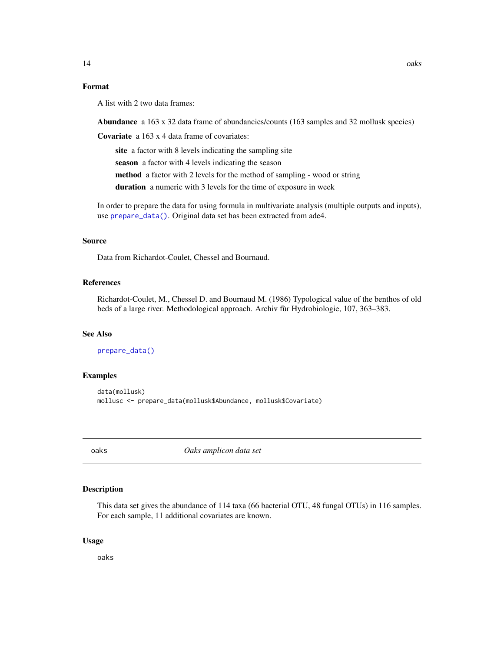#### <span id="page-13-0"></span>Format

A list with 2 two data frames:

Abundance a 163 x 32 data frame of abundancies/counts (163 samples and 32 mollusk species)

Covariate a 163 x 4 data frame of covariates:

site a factor with 8 levels indicating the sampling site

season a factor with 4 levels indicating the season

method a factor with 2 levels for the method of sampling - wood or string

duration a numeric with 3 levels for the time of exposure in week

In order to prepare the data for using formula in multivariate analysis (multiple outputs and inputs), use [prepare\\_data\(\)](#page-71-1). Original data set has been extracted from ade4.

#### Source

Data from Richardot-Coulet, Chessel and Bournaud.

#### References

Richardot-Coulet, M., Chessel D. and Bournaud M. (1986) Typological value of the benthos of old beds of a large river. Methodological approach. Archiv fùr Hydrobiologie, 107, 363–383.

#### See Also

[prepare\\_data\(\)](#page-71-1)

#### Examples

```
data(mollusk)
mollusc <- prepare_data(mollusk$Abundance, mollusk$Covariate)
```
oaks *Oaks amplicon data set*

## Description

This data set gives the abundance of 114 taxa (66 bacterial OTU, 48 fungal OTUs) in 116 samples. For each sample, 11 additional covariates are known.

#### Usage

oaks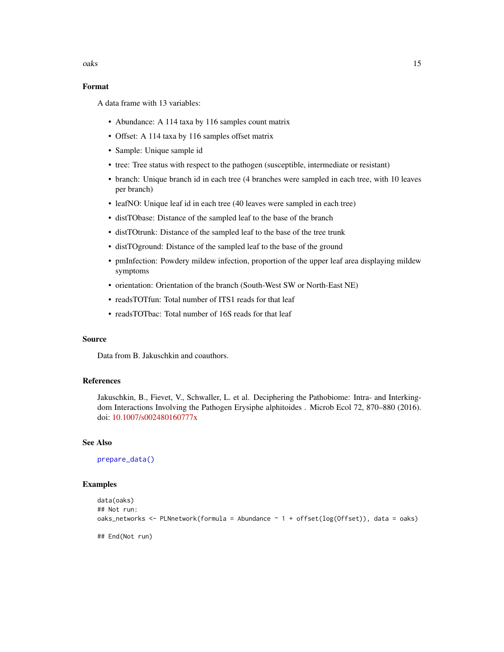oaks and the set of the set of the set of the set of the set of the set of the set of the set of the set of the set of the set of the set of the set of the set of the set of the set of the set of the set of the set of the

## Format

A data frame with 13 variables:

- Abundance: A 114 taxa by 116 samples count matrix
- Offset: A 114 taxa by 116 samples offset matrix
- Sample: Unique sample id
- tree: Tree status with respect to the pathogen (susceptible, intermediate or resistant)
- branch: Unique branch id in each tree (4 branches were sampled in each tree, with 10 leaves per branch)
- leafNO: Unique leaf id in each tree (40 leaves were sampled in each tree)
- distTObase: Distance of the sampled leaf to the base of the branch
- distTOtrunk: Distance of the sampled leaf to the base of the tree trunk
- distTOground: Distance of the sampled leaf to the base of the ground
- pmInfection: Powdery mildew infection, proportion of the upper leaf area displaying mildew symptoms
- orientation: Orientation of the branch (South-West SW or North-East NE)
- readsTOTfun: Total number of ITS1 reads for that leaf
- readsTOTbac: Total number of 16S reads for that leaf

## Source

Data from B. Jakuschkin and coauthors.

## References

Jakuschkin, B., Fievet, V., Schwaller, L. et al. Deciphering the Pathobiome: Intra- and Interkingdom Interactions Involving the Pathogen Erysiphe alphitoides . Microb Ecol 72, 870–880 (2016). doi: [10.1007/s002480160777x](https://doi.org/10.1007/s00248-016-0777-x)

#### See Also

[prepare\\_data\(\)](#page-71-1)

## Examples

```
data(oaks)
## Not run:
oaks_networks <- PLNnetwork(formula = Abundance \sim 1 + offset(log(Offset)), data = oaks)
## End(Not run)
```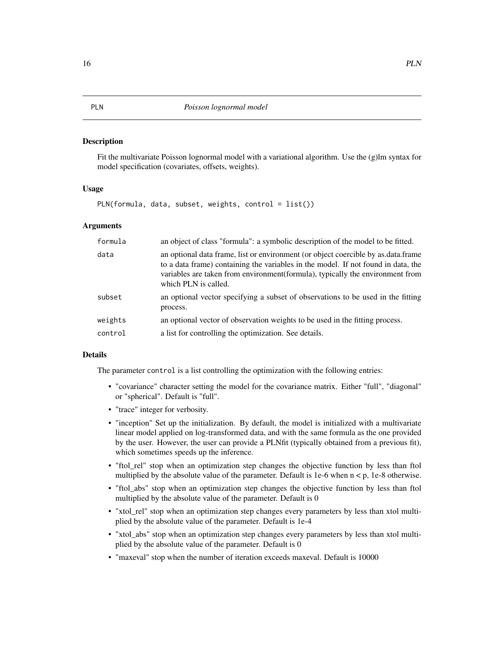#### <span id="page-15-1"></span><span id="page-15-0"></span>Description

Fit the multivariate Poisson lognormal model with a variational algorithm. Use the (g)lm syntax for model specification (covariates, offsets, weights).

#### Usage

PLN(formula, data, subset, weights, control = list())

#### Arguments

| formula | an object of class "formula": a symbolic description of the model to be fitted.                                                                                                                                                                                                 |
|---------|---------------------------------------------------------------------------------------------------------------------------------------------------------------------------------------------------------------------------------------------------------------------------------|
| data    | an optional data frame, list or environment (or object coercible by as data frame<br>to a data frame) containing the variables in the model. If not found in data, the<br>variables are taken from environment(formula), typically the environment from<br>which PLN is called. |
| subset  | an optional vector specifying a subset of observations to be used in the fitting<br>process.                                                                                                                                                                                    |
| weights | an optional vector of observation weights to be used in the fitting process.                                                                                                                                                                                                    |
| control | a list for controlling the optimization. See details.                                                                                                                                                                                                                           |

#### Details

The parameter control is a list controlling the optimization with the following entries:

- "covariance" character setting the model for the covariance matrix. Either "full", "diagonal" or "spherical". Default is "full".
- "trace" integer for verbosity.
- "inception" Set up the initialization. By default, the model is initialized with a multivariate linear model applied on log-transformed data, and with the same formula as the one provided by the user. However, the user can provide a PLNfit (typically obtained from a previous fit), which sometimes speeds up the inference.
- "ftol\_rel" stop when an optimization step changes the objective function by less than ftol multiplied by the absolute value of the parameter. Default is  $1e-6$  when  $n < p$ ,  $1e-8$  otherwise.
- "ftol\_abs" stop when an optimization step changes the objective function by less than ftol multiplied by the absolute value of the parameter. Default is 0
- "xtol\_rel" stop when an optimization step changes every parameters by less than xtol multiplied by the absolute value of the parameter. Default is 1e-4
- "xtol\_abs" stop when an optimization step changes every parameters by less than xtol multiplied by the absolute value of the parameter. Default is 0
- "maxeval" stop when the number of iteration exceeds maxeval. Default is 10000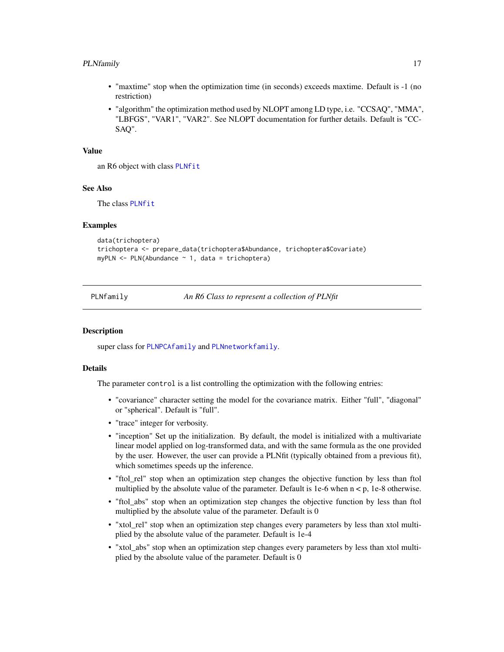#### <span id="page-16-0"></span>PLNfamily 17

- "maxtime" stop when the optimization time (in seconds) exceeds maxtime. Default is -1 (no restriction)
- "algorithm" the optimization method used by NLOPT among LD type, i.e. "CCSAQ", "MMA", "LBFGS", "VAR1", "VAR2". See NLOPT documentation for further details. Default is "CC-SAQ".

#### Value

an R6 object with class [PLNfit](#page-19-1)

#### See Also

The class [PLNfit](#page-19-1)

#### Examples

```
data(trichoptera)
trichoptera <- prepare_data(trichoptera$Abundance, trichoptera$Covariate)
myPLN \leq PLN(Abundance \sim 1, data = trichoptera)
```
<span id="page-16-1"></span>

PLNfamily *An R6 Class to represent a collection of PLNfit*

## **Description**

super class for [PLNPCAfamily](#page-50-1) and [PLNnetworkfamily](#page-41-1).

## Details

The parameter control is a list controlling the optimization with the following entries:

- "covariance" character setting the model for the covariance matrix. Either "full", "diagonal" or "spherical". Default is "full".
- "trace" integer for verbosity.
- "inception" Set up the initialization. By default, the model is initialized with a multivariate linear model applied on log-transformed data, and with the same formula as the one provided by the user. However, the user can provide a PLNfit (typically obtained from a previous fit), which sometimes speeds up the inference.
- "ftol\_rel" stop when an optimization step changes the objective function by less than ftol multiplied by the absolute value of the parameter. Default is 1e-6 when  $n < p$ , 1e-8 otherwise.
- "ftol\_abs" stop when an optimization step changes the objective function by less than ftol multiplied by the absolute value of the parameter. Default is 0
- "xtol\_rel" stop when an optimization step changes every parameters by less than xtol multiplied by the absolute value of the parameter. Default is 1e-4
- "xtol\_abs" stop when an optimization step changes every parameters by less than xtol multiplied by the absolute value of the parameter. Default is 0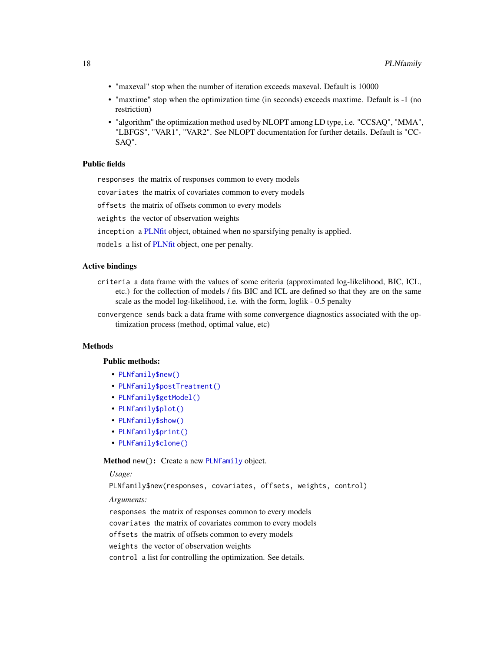- "maxeval" stop when the number of iteration exceeds maxeval. Default is 10000
- "maxtime" stop when the optimization time (in seconds) exceeds maxtime. Default is -1 (no restriction)
- "algorithm" the optimization method used by NLOPT among LD type, i.e. "CCSAQ", "MMA", "LBFGS", "VAR1", "VAR2". See NLOPT documentation for further details. Default is "CC-SAQ".

## Public fields

responses the matrix of responses common to every models

covariates the matrix of covariates common to every models

offsets the matrix of offsets common to every models

weights the vector of observation weights

inception a [PLNfit](#page-19-1) object, obtained when no sparsifying penalty is applied.

models a list of [PLNfit](#page-19-1) object, one per penalty.

## Active bindings

- criteria a data frame with the values of some criteria (approximated log-likelihood, BIC, ICL, etc.) for the collection of models / fits BIC and ICL are defined so that they are on the same scale as the model log-likelihood, i.e. with the form, loglik - 0.5 penalty
- convergence sends back a data frame with some convergence diagnostics associated with the optimization process (method, optimal value, etc)

## **Methods**

#### Public methods:

- [PLNfamily\\$new\(\)](#page-17-0)
- [PLNfamily\\$postTreatment\(\)](#page-18-0)
- [PLNfamily\\$getModel\(\)](#page-18-1)
- [PLNfamily\\$plot\(\)](#page-18-2)
- [PLNfamily\\$show\(\)](#page-18-3)
- [PLNfamily\\$print\(\)](#page-18-4)
- [PLNfamily\\$clone\(\)](#page-18-5)

#### <span id="page-17-0"></span>Method new(): Create a new [PLNfamily](#page-16-1) object.

#### *Usage:*

PLNfamily\$new(responses, covariates, offsets, weights, control)

*Arguments:*

responses the matrix of responses common to every models covariates the matrix of covariates common to every models offsets the matrix of offsets common to every models weights the vector of observation weights control a list for controlling the optimization. See details.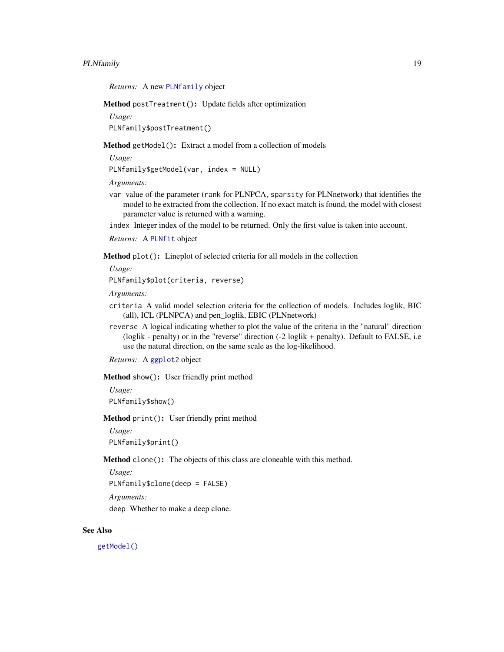## PLNfamily 19

*Returns:* A new [PLNfamily](#page-16-1) object

<span id="page-18-0"></span>Method postTreatment(): Update fields after optimization

*Usage:*

PLNfamily\$postTreatment()

<span id="page-18-1"></span>Method getModel(): Extract a model from a collection of models

*Usage:*

PLNfamily\$getModel(var, index = NULL)

*Arguments:*

var value of the parameter (rank for PLNPCA, sparsity for PLNnetwork) that identifies the model to be extracted from the collection. If no exact match is found, the model with closest parameter value is returned with a warning.

index Integer index of the model to be returned. Only the first value is taken into account.

*Returns:* A [PLNfit](#page-19-1) object

<span id="page-18-2"></span>Method plot(): Lineplot of selected criteria for all models in the collection

*Usage:*

PLNfamily\$plot(criteria, reverse)

*Arguments:*

- criteria A valid model selection criteria for the collection of models. Includes loglik, BIC (all), ICL (PLNPCA) and pen\_loglik, EBIC (PLNnetwork)
- reverse A logical indicating whether to plot the value of the criteria in the "natural" direction (loglik - penalty) or in the "reverse" direction (-2 loglik + penalty). Default to FALSE, i.e use the natural direction, on the same scale as the log-likelihood.

*Returns:* A [ggplot2](#page-0-0) object

<span id="page-18-3"></span>Method show(): User friendly print method

*Usage:*

PLNfamily\$show()

<span id="page-18-4"></span>Method print(): User friendly print method

*Usage:* PLNfamily\$print()

<span id="page-18-5"></span>Method clone(): The objects of this class are cloneable with this method.

*Usage:*

PLNfamily\$clone(deep = FALSE)

*Arguments:*

deep Whether to make a deep clone.

#### See Also

[getModel\(\)](#page-11-1)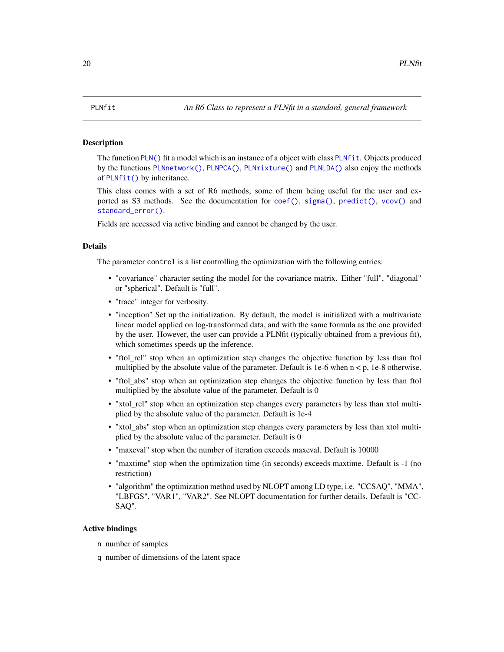#### <span id="page-19-1"></span><span id="page-19-0"></span>Description

The function [PLN\(\)](#page-15-1) fit a model which is an instance of a object with class [PLNfit](#page-19-1). Objects produced by the functions [PLNnetwork\(\)](#page-39-1), [PLNPCA\(\)](#page-49-1), [PLNmixture\(\)](#page-30-1) and [PLNLDA\(\)](#page-24-1) also enjoy the methods of [PLNfit\(\)](#page-19-1) by inheritance.

This class comes with a set of R6 methods, some of them being useful for the user and exported as S3 methods. See the documentation for  $\text{coef}()$ ,  $\text{sigma}()$ ,  $\text{predict}()$ ,  $\text{vcov}(')$  and [standard\\_error\(\)](#page-76-2).

Fields are accessed via active binding and cannot be changed by the user.

#### Details

The parameter control is a list controlling the optimization with the following entries:

- "covariance" character setting the model for the covariance matrix. Either "full", "diagonal" or "spherical". Default is "full".
- "trace" integer for verbosity.
- "inception" Set up the initialization. By default, the model is initialized with a multivariate linear model applied on log-transformed data, and with the same formula as the one provided by the user. However, the user can provide a PLNfit (typically obtained from a previous fit), which sometimes speeds up the inference.
- "ftol\_rel" stop when an optimization step changes the objective function by less than ftol multiplied by the absolute value of the parameter. Default is 1e-6 when  $n < p$ , 1e-8 otherwise.
- "ftol\_abs" stop when an optimization step changes the objective function by less than ftol multiplied by the absolute value of the parameter. Default is 0
- "xtol\_rel" stop when an optimization step changes every parameters by less than xtol multiplied by the absolute value of the parameter. Default is 1e-4
- "xtol abs" stop when an optimization step changes every parameters by less than xtol multiplied by the absolute value of the parameter. Default is 0
- "maxeval" stop when the number of iteration exceeds maxeval. Default is 10000
- "maxtime" stop when the optimization time (in seconds) exceeds maxtime. Default is -1 (no restriction)
- "algorithm" the optimization method used by NLOPT among LD type, i.e. "CCSAQ", "MMA", "LBFGS", "VAR1", "VAR2". See NLOPT documentation for further details. Default is "CC-SAQ".

#### Active bindings

- n number of samples
- q number of dimensions of the latent space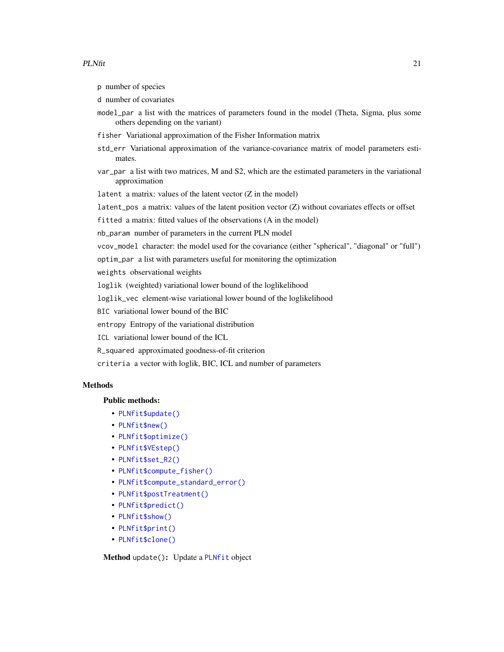p number of species

- d number of covariates
- model\_par a list with the matrices of parameters found in the model (Theta, Sigma, plus some others depending on the variant)
- fisher Variational approximation of the Fisher Information matrix
- std\_err Variational approximation of the variance-covariance matrix of model parameters estimates.
- var\_par a list with two matrices, M and S2, which are the estimated parameters in the variational approximation
- latent a matrix: values of the latent vector  $(Z \text{ in the model})$
- latent\_pos a matrix: values of the latent position vector (Z) without covariates effects or offset
- fitted a matrix: fitted values of the observations (A in the model)

nb\_param number of parameters in the current PLN model

- vcov\_model character: the model used for the covariance (either "spherical", "diagonal" or "full")
- optim\_par a list with parameters useful for monitoring the optimization
- weights observational weights
- loglik (weighted) variational lower bound of the loglikelihood
- loglik\_vec element-wise variational lower bound of the loglikelihood
- BIC variational lower bound of the BIC
- entropy Entropy of the variational distribution

ICL variational lower bound of the ICL

R\_squared approximated goodness-of-fit criterion

criteria a vector with loglik, BIC, ICL and number of parameters

## **Methods**

## Public methods:

- [PLNfit\\$update\(\)](#page-20-0)
- [PLNfit\\$new\(\)](#page-17-0)
- [PLNfit\\$optimize\(\)](#page-21-0)
- [PLNfit\\$VEstep\(\)](#page-22-0)
- [PLNfit\\$set\\_R2\(\)](#page-22-1)
- [PLNfit\\$compute\\_fisher\(\)](#page-22-2)
- [PLNfit\\$compute\\_standard\\_error\(\)](#page-23-0)
- [PLNfit\\$postTreatment\(\)](#page-18-0)
- [PLNfit\\$predict\(\)](#page-23-1)
- [PLNfit\\$show\(\)](#page-18-3)
- [PLNfit\\$print\(\)](#page-18-4)
- [PLNfit\\$clone\(\)](#page-18-5)

<span id="page-20-0"></span>Method update(): Update a [PLNfit](#page-19-1) object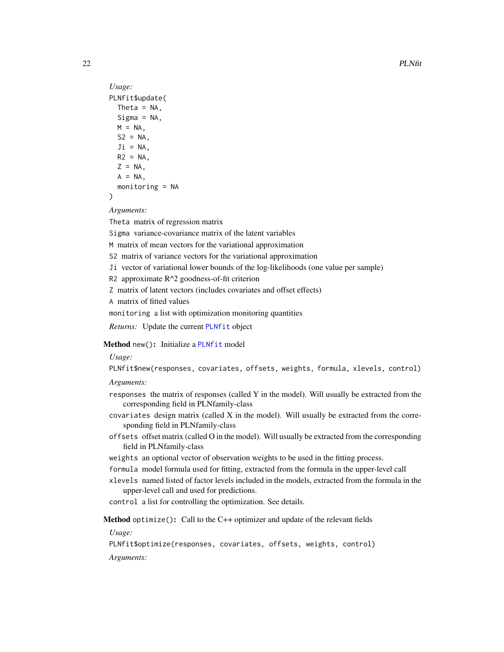```
Usage:
PLNfit$update(
 Theta = NA,
 Sigma = NA,
 M = NA,
 S2 = NA,
 Ji = NA,R2 = NAZ = NA,
 A = NA,
 monitoring = NA
```

```
)
```
*Arguments:*

Theta matrix of regression matrix

Sigma variance-covariance matrix of the latent variables

M matrix of mean vectors for the variational approximation

S2 matrix of variance vectors for the variational approximation

Ji vector of variational lower bounds of the log-likelihoods (one value per sample)

R2 approximate R^2 goodness-of-fit criterion

Z matrix of latent vectors (includes covariates and offset effects)

A matrix of fitted values

monitoring a list with optimization monitoring quantities

*Returns:* Update the current [PLNfit](#page-19-1) object

Method new(): Initialize a [PLNfit](#page-19-1) model

## *Usage:*

PLNfit\$new(responses, covariates, offsets, weights, formula, xlevels, control)

*Arguments:*

- responses the matrix of responses (called Y in the model). Will usually be extracted from the corresponding field in PLNfamily-class
- covariates design matrix (called X in the model). Will usually be extracted from the corresponding field in PLNfamily-class
- offsets offset matrix (called O in the model). Will usually be extracted from the corresponding field in PLNfamily-class
- weights an optional vector of observation weights to be used in the fitting process.
- formula model formula used for fitting, extracted from the formula in the upper-level call
- xlevels named listed of factor levels included in the models, extracted from the formula in the upper-level call and used for predictions.

control a list for controlling the optimization. See details.

<span id="page-21-0"></span>Method optimize(): Call to the C++ optimizer and update of the relevant fields

*Usage:*

PLNfit\$optimize(responses, covariates, offsets, weights, control)

*Arguments:*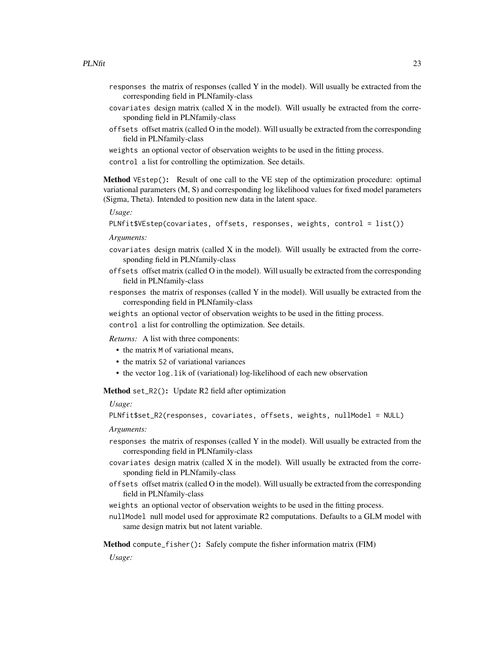- responses the matrix of responses (called Y in the model). Will usually be extracted from the corresponding field in PLNfamily-class
- covariates design matrix (called X in the model). Will usually be extracted from the corresponding field in PLNfamily-class
- offsets offset matrix (called O in the model). Will usually be extracted from the corresponding field in PLNfamily-class
- weights an optional vector of observation weights to be used in the fitting process.
- control a list for controlling the optimization. See details.

<span id="page-22-0"></span>Method VEstep(): Result of one call to the VE step of the optimization procedure: optimal variational parameters (M, S) and corresponding log likelihood values for fixed model parameters (Sigma, Theta). Intended to position new data in the latent space.

*Usage:*

```
PLNfit$VEstep(covariates, offsets, responses, weights, control = list())
```
*Arguments:*

- $covariates$  design matrix (called  $X$  in the model). Will usually be extracted from the corresponding field in PLNfamily-class
- offsets offset matrix (called O in the model). Will usually be extracted from the corresponding field in PLNfamily-class
- responses the matrix of responses (called Y in the model). Will usually be extracted from the corresponding field in PLNfamily-class
- weights an optional vector of observation weights to be used in the fitting process.

control a list for controlling the optimization. See details.

*Returns:* A list with three components:

- the matrix M of variational means,
- the matrix S2 of variational variances
- the vector log. lik of (variational) log-likelihood of each new observation

<span id="page-22-1"></span>Method set\_R2(): Update R2 field after optimization

#### *Usage:*

PLNfit\$set\_R2(responses, covariates, offsets, weights, nullModel = NULL)

## *Arguments:*

- responses the matrix of responses (called Y in the model). Will usually be extracted from the corresponding field in PLNfamily-class
- $covariates$  design matrix (called  $X$  in the model). Will usually be extracted from the corresponding field in PLNfamily-class
- offsets offset matrix (called O in the model). Will usually be extracted from the corresponding field in PLNfamily-class
- weights an optional vector of observation weights to be used in the fitting process.
- nullModel null model used for approximate R2 computations. Defaults to a GLM model with same design matrix but not latent variable.

<span id="page-22-2"></span>Method compute\_fisher(): Safely compute the fisher information matrix (FIM)

*Usage:*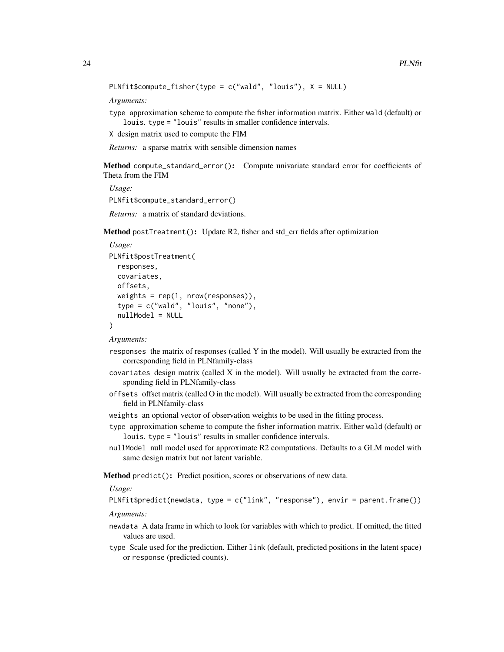```
PLNfit$compute_fisher(type = c("wald", "louis"), X = NULL)
```
*Arguments:*

type approximation scheme to compute the fisher information matrix. Either wald (default) or louis. type = "louis" results in smaller confidence intervals.

X design matrix used to compute the FIM

*Returns:* a sparse matrix with sensible dimension names

<span id="page-23-0"></span>Method compute\_standard\_error(): Compute univariate standard error for coefficients of Theta from the FIM

*Usage:* PLNfit\$compute\_standard\_error()

*Returns:* a matrix of standard deviations.

Method postTreatment(): Update R2, fisher and std\_err fields after optimization

```
Usage:
PLNfit$postTreatment(
  responses,
  covariates,
 offsets,
  weights = rep(1, nrow(responents)),type = c("wald", "louis", "none"),
  nullModel = NULL
)
```
*Arguments:*

- responses the matrix of responses (called Y in the model). Will usually be extracted from the corresponding field in PLNfamily-class
- $covariates$  design matrix (called  $X$  in the model). Will usually be extracted from the corresponding field in PLNfamily-class
- offsets offset matrix (called O in the model). Will usually be extracted from the corresponding field in PLNfamily-class
- weights an optional vector of observation weights to be used in the fitting process.
- type approximation scheme to compute the fisher information matrix. Either wald (default) or louis. type = "louis" results in smaller confidence intervals.
- nullModel null model used for approximate R2 computations. Defaults to a GLM model with same design matrix but not latent variable.

<span id="page-23-1"></span>Method predict(): Predict position, scores or observations of new data.

*Usage:*

PLNfit\$predict(newdata, type = c("link", "response"), envir = parent.frame())

*Arguments:*

- newdata A data frame in which to look for variables with which to predict. If omitted, the fitted values are used.
- type Scale used for the prediction. Either link (default, predicted positions in the latent space) or response (predicted counts).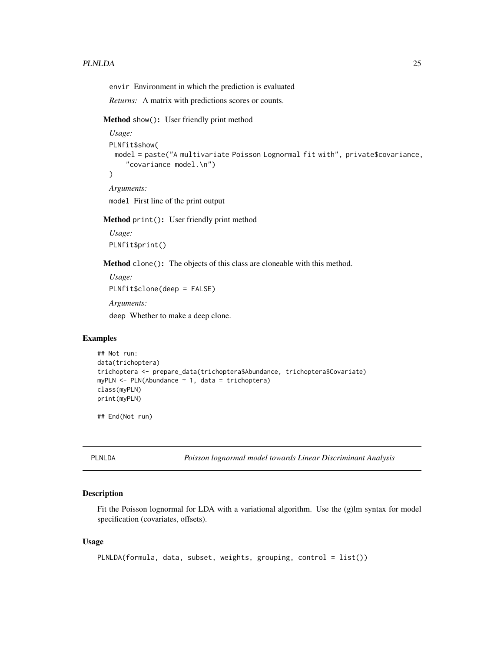#### <span id="page-24-0"></span>PLNLDA 25

envir Environment in which the prediction is evaluated

*Returns:* A matrix with predictions scores or counts.

Method show(): User friendly print method

```
Usage:
PLNfit$show(
 model = paste("A multivariate Poisson Lognormal fit with", private$covariance,
    "covariance model.\n")
)
Arguments:
```
model First line of the print output

Method print(): User friendly print method

*Usage:* PLNfit\$print()

Method clone(): The objects of this class are cloneable with this method.

```
Usage:
PLNfit$clone(deep = FALSE)
Arguments:
```
deep Whether to make a deep clone.

## Examples

```
## Not run:
data(trichoptera)
trichoptera <- prepare_data(trichoptera$Abundance, trichoptera$Covariate)
myPLN \leq PLN(Abundance \sim 1, data = trichoptera)
class(myPLN)
print(myPLN)
```
## End(Not run)

<span id="page-24-1"></span>PLNLDA *Poisson lognormal model towards Linear Discriminant Analysis*

## Description

Fit the Poisson lognormal for LDA with a variational algorithm. Use the (g)lm syntax for model specification (covariates, offsets).

#### Usage

```
PLNLDA(formula, data, subset, weights, grouping, control = list())
```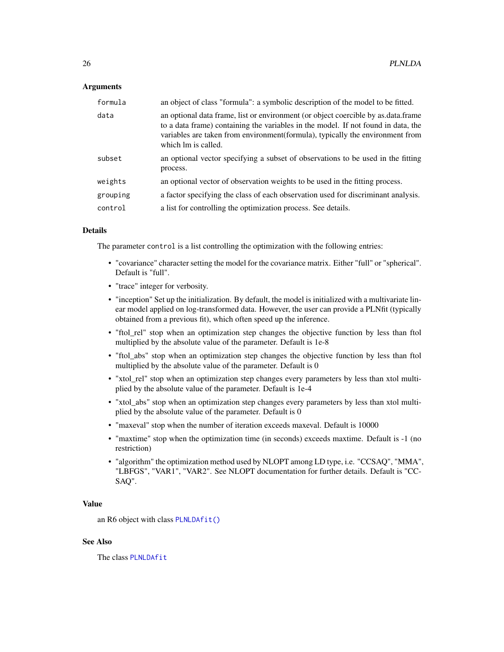#### Arguments

| formula  | an object of class "formula": a symbolic description of the model to be fitted.                                                                                                                                                                                                |
|----------|--------------------------------------------------------------------------------------------------------------------------------------------------------------------------------------------------------------------------------------------------------------------------------|
| data     | an optional data frame, list or environment (or object coercible by as data frame<br>to a data frame) containing the variables in the model. If not found in data, the<br>variables are taken from environment(formula), typically the environment from<br>which lm is called. |
| subset   | an optional vector specifying a subset of observations to be used in the fitting<br>process.                                                                                                                                                                                   |
| weights  | an optional vector of observation weights to be used in the fitting process.                                                                                                                                                                                                   |
| grouping | a factor specifying the class of each observation used for discriminant analysis.                                                                                                                                                                                              |
| control  | a list for controlling the optimization process. See details.                                                                                                                                                                                                                  |

## Details

The parameter control is a list controlling the optimization with the following entries:

- "covariance" character setting the model for the covariance matrix. Either "full" or "spherical". Default is "full".
- "trace" integer for verbosity.
- "inception" Set up the initialization. By default, the model is initialized with a multivariate linear model applied on log-transformed data. However, the user can provide a PLNfit (typically obtained from a previous fit), which often speed up the inference.
- "ftol rel" stop when an optimization step changes the objective function by less than ftol multiplied by the absolute value of the parameter. Default is 1e-8
- "ftol\_abs" stop when an optimization step changes the objective function by less than ftol multiplied by the absolute value of the parameter. Default is 0
- "xtol\_rel" stop when an optimization step changes every parameters by less than xtol multiplied by the absolute value of the parameter. Default is 1e-4
- "xtol\_abs" stop when an optimization step changes every parameters by less than xtol multiplied by the absolute value of the parameter. Default is 0
- "maxeval" stop when the number of iteration exceeds maxeval. Default is 10000
- "maxtime" stop when the optimization time (in seconds) exceeds maxtime. Default is -1 (no restriction)
- "algorithm" the optimization method used by NLOPT among LD type, i.e. "CCSAQ", "MMA", "LBFGS", "VAR1", "VAR2". See NLOPT documentation for further details. Default is "CC-SAQ".

#### Value

an R6 object with class [PLNLDAfit\(\)](#page-26-1)

## See Also

The class [PLNLDAfit](#page-26-1)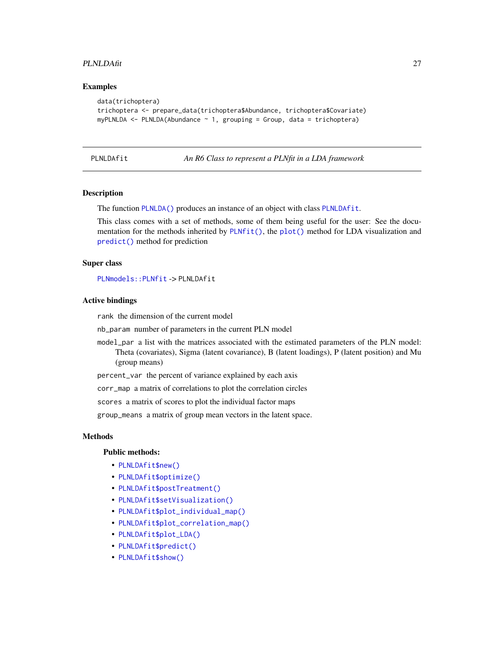#### <span id="page-26-0"></span>PLNLDAfit 27

#### Examples

```
data(trichoptera)
trichoptera <- prepare_data(trichoptera$Abundance, trichoptera$Covariate)
myPLNLDA \leq-PLNLDA(Abundance \sim 1, grouping = Group, data = trichoptera)
```
<span id="page-26-1"></span>PLNLDAfit *An R6 Class to represent a PLNfit in a LDA framework*

#### Description

The function [PLNLDA\(\)](#page-24-1) produces an instance of an object with class [PLNLDAfit](#page-26-1).

This class comes with a set of methods, some of them being useful for the user: See the documentation for the methods inherited by [PLNfit\(\)](#page-19-1), the [plot\(\)](#page-0-0) method for LDA visualization and [predict\(\)](#page-0-0) method for prediction

#### Super class

[PLNmodels::PLNfit](#page-0-0) -> PLNLDAfit

#### Active bindings

rank the dimension of the current model

nb\_param number of parameters in the current PLN model

model\_par a list with the matrices associated with the estimated parameters of the PLN model: Theta (covariates), Sigma (latent covariance), B (latent loadings), P (latent position) and Mu (group means)

percent\_var the percent of variance explained by each axis

corr\_map a matrix of correlations to plot the correlation circles

scores a matrix of scores to plot the individual factor maps

group\_means a matrix of group mean vectors in the latent space.

#### Methods

#### Public methods:

- [PLNLDAfit\\$new\(\)](#page-17-0)
- [PLNLDAfit\\$optimize\(\)](#page-21-0)
- [PLNLDAfit\\$postTreatment\(\)](#page-18-0)
- [PLNLDAfit\\$setVisualization\(\)](#page-28-0)
- [PLNLDAfit\\$plot\\_individual\\_map\(\)](#page-28-1)
- [PLNLDAfit\\$plot\\_correlation\\_map\(\)](#page-28-2)
- [PLNLDAfit\\$plot\\_LDA\(\)](#page-29-0)
- [PLNLDAfit\\$predict\(\)](#page-23-1)
- [PLNLDAfit\\$show\(\)](#page-18-3)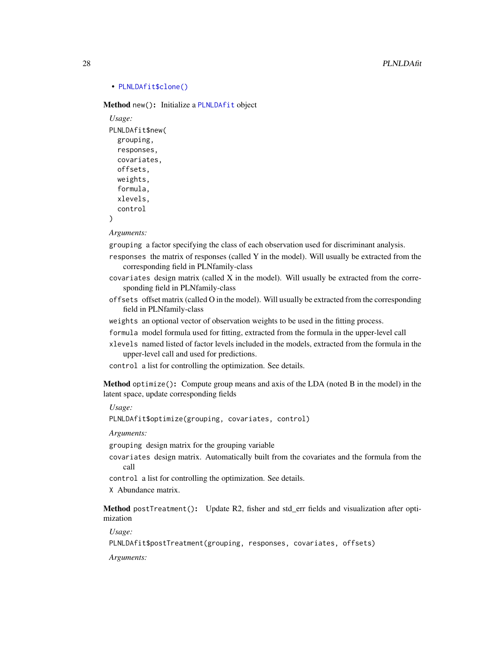#### • [PLNLDAfit\\$clone\(\)](#page-18-5)

Method new(): Initialize a [PLNLDAfit](#page-26-1) object

```
Usage:
PLNLDAfit$new(
  grouping,
  responses,
  covariates,
  offsets,
  weights,
  formula,
  xlevels,
  control
\lambda
```
*Arguments:*

grouping a factor specifying the class of each observation used for discriminant analysis.

- responses the matrix of responses (called Y in the model). Will usually be extracted from the corresponding field in PLNfamily-class
- covariates design matrix (called X in the model). Will usually be extracted from the corresponding field in PLNfamily-class
- offsets offset matrix (called O in the model). Will usually be extracted from the corresponding field in PLNfamily-class
- weights an optional vector of observation weights to be used in the fitting process.
- formula model formula used for fitting, extracted from the formula in the upper-level call
- xlevels named listed of factor levels included in the models, extracted from the formula in the upper-level call and used for predictions.
- control a list for controlling the optimization. See details.

Method optimize(): Compute group means and axis of the LDA (noted B in the model) in the latent space, update corresponding fields

*Usage:*

PLNLDAfit\$optimize(grouping, covariates, control)

*Arguments:*

grouping design matrix for the grouping variable

covariates design matrix. Automatically built from the covariates and the formula from the call

- control a list for controlling the optimization. See details.
- X Abundance matrix.

Method postTreatment(): Update R2, fisher and std\_err fields and visualization after optimization

*Usage:*

PLNLDAfit\$postTreatment(grouping, responses, covariates, offsets)

*Arguments:*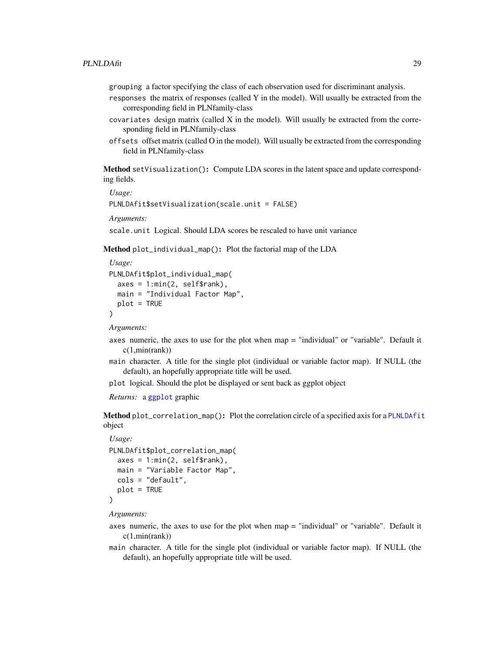grouping a factor specifying the class of each observation used for discriminant analysis.

- responses the matrix of responses (called Y in the model). Will usually be extracted from the corresponding field in PLNfamily-class
- covariates design matrix (called X in the model). Will usually be extracted from the corresponding field in PLNfamily-class
- offsets offset matrix (called O in the model). Will usually be extracted from the corresponding field in PLNfamily-class

<span id="page-28-0"></span>Method setVisualization(): Compute LDA scores in the latent space and update corresponding fields.

*Usage:* PLNLDAfit\$setVisualization(scale.unit = FALSE)

*Arguments:*

scale.unit Logical. Should LDA scores be rescaled to have unit variance

<span id="page-28-1"></span>Method plot\_individual\_map(): Plot the factorial map of the LDA

```
Usage:
PLNLDAfit$plot_individual_map(
  axes = 1: min(2, self$rank),main = "Individual Factor Map",
  plot = TRUE
)
```
*Arguments:*

- axes numeric, the axes to use for the plot when map = "individual" or "variable". Default it  $c(1, min(rank))$
- main character. A title for the single plot (individual or variable factor map). If NULL (the default), an hopefully appropriate title will be used.
- plot logical. Should the plot be displayed or sent back as ggplot object

*Returns:* a [ggplot](#page-0-0) graphic

<span id="page-28-2"></span>Method plot\_correlation\_map(): Plot the correlation circle of a specified axis for a [PLNLDAfit](#page-26-1) object

*Usage:*

```
PLNLDAfit$plot_correlation_map(
  axes = 1: min(2, self$rank),main = "Variable Factor Map",
 cols = "default",
  plot = TRUE
)
```
*Arguments:*

- axes numeric, the axes to use for the plot when map = "individual" or "variable". Default it  $c(1, min(rank))$
- main character. A title for the single plot (individual or variable factor map). If NULL (the default), an hopefully appropriate title will be used.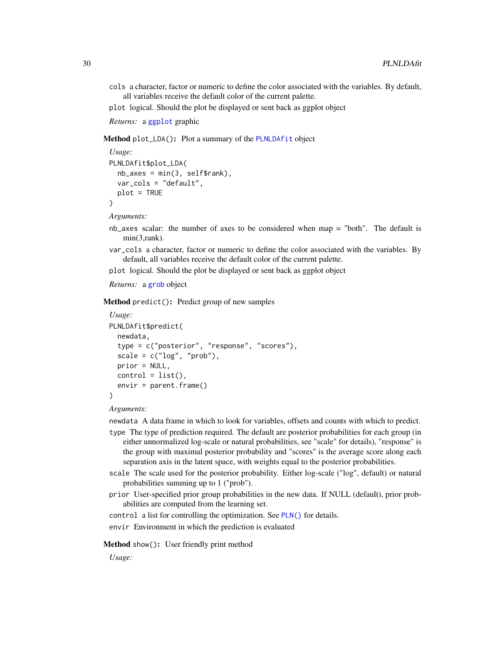cols a character, factor or numeric to define the color associated with the variables. By default, all variables receive the default color of the current palette.

plot logical. Should the plot be displayed or sent back as ggplot object

*Returns:* a [ggplot](#page-0-0) graphic

<span id="page-29-0"></span>Method plot\_LDA(): Plot a summary of the [PLNLDAfit](#page-26-1) object

```
Usage:
PLNLDAfit$plot_LDA(
  nb\axes = min(3, self\var_cols = "default",
  plot = TRUE
\lambda
```
*Arguments:*

- nb\_axes scalar: the number of axes to be considered when map = "both". The default is min(3,rank).
- var\_cols a character, factor or numeric to define the color associated with the variables. By default, all variables receive the default color of the current palette.

plot logical. Should the plot be displayed or sent back as ggplot object

*Returns:* a [grob](#page-0-0) object

Method predict(): Predict group of new samples

```
Usage:
PLNLDAfit$predict(
 newdata,
  type = c("posterior", "response", "scores"),
  scale = c("log", "prob"),prior = NULL,
 control = list(),
  envir = parent.frame()
)
```
### *Arguments:*

newdata A data frame in which to look for variables, offsets and counts with which to predict.

- type The type of prediction required. The default are posterior probabilities for each group (in either unnormalized log-scale or natural probabilities, see "scale" for details), "response" is the group with maximal posterior probability and "scores" is the average score along each separation axis in the latent space, with weights equal to the posterior probabilities.
- scale The scale used for the posterior probability. Either log-scale ("log", default) or natural probabilities summing up to 1 ("prob").
- prior User-specified prior group probabilities in the new data. If NULL (default), prior probabilities are computed from the learning set.

control a list for controlling the optimization. See [PLN\(\)](#page-15-1) for details.

envir Environment in which the prediction is evaluated

Method show(): User friendly print method

*Usage:*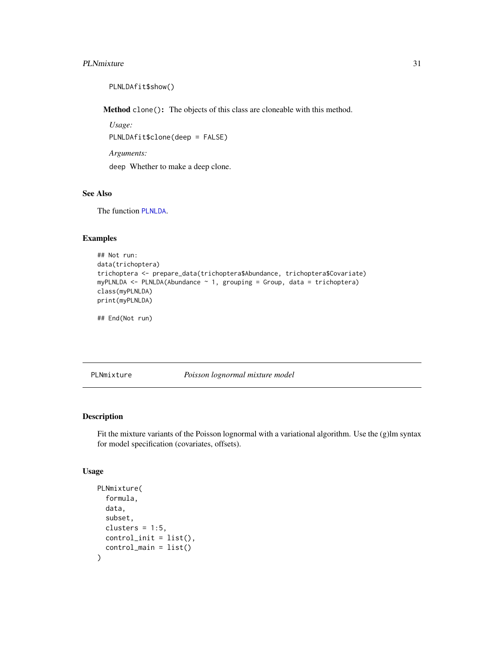#### <span id="page-30-0"></span>PLNmixture 31

PLNLDAfit\$show()

Method clone(): The objects of this class are cloneable with this method.

*Usage:* PLNLDAfit\$clone(deep = FALSE)

*Arguments:*

deep Whether to make a deep clone.

#### See Also

The function [PLNLDA](#page-24-1).

## Examples

```
## Not run:
data(trichoptera)
trichoptera <- prepare_data(trichoptera$Abundance, trichoptera$Covariate)
myPLNLDA <- PLNLDA(Abundance ~ 1, grouping = Group, data = trichoptera)
class(myPLNLDA)
print(myPLNLDA)
```
## End(Not run)

<span id="page-30-1"></span>PLNmixture *Poisson lognormal mixture model*

#### Description

Fit the mixture variants of the Poisson lognormal with a variational algorithm. Use the (g)lm syntax for model specification (covariates, offsets).

## Usage

```
PLNmixture(
  formula,
  data,
  subset,
  clusters = 1:5,
  control_init = list(),
  control_main = list()
)
```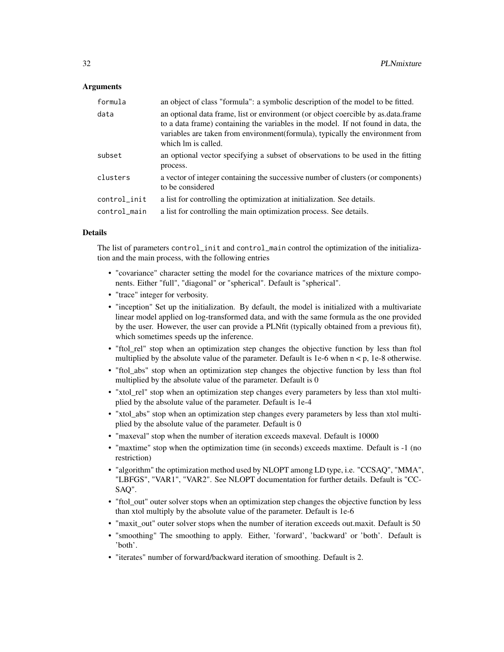#### **Arguments**

| formula      | an object of class "formula": a symbolic description of the model to be fitted.                                                                                                                                                                                                |
|--------------|--------------------------------------------------------------------------------------------------------------------------------------------------------------------------------------------------------------------------------------------------------------------------------|
| data         | an optional data frame, list or environment (or object coercible by as data frame<br>to a data frame) containing the variables in the model. If not found in data, the<br>variables are taken from environment(formula), typically the environment from<br>which lm is called. |
| subset       | an optional vector specifying a subset of observations to be used in the fitting<br>process.                                                                                                                                                                                   |
| clusters     | a vector of integer containing the successive number of clusters (or components)<br>to be considered                                                                                                                                                                           |
| control_init | a list for controlling the optimization at initialization. See details.                                                                                                                                                                                                        |
| control_main | a list for controlling the main optimization process. See details.                                                                                                                                                                                                             |

#### Details

The list of parameters control\_init and control\_main control the optimization of the initialization and the main process, with the following entries

- "covariance" character setting the model for the covariance matrices of the mixture components. Either "full", "diagonal" or "spherical". Default is "spherical".
- "trace" integer for verbosity.
- "inception" Set up the initialization. By default, the model is initialized with a multivariate linear model applied on log-transformed data, and with the same formula as the one provided by the user. However, the user can provide a PLNfit (typically obtained from a previous fit), which sometimes speeds up the inference.
- "ftol\_rel" stop when an optimization step changes the objective function by less than ftol multiplied by the absolute value of the parameter. Default is 1e-6 when  $n < p$ , 1e-8 otherwise.
- "ftol\_abs" stop when an optimization step changes the objective function by less than ftol multiplied by the absolute value of the parameter. Default is 0
- "xtol\_rel" stop when an optimization step changes every parameters by less than xtol multiplied by the absolute value of the parameter. Default is 1e-4
- "xtol\_abs" stop when an optimization step changes every parameters by less than xtol multiplied by the absolute value of the parameter. Default is 0
- "maxeval" stop when the number of iteration exceeds maxeval. Default is 10000
- "maxtime" stop when the optimization time (in seconds) exceeds maxtime. Default is -1 (no restriction)
- "algorithm" the optimization method used by NLOPT among LD type, i.e. "CCSAQ", "MMA", "LBFGS", "VAR1", "VAR2". See NLOPT documentation for further details. Default is "CC-SAQ".
- "ftol out" outer solver stops when an optimization step changes the objective function by less than xtol multiply by the absolute value of the parameter. Default is 1e-6
- "maxit out" outer solver stops when the number of iteration exceeds out.maxit. Default is 50
- "smoothing" The smoothing to apply. Either, 'forward', 'backward' or 'both'. Default is 'both'.
- "iterates" number of forward/backward iteration of smoothing. Default is 2.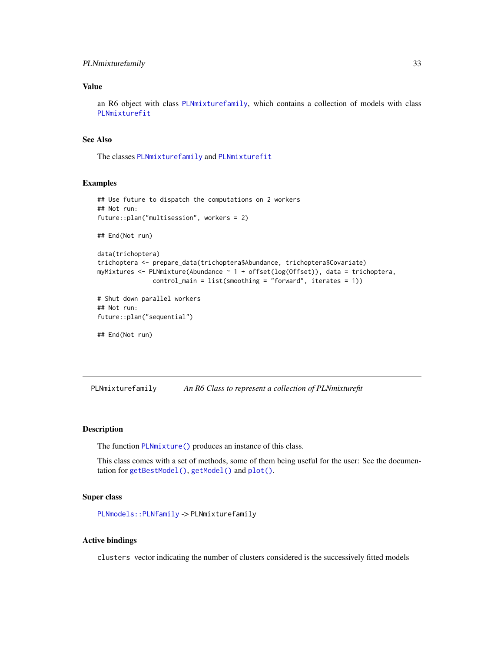## <span id="page-32-0"></span>PLNmixturefamily 33

## Value

an R6 object with class [PLNmixturefamily](#page-32-1), which contains a collection of models with class [PLNmixturefit](#page-35-1)

## See Also

The classes [PLNmixturefamily](#page-30-1) and [PLNmixturefit](#page-35-1)

#### Examples

```
## Use future to dispatch the computations on 2 workers
## Not run:
future::plan("multisession", workers = 2)
## End(Not run)
data(trichoptera)
trichoptera <- prepare_data(trichoptera$Abundance, trichoptera$Covariate)
myMixtures \leq PLNmixture(Abundance \sim 1 + offset(log(Offset)), data = trichoptera,
               control_main = list(smoothing = "forward", iterates = 1))
# Shut down parallel workers
## Not run:
future::plan("sequential")
## End(Not run)
```
<span id="page-32-1"></span>PLNmixturefamily *An R6 Class to represent a collection of PLNmixturefit*

#### Description

The function [PLNmixture\(\)](#page-30-1) produces an instance of this class.

This class comes with a set of methods, some of them being useful for the user: See the documentation for [getBestModel\(\)](#page-10-1), [getModel\(\)](#page-11-1) and [plot\(\)](#page-61-1).

#### Super class

[PLNmodels::PLNfamily](#page-0-0) -> PLNmixturefamily

#### Active bindings

clusters vector indicating the number of clusters considered is the successively fitted models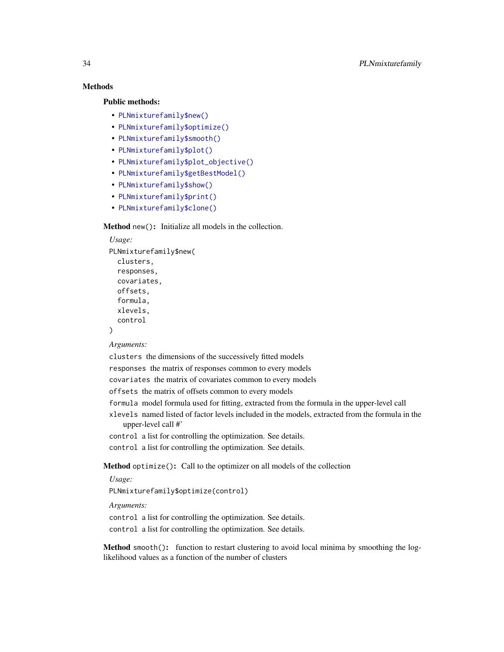## **Methods**

### Public methods:

- [PLNmixturefamily\\$new\(\)](#page-17-0)
- [PLNmixturefamily\\$optimize\(\)](#page-21-0)
- [PLNmixturefamily\\$smooth\(\)](#page-33-0)
- [PLNmixturefamily\\$plot\(\)](#page-18-2)
- [PLNmixturefamily\\$plot\\_objective\(\)](#page-34-0)
- [PLNmixturefamily\\$getBestModel\(\)](#page-34-1)
- [PLNmixturefamily\\$show\(\)](#page-18-3)
- [PLNmixturefamily\\$print\(\)](#page-18-4)
- [PLNmixturefamily\\$clone\(\)](#page-18-5)

## Method new(): Initialize all models in the collection.

## *Usage:* PLNmixturefamily\$new( clusters, responses, covariates, offsets, formula, xlevels, control )

#### *Arguments:*

clusters the dimensions of the successively fitted models

responses the matrix of responses common to every models

covariates the matrix of covariates common to every models

offsets the matrix of offsets common to every models

formula model formula used for fitting, extracted from the formula in the upper-level call

xlevels named listed of factor levels included in the models, extracted from the formula in the upper-level call #'

control a list for controlling the optimization. See details.

control a list for controlling the optimization. See details.

Method optimize(): Call to the optimizer on all models of the collection

*Usage:*

PLNmixturefamily\$optimize(control)

*Arguments:*

control a list for controlling the optimization. See details.

control a list for controlling the optimization. See details.

<span id="page-33-0"></span>Method smooth(): function to restart clustering to avoid local minima by smoothing the loglikelihood values as a function of the number of clusters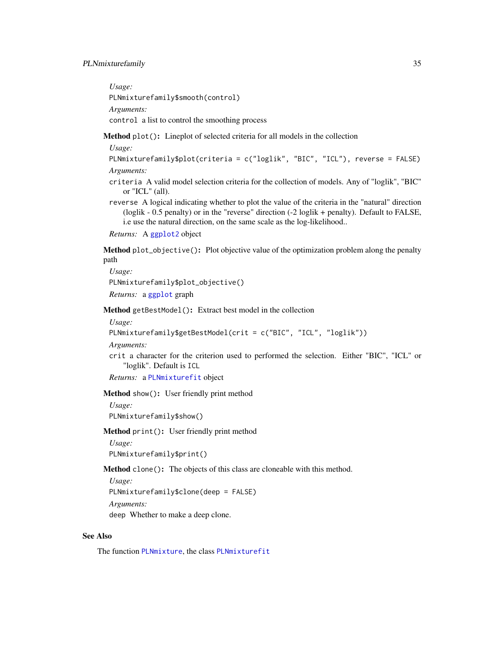## PLNmixturefamily 35

*Usage:* PLNmixturefamily\$smooth(control) *Arguments:* control a list to control the smoothing process

Method plot(): Lineplot of selected criteria for all models in the collection

*Usage:*

PLNmixturefamily\$plot(criteria = c("loglik", "BIC", "ICL"), reverse = FALSE) *Arguments:*

- criteria A valid model selection criteria for the collection of models. Any of "loglik", "BIC" or "ICL" (all).
- reverse A logical indicating whether to plot the value of the criteria in the "natural" direction (loglik - 0.5 penalty) or in the "reverse" direction (-2 loglik + penalty). Default to FALSE, i.e use the natural direction, on the same scale as the log-likelihood..

*Returns:* A [ggplot2](#page-0-0) object

<span id="page-34-0"></span>Method plot\_objective(): Plot objective value of the optimization problem along the penalty path

*Usage:* PLNmixturefamily\$plot\_objective() *Returns:* a [ggplot](#page-0-0) graph

<span id="page-34-1"></span>Method getBestModel(): Extract best model in the collection

#### *Usage:*

```
PLNmixturefamily$getBestModel(crit = c("BIC", "ICL", "loglik"))
```
*Arguments:*

crit a character for the criterion used to performed the selection. Either "BIC", "ICL" or "loglik". Default is ICL

*Returns:* a [PLNmixturefit](#page-35-1) object

Method show(): User friendly print method

*Usage:* PLNmixturefamily\$show()

Method print(): User friendly print method

*Usage:*

PLNmixturefamily\$print()

Method clone(): The objects of this class are cloneable with this method.

*Usage:* PLNmixturefamily\$clone(deep = FALSE) *Arguments:* deep Whether to make a deep clone.

#### See Also

The function [PLNmixture](#page-30-1), the class [PLNmixturefit](#page-35-1)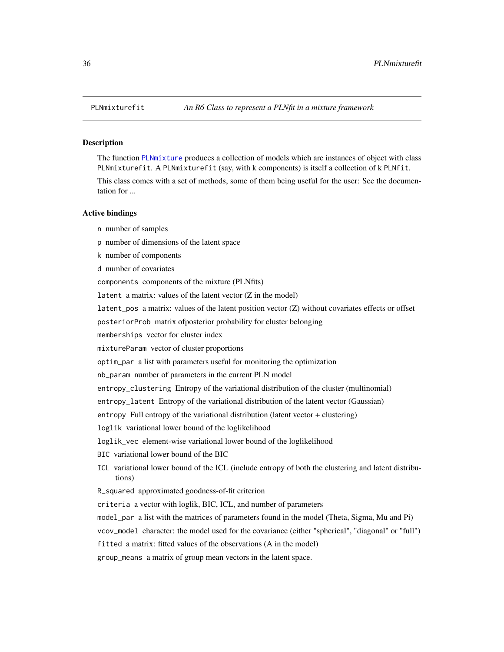<span id="page-35-1"></span><span id="page-35-0"></span>

#### Description

The function [PLNmixture](#page-30-1) produces a collection of models which are instances of object with class PLNmixturefit. A PLNmixturefit (say, with k components) is itself a collection of k PLNfit.

This class comes with a set of methods, some of them being useful for the user: See the documentation for ...

#### Active bindings

- n number of samples
- p number of dimensions of the latent space
- k number of components
- d number of covariates
- components components of the mixture (PLNfits)
- latent a matrix: values of the latent vector  $(Z \text{ in the model})$
- latent\_pos a matrix: values of the latent position vector (Z) without covariates effects or offset
- posteriorProb matrix ofposterior probability for cluster belonging
- memberships vector for cluster index
- mixtureParam vector of cluster proportions
- optim\_par a list with parameters useful for monitoring the optimization
- nb\_param number of parameters in the current PLN model
- entropy\_clustering Entropy of the variational distribution of the cluster (multinomial)
- entropy\_latent Entropy of the variational distribution of the latent vector (Gaussian)
- entropy Full entropy of the variational distribution (latent vector + clustering)
- loglik variational lower bound of the loglikelihood
- loglik\_vec element-wise variational lower bound of the loglikelihood
- BIC variational lower bound of the BIC
- ICL variational lower bound of the ICL (include entropy of both the clustering and latent distributions)
- R\_squared approximated goodness-of-fit criterion
- criteria a vector with loglik, BIC, ICL, and number of parameters
- model\_par a list with the matrices of parameters found in the model (Theta, Sigma, Mu and Pi)
- vcov\_model character: the model used for the covariance (either "spherical", "diagonal" or "full")
- fitted a matrix: fitted values of the observations (A in the model)
- group\_means a matrix of group mean vectors in the latent space.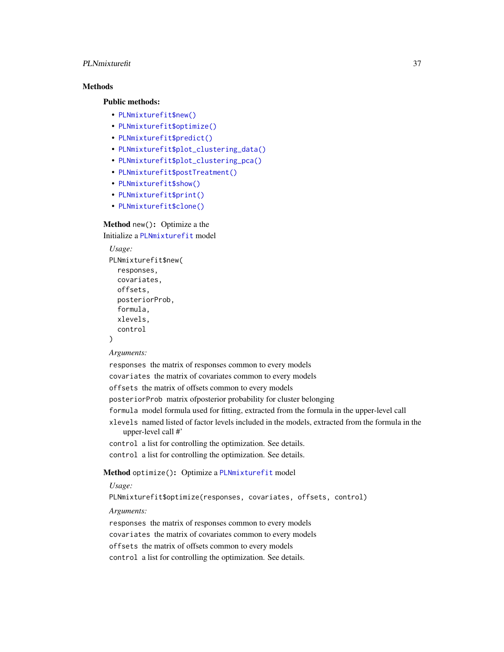# PLNmixturefit 37

# **Methods**

Public methods:

- [PLNmixturefit\\$new\(\)](#page-17-0)
- [PLNmixturefit\\$optimize\(\)](#page-21-0)
- [PLNmixturefit\\$predict\(\)](#page-23-0)
- [PLNmixturefit\\$plot\\_clustering\\_data\(\)](#page-37-0)
- [PLNmixturefit\\$plot\\_clustering\\_pca\(\)](#page-37-1)
- [PLNmixturefit\\$postTreatment\(\)](#page-18-0)
- [PLNmixturefit\\$show\(\)](#page-18-1)
- [PLNmixturefit\\$print\(\)](#page-18-2)
- [PLNmixturefit\\$clone\(\)](#page-18-3)

# Method new(): Optimize a the Initialize a [PLNmixturefit](#page-35-0) model

```
Usage:
PLNmixturefit$new(
  responses,
  covariates,
 offsets,
 posteriorProb,
  formula,
  xlevels,
  control
)
```
#### *Arguments:*

responses the matrix of responses common to every models covariates the matrix of covariates common to every models offsets the matrix of offsets common to every models posteriorProb matrix ofposterior probability for cluster belonging formula model formula used for fitting, extracted from the formula in the upper-level call xlevels named listed of factor levels included in the models, extracted from the formula in the upper-level call #' control a list for controlling the optimization. See details. control a list for controlling the optimization. See details.

# Method optimize(): Optimize a [PLNmixturefit](#page-35-0) model

# *Usage:*

PLNmixturefit\$optimize(responses, covariates, offsets, control)

#### *Arguments:*

responses the matrix of responses common to every models covariates the matrix of covariates common to every models offsets the matrix of offsets common to every models control a list for controlling the optimization. See details.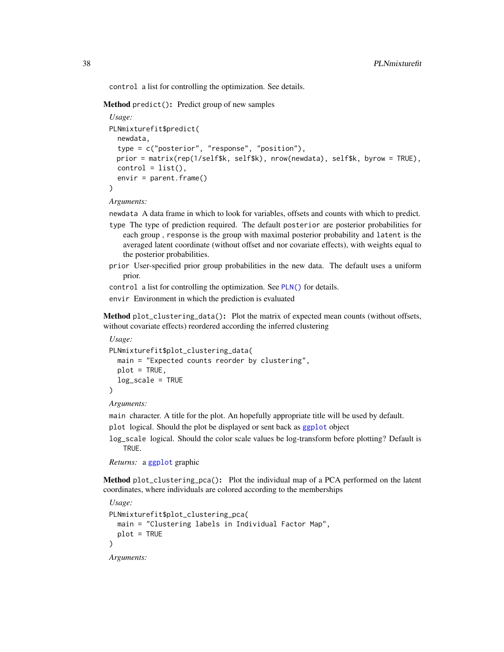control a list for controlling the optimization. See details.

Method predict(): Predict group of new samples

```
Usage:
PLNmixturefit$predict(
  newdata,
  type = c("posterior", "response", "position"),
 prior = matrix(rep(1/self$k, self$k), nrow(newdata), self$k, byrow = TRUE),
 control = list(),
  envir = parent.frame())
```
*Arguments:*

newdata A data frame in which to look for variables, offsets and counts with which to predict.

- type The type of prediction required. The default posterior are posterior probabilities for each group , response is the group with maximal posterior probability and latent is the averaged latent coordinate (without offset and nor covariate effects), with weights equal to the posterior probabilities.
- prior User-specified prior group probabilities in the new data. The default uses a uniform prior.

control a list for controlling the optimization. See [PLN\(\)](#page-15-0) for details.

envir Environment in which the prediction is evaluated

<span id="page-37-0"></span>Method plot\_clustering\_data(): Plot the matrix of expected mean counts (without offsets, without covariate effects) reordered according the inferred clustering

```
Usage:
PLNmixturefit$plot_clustering_data(
  main = "Expected counts reorder by clustering",
 plot = TRUE,
  log_scale = TRUE
)
```
*Arguments:*

main character. A title for the plot. An hopefully appropriate title will be used by default.

plot logical. Should the plot be displayed or sent back as [ggplot](#page-0-0) object

log\_scale logical. Should the color scale values be log-transform before plotting? Default is TRUE.

```
Returns: a ggplot graphic
```
<span id="page-37-1"></span>Method plot\_clustering\_pca(): Plot the individual map of a PCA performed on the latent coordinates, where individuals are colored according to the memberships

```
Usage:
PLNmixturefit$plot_clustering_pca(
  main = "Clustering labels in Individual Factor Map",
  plot = TRUE
)
Arguments:
```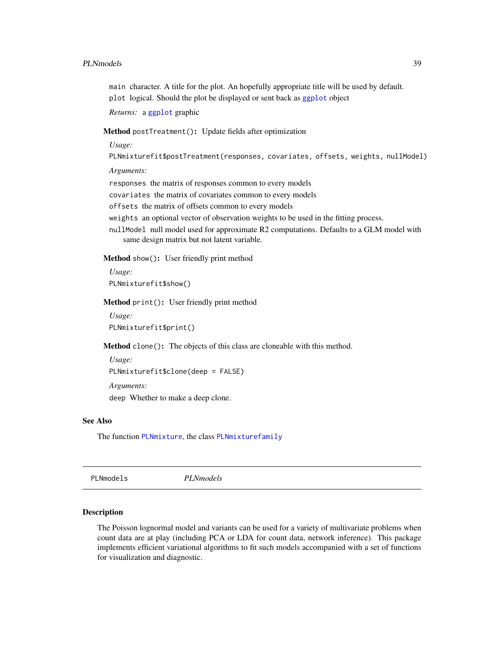#### PLNmodels 39

main character. A title for the plot. An hopefully appropriate title will be used by default. plot logical. Should the plot be displayed or sent back as [ggplot](#page-0-0) object

*Returns:* a [ggplot](#page-0-0) graphic

# Method postTreatment(): Update fields after optimization

*Usage:*

PLNmixturefit\$postTreatment(responses, covariates, offsets, weights, nullModel)

*Arguments:*

responses the matrix of responses common to every models

covariates the matrix of covariates common to every models

offsets the matrix of offsets common to every models

weights an optional vector of observation weights to be used in the fitting process.

nullModel null model used for approximate R2 computations. Defaults to a GLM model with same design matrix but not latent variable.

Method show(): User friendly print method

*Usage:* PLNmixturefit\$show()

Method print(): User friendly print method

*Usage:* PLNmixturefit\$print()

Method clone(): The objects of this class are cloneable with this method.

```
Usage:
PLNmixturefit$clone(deep = FALSE)
Arguments:
deep Whether to make a deep clone.
```
# See Also

The function [PLNmixture](#page-30-0), the class [PLNmixturefamily](#page-32-0)

PLNmodels *PLNmodels*

#### Description

The Poisson lognormal model and variants can be used for a variety of multivariate problems when count data are at play (including PCA or LDA for count data, network inference). This package implements efficient variational algorithms to fit such models accompanied with a set of functions for visualization and diagnostic.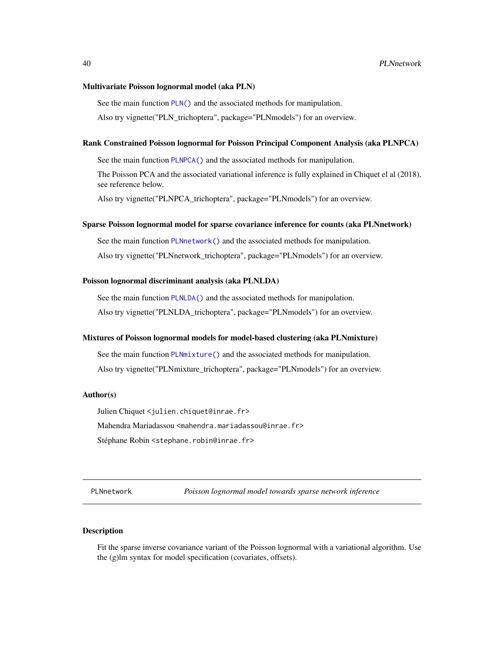#### Multivariate Poisson lognormal model (aka PLN)

See the main function [PLN\(\)](#page-15-0) and the associated methods for manipulation. Also try vignette("PLN\_trichoptera", package="PLNmodels") for an overview.

#### Rank Constrained Poisson lognormal for Poisson Principal Component Analysis (aka PLNPCA)

See the main function [PLNPCA\(\)](#page-49-0) and the associated methods for manipulation.

The Poisson PCA and the associated variational inference is fully explained in Chiquet el al (2018), see reference below.

Also try vignette("PLNPCA\_trichoptera", package="PLNmodels") for an overview.

#### Sparse Poisson lognormal model for sparse covariance inference for counts (aka PLNnetwork)

See the main function [PLNnetwork\(\)](#page-39-0) and the associated methods for manipulation. Also try vignette("PLNnetwork\_trichoptera", package="PLNmodels") for an overview.

#### Poisson lognormal discriminant analysis (aka PLNLDA)

See the main function [PLNLDA\(\)](#page-24-0) and the associated methods for manipulation. Also try vignette("PLNLDA\_trichoptera", package="PLNmodels") for an overview.

#### Mixtures of Poisson lognormal models for model-based clustering (aka PLNmixture)

See the main function [PLNmixture\(\)](#page-30-0) and the associated methods for manipulation. Also try vignette("PLNmixture\_trichoptera", package="PLNmodels") for an overview.

#### Author(s)

Julien Chiquet <julien.chiquet@inrae.fr> Mahendra Mariadassou <mahendra.mariadassou@inrae.fr> Stéphane Robin <stephane.robin@inrae.fr>

<span id="page-39-0"></span>PLNnetwork *Poisson lognormal model towards sparse network inference*

# **Description**

Fit the sparse inverse covariance variant of the Poisson lognormal with a variational algorithm. Use the (g)lm syntax for model specification (covariates, offsets).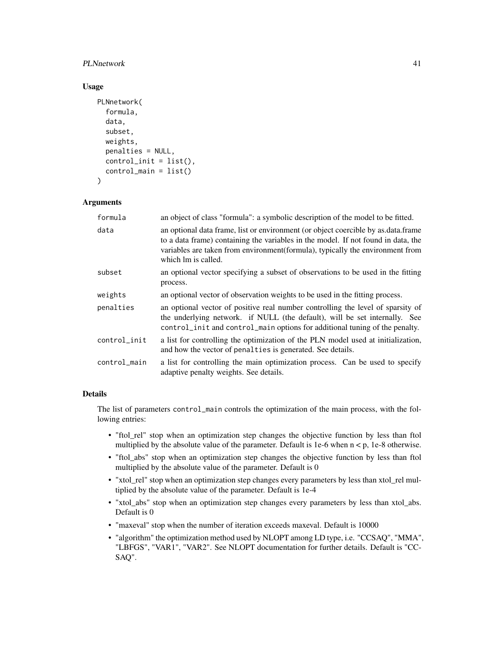### PLNnetwork 41

# Usage

```
PLNnetwork(
  formula,
  data,
  subset,
  weights,
 penalties = NULL,
  control\_init = list(),
  control_main = list()
)
```
# Arguments

| formula      | an object of class "formula": a symbolic description of the model to be fitted.                                                                                                                                                                                                 |
|--------------|---------------------------------------------------------------------------------------------------------------------------------------------------------------------------------------------------------------------------------------------------------------------------------|
| data         | an optional data frame, list or environment (or object coercible by as data frame<br>to a data frame) containing the variables in the model. If not found in data, the<br>variables are taken from environment (formula), typically the environment from<br>which lm is called. |
| subset       | an optional vector specifying a subset of observations to be used in the fitting<br>process.                                                                                                                                                                                    |
| weights      | an optional vector of observation weights to be used in the fitting process.                                                                                                                                                                                                    |
| penalties    | an optional vector of positive real number controlling the level of sparsity of<br>the underlying network. if NULL (the default), will be set internally. See<br>control_init and control_main options for additional tuning of the penalty.                                    |
| control_init | a list for controlling the optimization of the PLN model used at initialization,<br>and how the vector of penalties is generated. See details.                                                                                                                                  |
| control_main | a list for controlling the main optimization process. Can be used to specify<br>adaptive penalty weights. See details.                                                                                                                                                          |

# Details

The list of parameters control\_main controls the optimization of the main process, with the following entries:

- "ftol\_rel" stop when an optimization step changes the objective function by less than ftol multiplied by the absolute value of the parameter. Default is 1e-6 when  $n < p$ , 1e-8 otherwise.
- "ftol\_abs" stop when an optimization step changes the objective function by less than ftol multiplied by the absolute value of the parameter. Default is 0
- "xtol\_rel" stop when an optimization step changes every parameters by less than xtol\_rel multiplied by the absolute value of the parameter. Default is 1e-4
- "xtol\_abs" stop when an optimization step changes every parameters by less than xtol\_abs. Default is 0
- "maxeval" stop when the number of iteration exceeds maxeval. Default is 10000
- "algorithm" the optimization method used by NLOPT among LD type, i.e. "CCSAQ", "MMA", "LBFGS", "VAR1", "VAR2". See NLOPT documentation for further details. Default is "CC-SAQ".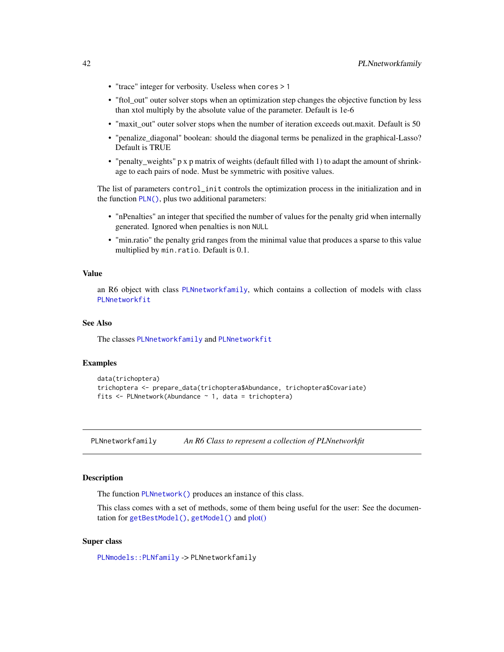- "trace" integer for verbosity. Useless when cores > 1
- "ftol out" outer solver stops when an optimization step changes the objective function by less than xtol multiply by the absolute value of the parameter. Default is 1e-6
- "maxit out" outer solver stops when the number of iteration exceeds out.maxit. Default is 50
- "penalize\_diagonal" boolean: should the diagonal terms be penalized in the graphical-Lasso? Default is TRUE
- "penalty\_weights" p x p matrix of weights (default filled with 1) to adapt the amount of shrinkage to each pairs of node. Must be symmetric with positive values.

The list of parameters control\_init controls the optimization process in the initialization and in the function [PLN\(\)](#page-15-0), plus two additional parameters:

- "nPenalties" an integer that specified the number of values for the penalty grid when internally generated. Ignored when penalties is non NULL
- "min.ratio" the penalty grid ranges from the minimal value that produces a sparse to this value multiplied by min.ratio. Default is 0.1.

### Value

an R6 object with class [PLNnetworkfamily](#page-41-0), which contains a collection of models with class [PLNnetworkfit](#page-45-0)

### See Also

The classes [PLNnetworkfamily](#page-41-0) and [PLNnetworkfit](#page-45-0)

### Examples

```
data(trichoptera)
trichoptera <- prepare_data(trichoptera$Abundance, trichoptera$Covariate)
fits \leq PLNnetwork(Abundance \sim 1, data = trichoptera)
```
<span id="page-41-0"></span>PLNnetworkfamily *An R6 Class to represent a collection of PLNnetworkfit*

#### Description

The function [PLNnetwork\(\)](#page-39-0) produces an instance of this class.

This class comes with a set of methods, some of them being useful for the user: See the documentation for [getBestModel\(\)](#page-10-0), [getModel\(\)](#page-11-0) and [plot\(\)](#page-63-0)

#### Super class

[PLNmodels::PLNfamily](#page-0-0) -> PLNnetworkfamily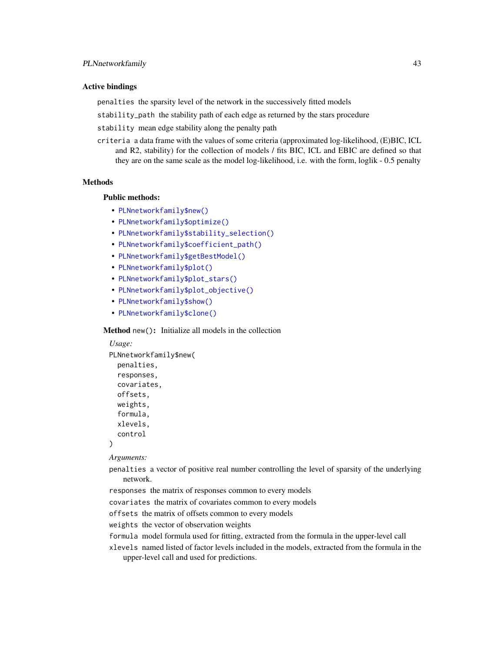#### Active bindings

penalties the sparsity level of the network in the successively fitted models

stability\_path the stability path of each edge as returned by the stars procedure

- stability mean edge stability along the penalty path
- criteria a data frame with the values of some criteria (approximated log-likelihood, (E)BIC, ICL and R2, stability) for the collection of models / fits BIC, ICL and EBIC are defined so that they are on the same scale as the model log-likelihood, i.e. with the form, loglik - 0.5 penalty

# Methods

#### Public methods:

- [PLNnetworkfamily\\$new\(\)](#page-17-0)
- [PLNnetworkfamily\\$optimize\(\)](#page-21-0)
- [PLNnetworkfamily\\$stability\\_selection\(\)](#page-43-0)
- [PLNnetworkfamily\\$coefficient\\_path\(\)](#page-43-1)
- [PLNnetworkfamily\\$getBestModel\(\)](#page-34-0)
- [PLNnetworkfamily\\$plot\(\)](#page-18-4)
- [PLNnetworkfamily\\$plot\\_stars\(\)](#page-44-0)
- [PLNnetworkfamily\\$plot\\_objective\(\)](#page-34-1)
- [PLNnetworkfamily\\$show\(\)](#page-18-1)
- [PLNnetworkfamily\\$clone\(\)](#page-18-3)

Method new(): Initialize all models in the collection

```
Usage:
PLNnetworkfamily$new(
  penalties,
  responses,
  covariates,
 offsets,
 weights,
  formula,
  xlevels,
  control
)
```
*Arguments:*

- penalties a vector of positive real number controlling the level of sparsity of the underlying network.
- responses the matrix of responses common to every models

covariates the matrix of covariates common to every models

offsets the matrix of offsets common to every models

weights the vector of observation weights

- formula model formula used for fitting, extracted from the formula in the upper-level call
- xlevels named listed of factor levels included in the models, extracted from the formula in the upper-level call and used for predictions.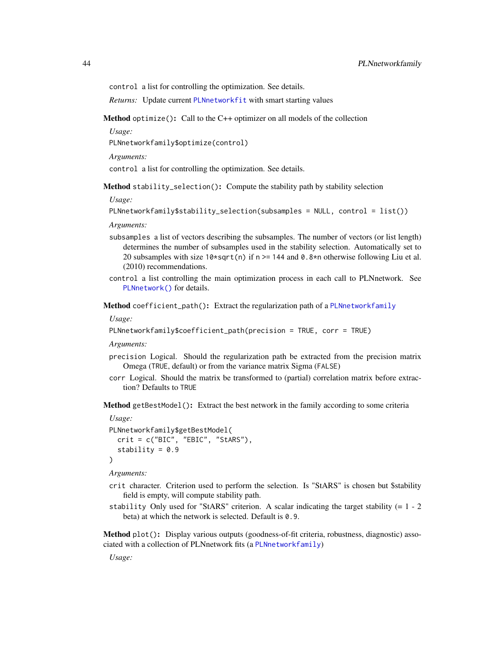control a list for controlling the optimization. See details.

*Returns:* Update current [PLNnetworkfit](#page-45-0) with smart starting values

Method optimize(): Call to the C++ optimizer on all models of the collection

*Usage:*

PLNnetworkfamily\$optimize(control)

*Arguments:*

control a list for controlling the optimization. See details.

<span id="page-43-0"></span>Method stability\_selection(): Compute the stability path by stability selection

*Usage:*

PLNnetworkfamily\$stability\_selection(subsamples = NULL, control = list())

*Arguments:*

- subsamples a list of vectors describing the subsamples. The number of vectors (or list length) determines the number of subsamples used in the stability selection. Automatically set to 20 subsamples with size  $10*sqrt(n)$  if n >= 144 and 0.8\*n otherwise following Liu et al. (2010) recommendations.
- control a list controlling the main optimization process in each call to PLNnetwork. See [PLNnetwork\(\)](#page-39-0) for details.

<span id="page-43-1"></span>Method coefficient\_path(): Extract the regularization path of a [PLNnetworkfamily](#page-41-0)

*Usage:*

```
PLNnetworkfamily$coefficient_path(precision = TRUE, corr = TRUE)
```
*Arguments:*

- precision Logical. Should the regularization path be extracted from the precision matrix Omega (TRUE, default) or from the variance matrix Sigma (FALSE)
- corr Logical. Should the matrix be transformed to (partial) correlation matrix before extraction? Defaults to TRUE

Method getBestModel(): Extract the best network in the family according to some criteria

```
Usage:
PLNnetworkfamily$getBestModel(
  crit = c("BIC", "EBIC", "StARS"),
  stability = 0.9)
```
*Arguments:*

- crit character. Criterion used to perform the selection. Is "StARS" is chosen but \$stability field is empty, will compute stability path.
- stability Only used for "StARS" criterion. A scalar indicating the target stability  $(= 1 2)$ beta) at which the network is selected. Default is 0.9.

Method plot(): Display various outputs (goodness-of-fit criteria, robustness, diagnostic) associated with a collection of PLNnetwork fits (a [PLNnetworkfamily](#page-41-0))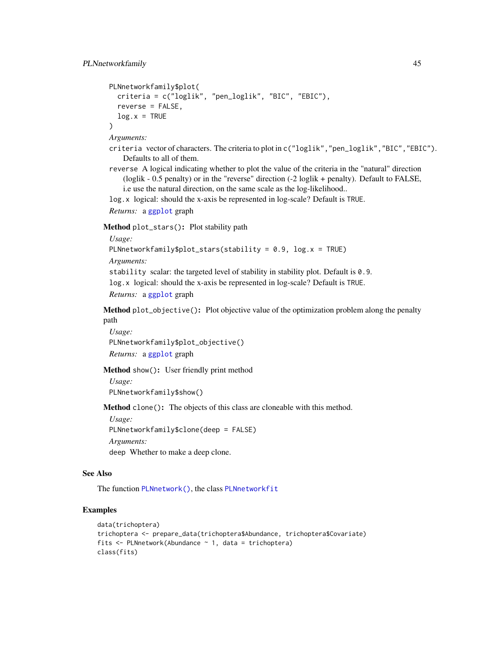```
PLNnetworkfamily$plot(
 criteria = c("loglik", "pen_loglik", "BIC", "EBIC"),
 reverse = FALSE,
 log.x = TRUE)
```
- criteria vector of characters. The criteria to plot in c("loglik", "pen\_loglik", "BIC", "EBIC"). Defaults to all of them.
- reverse A logical indicating whether to plot the value of the criteria in the "natural" direction (loglik - 0.5 penalty) or in the "reverse" direction (-2 loglik + penalty). Default to FALSE, i.e use the natural direction, on the same scale as the log-likelihood..

log.x logical: should the x-axis be represented in log-scale? Default is TRUE.

*Returns:* a [ggplot](#page-0-0) graph

<span id="page-44-0"></span>Method plot\_stars(): Plot stability path

*Usage:*

```
PLNnetworkfamily$plot_stars(stability = 0.9, log.x = TRUE)
```
*Arguments:*

stability scalar: the targeted level of stability in stability plot. Default is 0.9. log.x logical: should the x-axis be represented in log-scale? Default is TRUE. *Returns:* a [ggplot](#page-0-0) graph

Method plot\_objective(): Plot objective value of the optimization problem along the penalty path

*Usage:* PLNnetworkfamily\$plot\_objective() *Returns:* a [ggplot](#page-0-0) graph

Method show(): User friendly print method

*Usage:*

PLNnetworkfamily\$show()

Method clone(): The objects of this class are cloneable with this method.

*Usage:*

PLNnetworkfamily\$clone(deep = FALSE)

*Arguments:*

deep Whether to make a deep clone.

# See Also

The function [PLNnetwork\(\)](#page-39-0), the class [PLNnetworkfit](#page-45-0)

### Examples

```
data(trichoptera)
trichoptera <- prepare_data(trichoptera$Abundance, trichoptera$Covariate)
fits \leq PLNnetwork(Abundance \sim 1, data = trichoptera)
class(fits)
```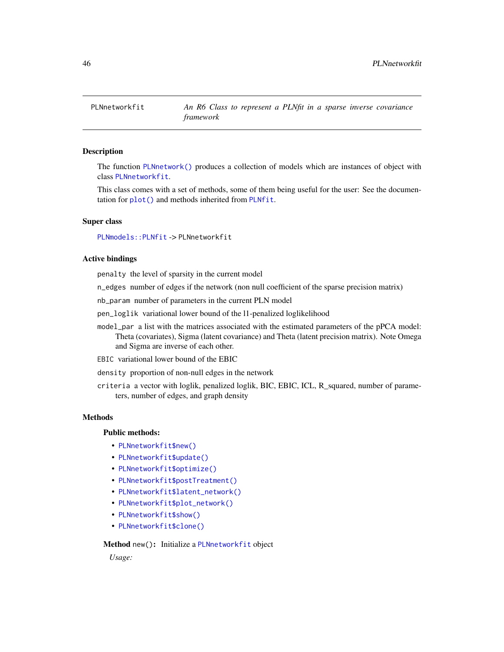<span id="page-45-0"></span>

### Description

The function [PLNnetwork\(\)](#page-39-0) produces a collection of models which are instances of object with class [PLNnetworkfit](#page-45-0).

This class comes with a set of methods, some of them being useful for the user: See the documentation for [plot\(\)](#page-64-0) and methods inherited from [PLNfit](#page-19-0).

### Super class

[PLNmodels::PLNfit](#page-0-0) -> PLNnetworkfit

### Active bindings

penalty the level of sparsity in the current model

n\_edges number of edges if the network (non null coefficient of the sparse precision matrix)

nb\_param number of parameters in the current PLN model

pen\_loglik variational lower bound of the l1-penalized loglikelihood

model\_par a list with the matrices associated with the estimated parameters of the pPCA model: Theta (covariates), Sigma (latent covariance) and Theta (latent precision matrix). Note Omega and Sigma are inverse of each other.

EBIC variational lower bound of the EBIC

density proportion of non-null edges in the network

criteria a vector with loglik, penalized loglik, BIC, EBIC, ICL, R\_squared, number of parameters, number of edges, and graph density

#### Methods

#### Public methods:

- [PLNnetworkfit\\$new\(\)](#page-17-0)
- [PLNnetworkfit\\$update\(\)](#page-20-0)
- [PLNnetworkfit\\$optimize\(\)](#page-21-0)
- [PLNnetworkfit\\$postTreatment\(\)](#page-18-0)
- [PLNnetworkfit\\$latent\\_network\(\)](#page-47-0)
- [PLNnetworkfit\\$plot\\_network\(\)](#page-47-1)
- [PLNnetworkfit\\$show\(\)](#page-18-1)
- [PLNnetworkfit\\$clone\(\)](#page-18-3)

#### Method new(): Initialize a [PLNnetworkfit](#page-45-0) object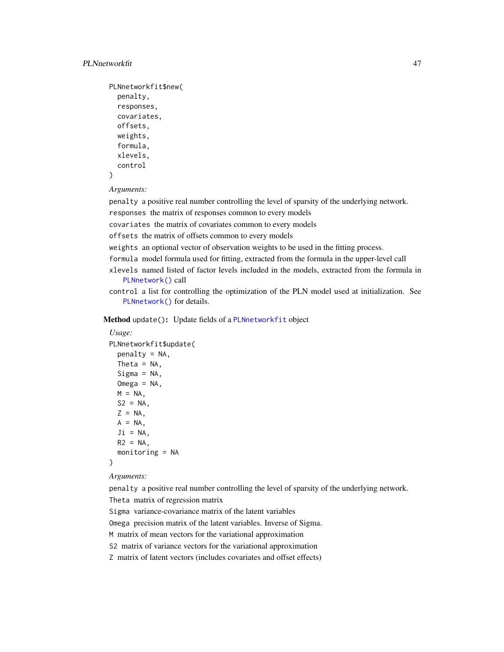```
PLNnetworkfit$new(
 penalty,
  responses,
 covariates,
  offsets,
 weights,
 formula,
  xlevels,
  control
```

```
)
```
penalty a positive real number controlling the level of sparsity of the underlying network.

responses the matrix of responses common to every models

covariates the matrix of covariates common to every models

offsets the matrix of offsets common to every models

weights an optional vector of observation weights to be used in the fitting process.

formula model formula used for fitting, extracted from the formula in the upper-level call

- xlevels named listed of factor levels included in the models, extracted from the formula in [PLNnetwork\(\)](#page-39-0) call
- control a list for controlling the optimization of the PLN model used at initialization. See [PLNnetwork\(\)](#page-39-0) for details.

Method update(): Update fields of a [PLNnetworkfit](#page-45-0) object

```
Usage:
PLNnetworkfit$update(
 penalty = NA,
 Theta = NA,
  Sigma = NA,
 Omega = NA,
 M = NA,
 S2 = NA,
  Z = NA,
 A = NA,
 Ji = NA,
 R2 = NA,
  monitoring = NA
)
```
*Arguments:*

penalty a positive real number controlling the level of sparsity of the underlying network. Theta matrix of regression matrix

Sigma variance-covariance matrix of the latent variables

Omega precision matrix of the latent variables. Inverse of Sigma.

M matrix of mean vectors for the variational approximation

S2 matrix of variance vectors for the variational approximation

Z matrix of latent vectors (includes covariates and offset effects)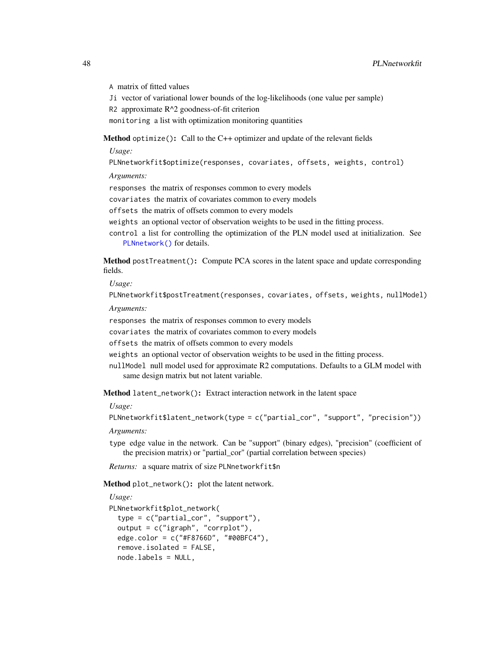A matrix of fitted values

Ji vector of variational lower bounds of the log-likelihoods (one value per sample)

R2 approximate R^2 goodness-of-fit criterion

monitoring a list with optimization monitoring quantities

Method optimize(): Call to the C++ optimizer and update of the relevant fields

*Usage:*

PLNnetworkfit\$optimize(responses, covariates, offsets, weights, control)

*Arguments:*

responses the matrix of responses common to every models

covariates the matrix of covariates common to every models

offsets the matrix of offsets common to every models

weights an optional vector of observation weights to be used in the fitting process.

control a list for controlling the optimization of the PLN model used at initialization. See [PLNnetwork\(\)](#page-39-0) for details.

Method postTreatment(): Compute PCA scores in the latent space and update corresponding fields.

*Usage:*

PLNnetworkfit\$postTreatment(responses, covariates, offsets, weights, nullModel)

*Arguments:*

responses the matrix of responses common to every models

covariates the matrix of covariates common to every models

offsets the matrix of offsets common to every models

weights an optional vector of observation weights to be used in the fitting process.

nullModel null model used for approximate R2 computations. Defaults to a GLM model with same design matrix but not latent variable.

<span id="page-47-0"></span>Method latent\_network(): Extract interaction network in the latent space

*Usage:*

```
PLNnetworkfit$latent_network(type = c("partial_cor", "support", "precision"))
```
*Arguments:*

type edge value in the network. Can be "support" (binary edges), "precision" (coefficient of the precision matrix) or "partial\_cor" (partial correlation between species)

*Returns:* a square matrix of size PLNnetworkfit\$n

<span id="page-47-1"></span>Method plot\_network(): plot the latent network.

```
Usage:
PLNnetworkfit$plot_network(
  type = c("partial_cor", "support"),
  output = c("igraph", "corrplot"),
  edge.color = c("#F8766D", "#00BFC4"),
  remove.isolated = FALSE,
  node.labels = NULL,
```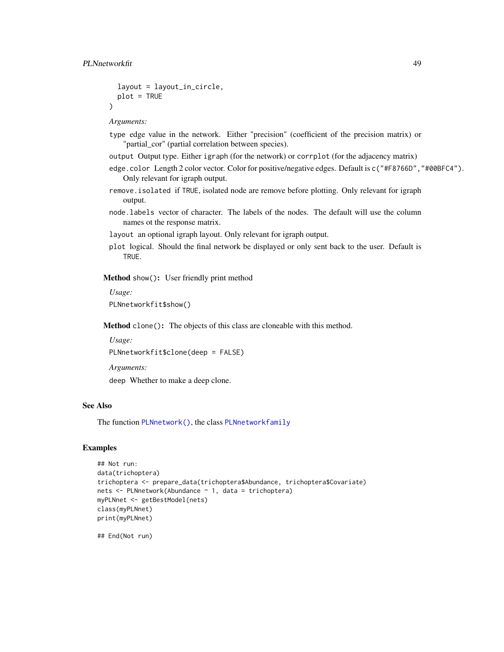```
layout = layout_in_circle,
  plot = TRUE
\lambda
```
- type edge value in the network. Either "precision" (coefficient of the precision matrix) or "partial\_cor" (partial correlation between species).
- output Output type. Either igraph (for the network) or corrplot (for the adjacency matrix)
- edge.color Length 2 color vector. Color for positive/negative edges. Default is c("#F8766D","#00BFC4"). Only relevant for igraph output.
- remove.isolated if TRUE, isolated node are remove before plotting. Only relevant for igraph output.
- node.labels vector of character. The labels of the nodes. The default will use the column names ot the response matrix.

layout an optional igraph layout. Only relevant for igraph output.

plot logical. Should the final network be displayed or only sent back to the user. Default is TRUE.

Method show(): User friendly print method

*Usage:*

PLNnetworkfit\$show()

Method clone(): The objects of this class are cloneable with this method.

*Usage:* PLNnetworkfit\$clone(deep = FALSE)

*Arguments:*

deep Whether to make a deep clone.

# See Also

The function [PLNnetwork\(\)](#page-39-0), the class [PLNnetworkfamily](#page-41-0)

# Examples

```
## Not run:
data(trichoptera)
trichoptera <- prepare_data(trichoptera$Abundance, trichoptera$Covariate)
nets <- PLNnetwork(Abundance ~ 1, data = trichoptera)
myPLNnet <- getBestModel(nets)
class(myPLNnet)
print(myPLNnet)
```
## End(Not run)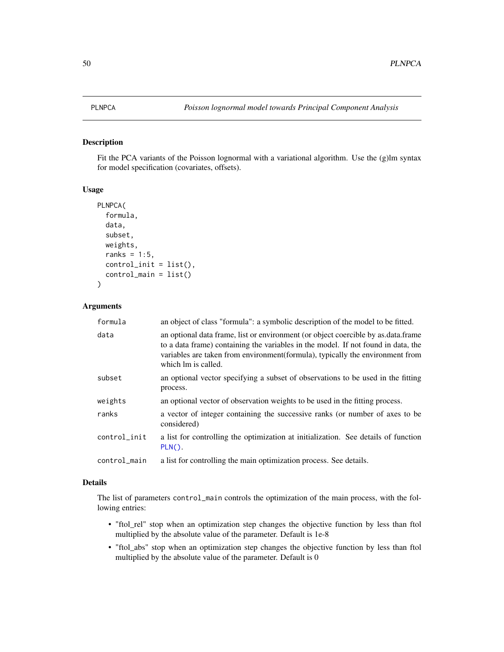# <span id="page-49-0"></span>Description

Fit the PCA variants of the Poisson lognormal with a variational algorithm. Use the (g)lm syntax for model specification (covariates, offsets).

# Usage

```
PLNPCA(
  formula,
  data,
  subset,
 weights,
  ranks = 1:5,
  control_init = list(),
  control_main = list()
)
```
### Arguments

| formula      | an object of class "formula": a symbolic description of the model to be fitted.                                                                                                                                                                                                |
|--------------|--------------------------------------------------------------------------------------------------------------------------------------------------------------------------------------------------------------------------------------------------------------------------------|
| data         | an optional data frame, list or environment (or object coercible by as data frame<br>to a data frame) containing the variables in the model. If not found in data, the<br>variables are taken from environment(formula), typically the environment from<br>which lm is called. |
| subset       | an optional vector specifying a subset of observations to be used in the fitting<br>process.                                                                                                                                                                                   |
| weights      | an optional vector of observation weights to be used in the fitting process.                                                                                                                                                                                                   |
| ranks        | a vector of integer containing the successive ranks (or number of axes to be<br>considered)                                                                                                                                                                                    |
| control_init | a list for controlling the optimization at initialization. See details of function<br>$PLN()$ .                                                                                                                                                                                |
| control_main | a list for controlling the main optimization process. See details.                                                                                                                                                                                                             |

#### Details

The list of parameters control\_main controls the optimization of the main process, with the following entries:

- "ftol\_rel" stop when an optimization step changes the objective function by less than ftol multiplied by the absolute value of the parameter. Default is 1e-8
- "ftol\_abs" stop when an optimization step changes the objective function by less than ftol multiplied by the absolute value of the parameter. Default is 0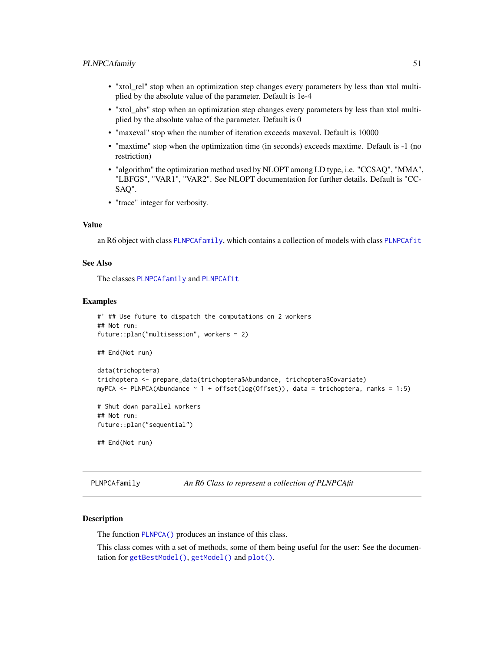- "xtol\_rel" stop when an optimization step changes every parameters by less than xtol multiplied by the absolute value of the parameter. Default is 1e-4
- "xtol\_abs" stop when an optimization step changes every parameters by less than xtol multiplied by the absolute value of the parameter. Default is 0
- "maxeval" stop when the number of iteration exceeds maxeval. Default is 10000
- "maxtime" stop when the optimization time (in seconds) exceeds maxtime. Default is -1 (no restriction)
- "algorithm" the optimization method used by NLOPT among LD type, i.e. "CCSAQ", "MMA", "LBFGS", "VAR1", "VAR2". See NLOPT documentation for further details. Default is "CC-SAQ".
- "trace" integer for verbosity.

#### Value

an R6 object with class [PLNPCAfamily](#page-50-0), which contains a collection of models with class [PLNPCAfit](#page-53-0)

# See Also

The classes [PLNPCAfamily](#page-50-0) and [PLNPCAfit](#page-53-0)

#### Examples

```
#' ## Use future to dispatch the computations on 2 workers
## Not run:
future::plan("multisession", workers = 2)
## End(Not run)
data(trichoptera)
trichoptera <- prepare_data(trichoptera$Abundance, trichoptera$Covariate)
myPCA <- PLNPCA(Abundance ~ 1 + offset(log(Offset)), data = trichoptera, ranks = 1:5)
# Shut down parallel workers
## Not run:
future::plan("sequential")
## End(Not run)
```
<span id="page-50-0"></span>PLNPCAfamily *An R6 Class to represent a collection of PLNPCAfit*

#### Description

The function [PLNPCA\(\)](#page-49-0) produces an instance of this class.

This class comes with a set of methods, some of them being useful for the user: See the documentation for [getBestModel\(\)](#page-10-0), [getModel\(\)](#page-11-0) and [plot\(\)](#page-65-0).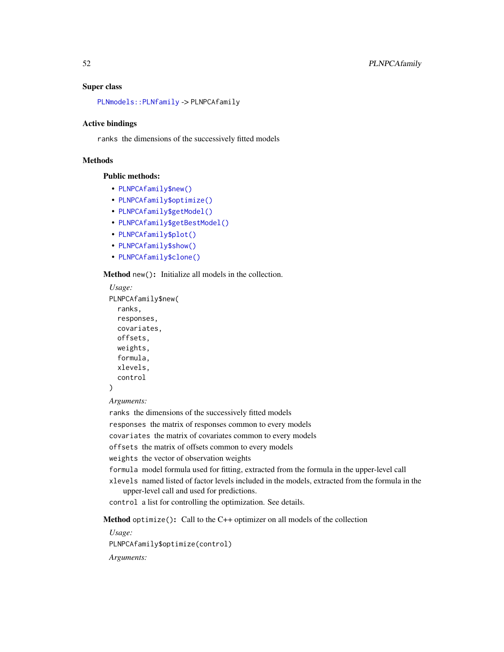#### Super class

[PLNmodels::PLNfamily](#page-0-0) -> PLNPCAfamily

### Active bindings

ranks the dimensions of the successively fitted models

# Methods

# Public methods:

- [PLNPCAfamily\\$new\(\)](#page-17-0)
- [PLNPCAfamily\\$optimize\(\)](#page-21-0)
- [PLNPCAfamily\\$getModel\(\)](#page-18-5)
- [PLNPCAfamily\\$getBestModel\(\)](#page-34-0)
- [PLNPCAfamily\\$plot\(\)](#page-18-4)
- [PLNPCAfamily\\$show\(\)](#page-18-1)
- [PLNPCAfamily\\$clone\(\)](#page-18-3)

Method new(): Initialize all models in the collection.

```
Usage:
PLNPCAfamily$new(
  ranks,
 responses,
 covariates,
 offsets,
 weights,
  formula,
  xlevels,
  control
```
#### )

*Arguments:*

ranks the dimensions of the successively fitted models

responses the matrix of responses common to every models

covariates the matrix of covariates common to every models

offsets the matrix of offsets common to every models

weights the vector of observation weights

formula model formula used for fitting, extracted from the formula in the upper-level call

xlevels named listed of factor levels included in the models, extracted from the formula in the upper-level call and used for predictions.

control a list for controlling the optimization. See details.

Method optimize(): Call to the C++ optimizer on all models of the collection

*Usage:*

PLNPCAfamily\$optimize(control)

*Arguments:*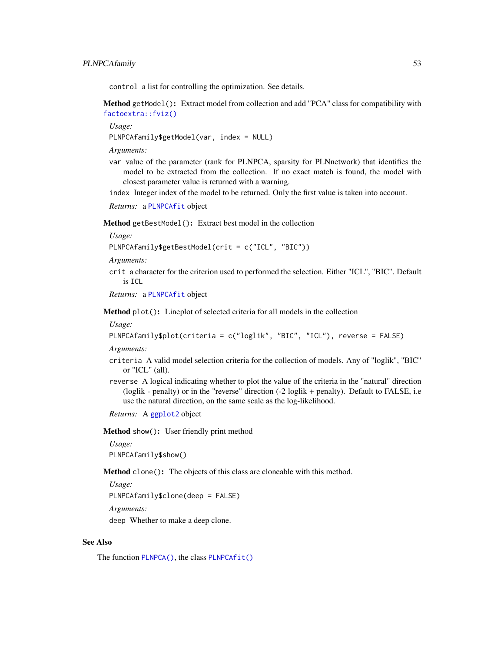control a list for controlling the optimization. See details.

Method getModel(): Extract model from collection and add "PCA" class for compatibility with [factoextra::fviz\(\)](#page-0-0)

*Usage:*

PLNPCAfamily\$getModel(var, index = NULL)

*Arguments:*

var value of the parameter (rank for PLNPCA, sparsity for PLNnetwork) that identifies the model to be extracted from the collection. If no exact match is found, the model with closest parameter value is returned with a warning.

index Integer index of the model to be returned. Only the first value is taken into account.

*Returns:* a [PLNPCAfit](#page-53-0) object

Method getBestModel(): Extract best model in the collection

*Usage:*

PLNPCAfamily\$getBestModel(crit = c("ICL", "BIC"))

*Arguments:*

crit a character for the criterion used to performed the selection. Either "ICL", "BIC". Default is ICL

*Returns:* a [PLNPCAfit](#page-53-0) object

Method plot(): Lineplot of selected criteria for all models in the collection

*Usage:*

PLNPCAfamily\$plot(criteria = c("loglik", "BIC", "ICL"), reverse = FALSE)

*Arguments:*

- criteria A valid model selection criteria for the collection of models. Any of "loglik", "BIC" or "ICL" (all).
- reverse A logical indicating whether to plot the value of the criteria in the "natural" direction (loglik - penalty) or in the "reverse" direction (-2 loglik + penalty). Default to FALSE, i.e use the natural direction, on the same scale as the log-likelihood.

*Returns:* A [ggplot2](#page-0-0) object

Method show(): User friendly print method

*Usage:*

PLNPCAfamily\$show()

Method clone(): The objects of this class are cloneable with this method.

*Usage:*

PLNPCAfamily\$clone(deep = FALSE)

*Arguments:*

deep Whether to make a deep clone.

#### See Also

The function [PLNPCA\(\)](#page-49-0), the class [PLNPCAfit\(\)](#page-53-0)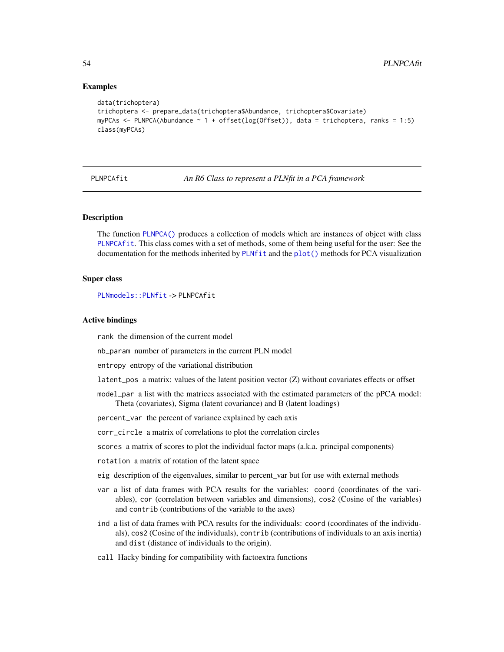#### Examples

```
data(trichoptera)
trichoptera <- prepare_data(trichoptera$Abundance, trichoptera$Covariate)
myPCAs <- PLNPCA(Abundance ~ 1 + offset(log(Offset)), data = trichoptera, ranks = 1:5)
class(myPCAs)
```
<span id="page-53-0"></span>PLNPCAfit *An R6 Class to represent a PLNfit in a PCA framework*

### Description

The function [PLNPCA\(\)](#page-49-0) produces a collection of models which are instances of object with class [PLNPCAfit](#page-53-0). This class comes with a set of methods, some of them being useful for the user: See the documentation for the methods inherited by [PLNfit](#page-19-0) and the [plot\(\)](#page-0-0) methods for PCA visualization

#### Super class

[PLNmodels::PLNfit](#page-0-0) -> PLNPCAfit

#### Active bindings

rank the dimension of the current model

nb\_param number of parameters in the current PLN model

entropy entropy of the variational distribution

latent\_pos a matrix: values of the latent position vector (Z) without covariates effects or offset

model\_par a list with the matrices associated with the estimated parameters of the pPCA model: Theta (covariates), Sigma (latent covariance) and B (latent loadings)

percent\_var the percent of variance explained by each axis

corr\_circle a matrix of correlations to plot the correlation circles

scores a matrix of scores to plot the individual factor maps (a.k.a. principal components)

rotation a matrix of rotation of the latent space

- eig description of the eigenvalues, similar to percent\_var but for use with external methods
- var a list of data frames with PCA results for the variables: coord (coordinates of the variables), cor (correlation between variables and dimensions), cos2 (Cosine of the variables) and contrib (contributions of the variable to the axes)
- ind a list of data frames with PCA results for the individuals: coord (coordinates of the individuals), cos2 (Cosine of the individuals), contrib (contributions of individuals to an axis inertia) and dist (distance of individuals to the origin).
- call Hacky binding for compatibility with factoextra functions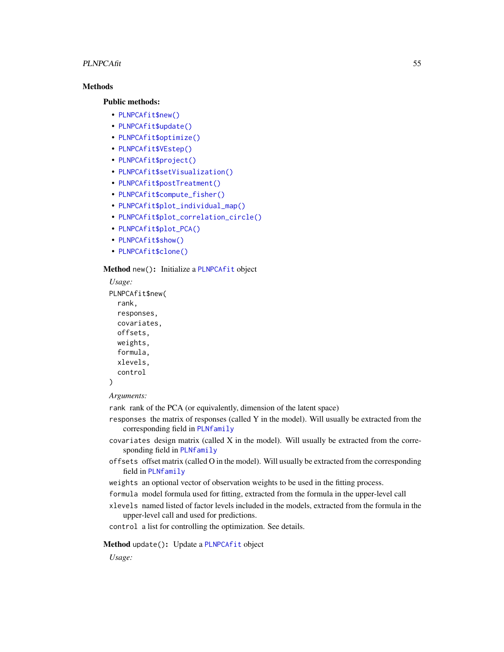#### PLNPCAfit 55

# **Methods**

### Public methods:

- [PLNPCAfit\\$new\(\)](#page-17-0)
- [PLNPCAfit\\$update\(\)](#page-20-0)
- [PLNPCAfit\\$optimize\(\)](#page-21-0)
- [PLNPCAfit\\$VEstep\(\)](#page-22-0)
- [PLNPCAfit\\$project\(\)](#page-56-0)
- [PLNPCAfit\\$setVisualization\(\)](#page-28-0)
- [PLNPCAfit\\$postTreatment\(\)](#page-18-0)
- [PLNPCAfit\\$compute\\_fisher\(\)](#page-22-1)
- [PLNPCAfit\\$plot\\_individual\\_map\(\)](#page-28-1)
- [PLNPCAfit\\$plot\\_correlation\\_circle\(\)](#page-57-0)
- [PLNPCAfit\\$plot\\_PCA\(\)](#page-58-0)
- [PLNPCAfit\\$show\(\)](#page-18-1)
- [PLNPCAfit\\$clone\(\)](#page-18-3)

### Method new(): Initialize a [PLNPCAfit](#page-53-0) object

```
Usage:
PLNPCAfit$new(
 rank,
  responses,
 covariates,
 offsets,
 weights,
  formula,
  xlevels,
  control
```

```
)
```
*Arguments:*

rank rank of the PCA (or equivalently, dimension of the latent space)

- responses the matrix of responses (called Y in the model). Will usually be extracted from the corresponding field in [PLNfamily](#page-16-0)
- covariates design matrix (called X in the model). Will usually be extracted from the corresponding field in [PLNfamily](#page-16-0)
- offsets offset matrix (called O in the model). Will usually be extracted from the corresponding field in [PLNfamily](#page-16-0)
- weights an optional vector of observation weights to be used in the fitting process.
- formula model formula used for fitting, extracted from the formula in the upper-level call
- xlevels named listed of factor levels included in the models, extracted from the formula in the upper-level call and used for predictions.

control a list for controlling the optimization. See details.

# Method update(): Update a [PLNPCAfit](#page-53-0) object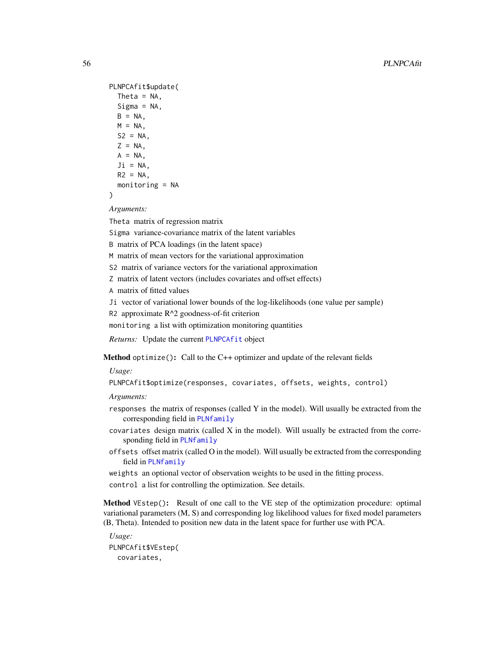```
PLNPCAfit$update(
 Theta = NA,
 Sigma = NA,
 B = NA,
 M = NA,
 S2 = NA,
 Z = NA,
 A = NA,
  J_i = NA.
 R2 = NA,
 monitoring = NA
```

```
)
```
Theta matrix of regression matrix

Sigma variance-covariance matrix of the latent variables

B matrix of PCA loadings (in the latent space)

M matrix of mean vectors for the variational approximation

S2 matrix of variance vectors for the variational approximation

Z matrix of latent vectors (includes covariates and offset effects)

A matrix of fitted values

Ji vector of variational lower bounds of the log-likelihoods (one value per sample)

R2 approximate R^2 goodness-of-fit criterion

monitoring a list with optimization monitoring quantities

*Returns:* Update the current [PLNPCAfit](#page-53-0) object

Method optimize(): Call to the C++ optimizer and update of the relevant fields

*Usage:*

PLNPCAfit\$optimize(responses, covariates, offsets, weights, control)

*Arguments:*

- responses the matrix of responses (called Y in the model). Will usually be extracted from the corresponding field in [PLNfamily](#page-16-0)
- $covariates$  design matrix (called  $X$  in the model). Will usually be extracted from the corresponding field in [PLNfamily](#page-16-0)
- offsets offset matrix (called O in the model). Will usually be extracted from the corresponding field in [PLNfamily](#page-16-0)

weights an optional vector of observation weights to be used in the fitting process. control a list for controlling the optimization. See details.

Method VEstep(): Result of one call to the VE step of the optimization procedure: optimal variational parameters (M, S) and corresponding log likelihood values for fixed model parameters (B, Theta). Intended to position new data in the latent space for further use with PCA.

*Usage:* PLNPCAfit\$VEstep( covariates,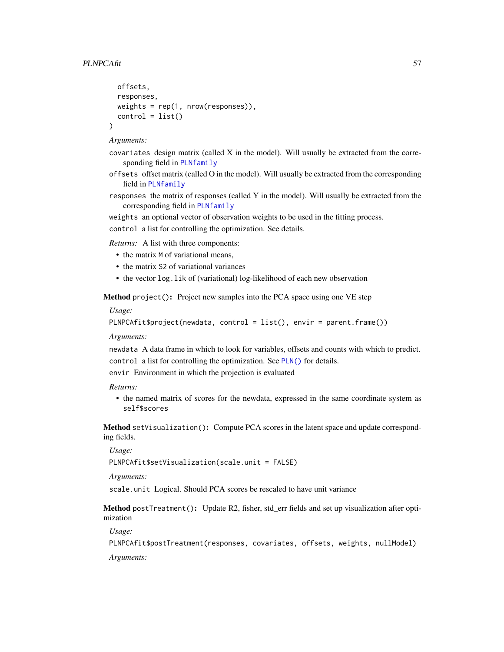```
offsets,
responses,
weights = rep(1, nrow(responents)),
control = list()
```
)

- covariates design matrix (called X in the model). Will usually be extracted from the corresponding field in [PLNfamily](#page-16-0)
- offsets offset matrix (called O in the model). Will usually be extracted from the corresponding field in [PLNfamily](#page-16-0)
- responses the matrix of responses (called Y in the model). Will usually be extracted from the corresponding field in [PLNfamily](#page-16-0)

weights an optional vector of observation weights to be used in the fitting process.

control a list for controlling the optimization. See details.

*Returns:* A list with three components:

- the matrix M of variational means,
- the matrix S2 of variational variances
- the vector log.lik of (variational) log-likelihood of each new observation

<span id="page-56-0"></span>Method project(): Project new samples into the PCA space using one VE step

*Usage:*

PLNPCAfit\$project(newdata, control = list(), envir = parent.frame())

#### *Arguments:*

newdata A data frame in which to look for variables, offsets and counts with which to predict. control a list for controlling the optimization. See [PLN\(\)](#page-15-0) for details.

envir Environment in which the projection is evaluated

### *Returns:*

• the named matrix of scores for the newdata, expressed in the same coordinate system as self\$scores

Method setVisualization(): Compute PCA scores in the latent space and update corresponding fields.

#### *Usage:*

PLNPCAfit\$setVisualization(scale.unit = FALSE)

*Arguments:*

scale.unit Logical. Should PCA scores be rescaled to have unit variance

Method postTreatment(): Update R2, fisher, std\_err fields and set up visualization after optimization

*Usage:*

PLNPCAfit\$postTreatment(responses, covariates, offsets, weights, nullModel)

*Arguments:*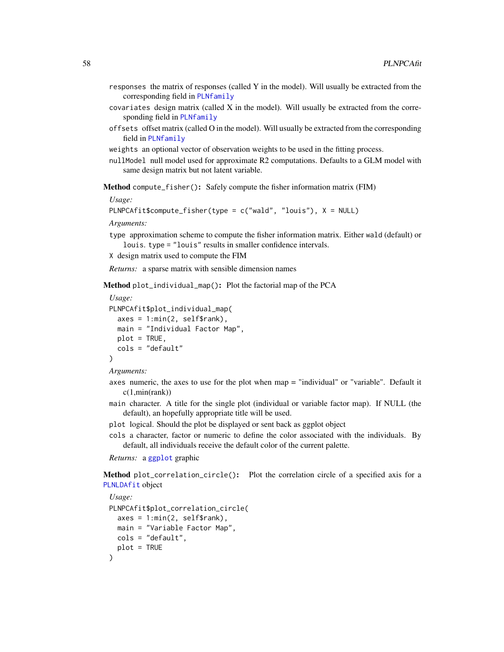- responses the matrix of responses (called Y in the model). Will usually be extracted from the corresponding field in [PLNfamily](#page-16-0)
- $covariates$  design matrix (called  $X$  in the model). Will usually be extracted from the corresponding field in [PLNfamily](#page-16-0)
- offsets offset matrix (called O in the model). Will usually be extracted from the corresponding field in [PLNfamily](#page-16-0)
- weights an optional vector of observation weights to be used in the fitting process.
- nullModel null model used for approximate R2 computations. Defaults to a GLM model with same design matrix but not latent variable.

Method compute\_fisher(): Safely compute the fisher information matrix (FIM)

*Usage:*

```
PLNPCAfit$compute_fisher(type = c("wald", "louis"), X = NULL)
```
*Arguments:*

- type approximation scheme to compute the fisher information matrix. Either wald (default) or louis. type = "louis" results in smaller confidence intervals.
- X design matrix used to compute the FIM

*Returns:* a sparse matrix with sensible dimension names

Method plot\_individual\_map(): Plot the factorial map of the PCA

```
Usage:
PLNPCAfit$plot_individual_map(
  axes = 1: min(2, self$rank),main = "Individual Factor Map",
 plot = TRUE,
  cols = "default"
)
```
*Arguments:*

- axes numeric, the axes to use for the plot when map = "individual" or "variable". Default it  $c(1, min(rank))$
- main character. A title for the single plot (individual or variable factor map). If NULL (the default), an hopefully appropriate title will be used.
- plot logical. Should the plot be displayed or sent back as ggplot object
- cols a character, factor or numeric to define the color associated with the individuals. By default, all individuals receive the default color of the current palette.

*Returns:* a [ggplot](#page-0-0) graphic

<span id="page-57-0"></span>Method plot\_correlation\_circle(): Plot the correlation circle of a specified axis for a [PLNLDAfit](#page-26-0) object

```
Usage:
PLNPCAfit$plot_correlation_circle(
 axes = 1: min(2, self$rank),main = "Variable Factor Map",
 cols = "default",
 plot = TRUE
)
```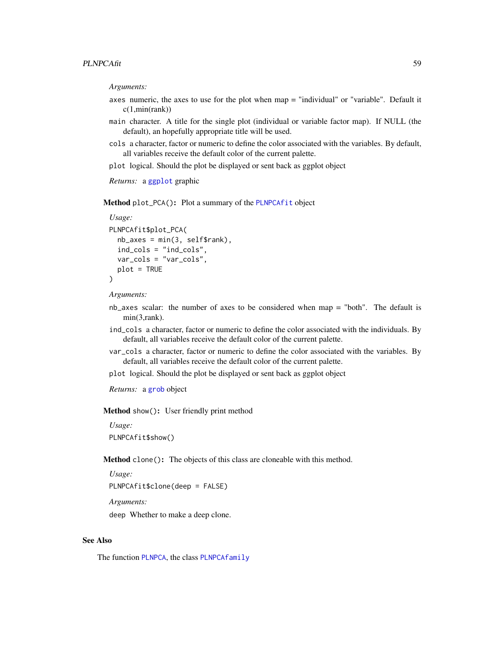- axes numeric, the axes to use for the plot when map = "individual" or "variable". Default it c(1,min(rank))
- main character. A title for the single plot (individual or variable factor map). If NULL (the default), an hopefully appropriate title will be used.
- cols a character, factor or numeric to define the color associated with the variables. By default, all variables receive the default color of the current palette.
- plot logical. Should the plot be displayed or sent back as ggplot object

*Returns:* a [ggplot](#page-0-0) graphic

<span id="page-58-0"></span>Method plot\_PCA(): Plot a summary of the [PLNPCAfit](#page-53-0) object

```
Usage:
PLNPCAfit$plot_PCA(
 nb_axes = min(3, self$rank),
  ind_cols = "ind_cols",
 var_cols = "var_cols",
 plot = TRUE
)
```
*Arguments:*

- nb\_axes scalar: the number of axes to be considered when map = "both". The default is min(3,rank).
- ind\_cols a character, factor or numeric to define the color associated with the individuals. By default, all variables receive the default color of the current palette.
- var\_cols a character, factor or numeric to define the color associated with the variables. By default, all variables receive the default color of the current palette.
- plot logical. Should the plot be displayed or sent back as ggplot object

*Returns:* a [grob](#page-0-0) object

Method show(): User friendly print method

*Usage:* PLNPCAfit\$show()

Method clone(): The objects of this class are cloneable with this method.

```
Usage:
PLNPCAfit$clone(deep = FALSE)
Arguments:
```
deep Whether to make a deep clone.

#### See Also

The function [PLNPCA](#page-49-0), the class [PLNPCAfamily](#page-50-0)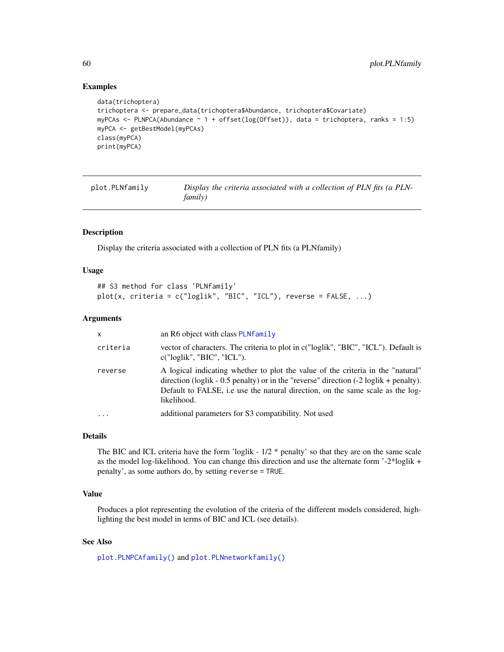### Examples

```
data(trichoptera)
trichoptera <- prepare_data(trichoptera$Abundance, trichoptera$Covariate)
myPCAs \leq PLNPCA(Abundance \leq 1 + offset(log(Offset)), data = trichoptera, ranks = 1:5)
myPCA <- getBestModel(myPCAs)
class(myPCA)
print(myPCA)
```

| plot.PLNfamily | Display the criteria associated with a collection of PLN fits (a PLN- |
|----------------|-----------------------------------------------------------------------|
|                | <i>family</i> )                                                       |

#### Description

Display the criteria associated with a collection of PLN fits (a PLNfamily)

### Usage

```
## S3 method for class 'PLNfamily'
plot(x, criteria = c("loglik", "BIC", "ICL"), reverse = FALSE, ...)
```
# Arguments

| $\mathsf{x}$ | an R6 object with class PLNfamily                                                                                                                                                                                                                                                            |
|--------------|----------------------------------------------------------------------------------------------------------------------------------------------------------------------------------------------------------------------------------------------------------------------------------------------|
| criteria     | vector of characters. The criteria to plot in c("loglik", "BIC", "ICL"). Default is<br>c("loglik", "BIC", "ICL").                                                                                                                                                                            |
| reverse      | A logical indicating whether to plot the value of the criteria in the "natural"<br>direction (loglik - 0.5 penalty) or in the "reverse" direction $(-2 \log\frac{1}{k} + \text{penalty})$ .<br>Default to FALSE, i.e use the natural direction, on the same scale as the log-<br>likelihood. |
| $\ddotsc$    | additional parameters for S3 compatibility. Not used                                                                                                                                                                                                                                         |

# Details

The BIC and ICL criteria have the form 'loglik -  $1/2$  \* penalty' so that they are on the same scale as the model log-likelihood. You can change this direction and use the alternate form '-2\*loglik + penalty', as some authors do, by setting reverse = TRUE.

# Value

Produces a plot representing the evolution of the criteria of the different models considered, highlighting the best model in terms of BIC and ICL (see details).

# See Also

[plot.PLNPCAfamily\(\)](#page-65-0) and [plot.PLNnetworkfamily\(\)](#page-63-0)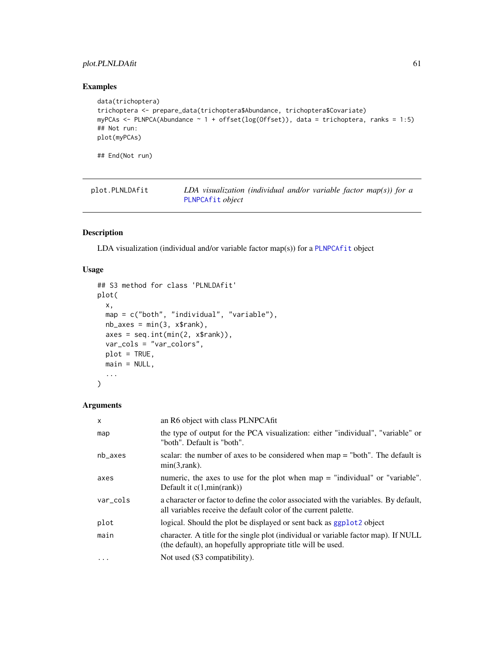# plot.PLNLDAfit 61

# Examples

```
data(trichoptera)
trichoptera <- prepare_data(trichoptera$Abundance, trichoptera$Covariate)
myPCAs \leq PLNPCA(Abundance \leq 1 + offset(log(Offset)), data = trichoptera, ranks = 1:5)
## Not run:
plot(myPCAs)
## End(Not run)
```

| plot.PLNLDAfit | LDA visualization (individual and/or variable factor map(s)) for a |  |
|----------------|--------------------------------------------------------------------|--|
|                | PLNPCAfit object                                                   |  |

# Description

LDA visualization (individual and/or variable factor map(s)) for a [PLNPCAfit](#page-53-0) object

# Usage

```
## S3 method for class 'PLNLDAfit'
plot(
  x,
  map = c("both", "individual", "variable"),
  nb\_\exists x \text{ es } = min(3, x\{rank}),
  axes = seq.int(min(2, x$rank)),
  var_cols = "var_colors",
  plot = TRUE,
  main = NULL,
  ...
)
```
# Arguments

| $\times$  | an R6 object with class PLNPCAfit                                                                                                                       |
|-----------|---------------------------------------------------------------------------------------------------------------------------------------------------------|
| map       | the type of output for the PCA visualization: either "individual", "variable" or<br>"both". Default is "both".                                          |
| $nb$ axes | scalar: the number of axes to be considered when $map = "both".$ The default is<br>$min(3, rank)$ .                                                     |
| axes      | numeric, the axes to use for the plot when map = "individual" or "variable".<br>Default it $c(1, min(rank))$                                            |
| var_cols  | a character or factor to define the color associated with the variables. By default,<br>all variables receive the default color of the current palette. |
| plot      | logical. Should the plot be displayed or sent back as ggplot2 object                                                                                    |
| main      | character. A title for the single plot (individual or variable factor map). If NULL<br>(the default), an hopefully appropriate title will be used.      |
| $\ddotsc$ | Not used (S3 compatibility).                                                                                                                            |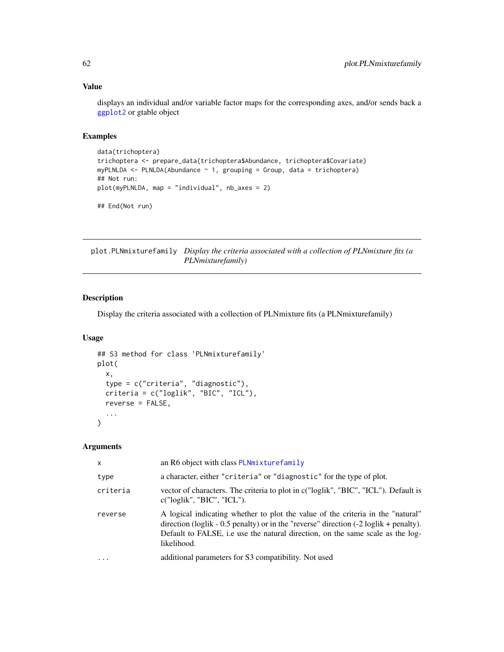# Value

displays an individual and/or variable factor maps for the corresponding axes, and/or sends back a [ggplot2](#page-0-0) or gtable object

# Examples

```
data(trichoptera)
trichoptera <- prepare_data(trichoptera$Abundance, trichoptera$Covariate)
myPLNLDA <- PLNLDA(Abundance ~ 1, grouping = Group, data = trichoptera)
## Not run:
plot(myPLNLDA, map = "individual", nb_axes = 2)
```
## End(Not run)

plot.PLNmixturefamily *Display the criteria associated with a collection of PLNmixture fits (a PLNmixturefamily)*

# Description

Display the criteria associated with a collection of PLNmixture fits (a PLNmixturefamily)

# Usage

```
## S3 method for class 'PLNmixturefamily'
plot(
  x,
  type = c("criteria", "diagnostic"),
 criteria = c("loglik", "BIC", "ICL"),
  reverse = FALSE,
  ...
)
```
### Arguments

| $\mathsf{x}$ | an R6 object with class PLNmixturefamily                                                                                                                                                                                                                                                       |
|--------------|------------------------------------------------------------------------------------------------------------------------------------------------------------------------------------------------------------------------------------------------------------------------------------------------|
| type         | a character, either "criteria" or "diagnostic" for the type of plot.                                                                                                                                                                                                                           |
| criteria     | vector of characters. The criteria to plot in c("loglik", "BIC", "ICL"). Default is<br>c("loglik", "BIC", "ICL").                                                                                                                                                                              |
| reverse      | A logical indicating whether to plot the value of the criteria in the "natural"<br>direction (loglik - $0.5$ penalty) or in the "reverse" direction $(-2 \log\frac{1}{k} + \text{penalty})$ .<br>Default to FALSE, i.e use the natural direction, on the same scale as the log-<br>likelihood. |
| $\ddotsc$    | additional parameters for S3 compatibility. Not used                                                                                                                                                                                                                                           |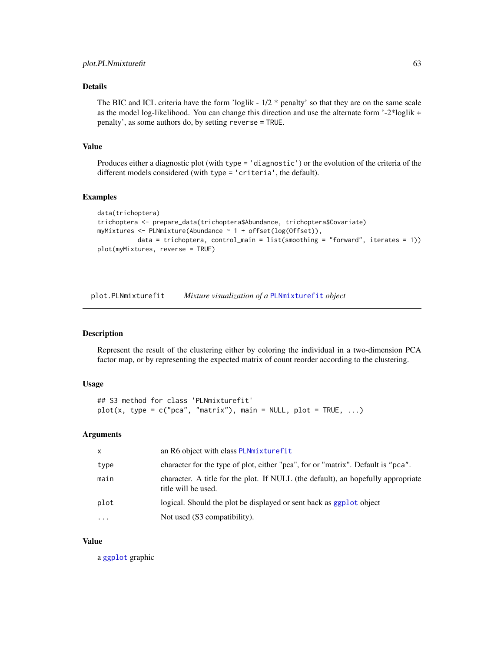# Details

The BIC and ICL criteria have the form 'loglik -  $1/2$  \* penalty' so that they are on the same scale as the model log-likelihood. You can change this direction and use the alternate form '-2\*loglik + penalty', as some authors do, by setting reverse = TRUE.

### Value

Produces either a diagnostic plot (with type = 'diagnostic') or the evolution of the criteria of the different models considered (with type = 'criteria', the default).

### Examples

```
data(trichoptera)
trichoptera <- prepare_data(trichoptera$Abundance, trichoptera$Covariate)
myMixtures <- PLNmixture(Abundance ~ 1 + offset(log(Offset)),
           data = trichoptera, control_main = list(smoothing = "forward", iterates = 1))
plot(myMixtures, reverse = TRUE)
```
plot.PLNmixturefit *Mixture visualization of a* [PLNmixturefit](#page-35-0) *object*

### Description

Represent the result of the clustering either by coloring the individual in a two-dimension PCA factor map, or by representing the expected matrix of count reorder according to the clustering.

# Usage

```
## S3 method for class 'PLNmixturefit'
plot(x, type = c("pca", "matrix"), main = NULL, plot = TRUE, ...)
```
### Arguments

| $\mathsf{x}$ | an R6 object with class PLNmixturefit                                                                   |
|--------------|---------------------------------------------------------------------------------------------------------|
| type         | character for the type of plot, either "pca", for or "matrix". Default is "pca".                        |
| main         | character. A title for the plot. If NULL (the default), an hopefully appropriate<br>title will be used. |
| plot         | logical. Should the plot be displayed or sent back as ggplot object                                     |
| $\cdots$     | Not used (S3 compatibility).                                                                            |

#### Value

a [ggplot](#page-0-0) graphic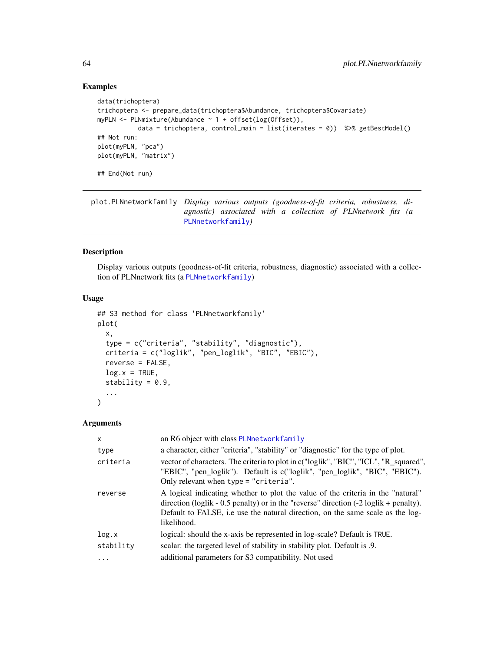# Examples

```
data(trichoptera)
trichoptera <- prepare_data(trichoptera$Abundance, trichoptera$Covariate)
myPLN <- PLNmixture(Abundance ~ 1 + offset(log(Offset)),
           data = trichoptera, control_main = list(iterates = 0)) %>% getBestModel()
## Not run:
plot(myPLN, "pca")
plot(myPLN, "matrix")
## End(Not run)
```
<span id="page-63-0"></span>plot.PLNnetworkfamily *Display various outputs (goodness-of-fit criteria, robustness, diagnostic) associated with a collection of PLNnetwork fits (a* [PLNnetworkfamily](#page-41-0)*)*

# Description

Display various outputs (goodness-of-fit criteria, robustness, diagnostic) associated with a collection of PLNnetwork fits (a [PLNnetworkfamily](#page-41-0))

# Usage

```
## S3 method for class 'PLNnetworkfamily'
plot(
  x,
  type = c("criteria", "stability", "diagnostic"),
  criteria = c("loglik", "pen_loglik", "BIC", "EBIC"),
  reverse = FALSE,
  log.x = TRUE,stability = 0.9,
  ...
)
```
### Arguments

| $\mathsf{x}$ | an R6 object with class PLNnetworkfamily                                                                                                                                                                                                                                                       |
|--------------|------------------------------------------------------------------------------------------------------------------------------------------------------------------------------------------------------------------------------------------------------------------------------------------------|
| type         | a character, either "criteria", "stability" or "diagnostic" for the type of plot.                                                                                                                                                                                                              |
| criteria     | vector of characters. The criteria to plot in c("loglik", "BIC", "ICL", "R_squared",<br>"EBIC", "pen_loglik"). Default is c("loglik", "pen_loglik", "BIC", "EBIC").<br>Only relevant when type = "criteria".                                                                                   |
| reverse      | A logical indicating whether to plot the value of the criteria in the "natural"<br>direction (loglik - $0.5$ penalty) or in the "reverse" direction $(-2 \log\frac{1}{k} + \text{penalty})$ .<br>Default to FALSE, i.e use the natural direction, on the same scale as the log-<br>likelihood. |
| log.x        | logical: should the x-axis be represented in log-scale? Default is TRUE.                                                                                                                                                                                                                       |
| stability    | scalar: the targeted level of stability in stability plot. Default is .9.                                                                                                                                                                                                                      |
| $\ddots$ .   | additional parameters for S3 compatibility. Not used                                                                                                                                                                                                                                           |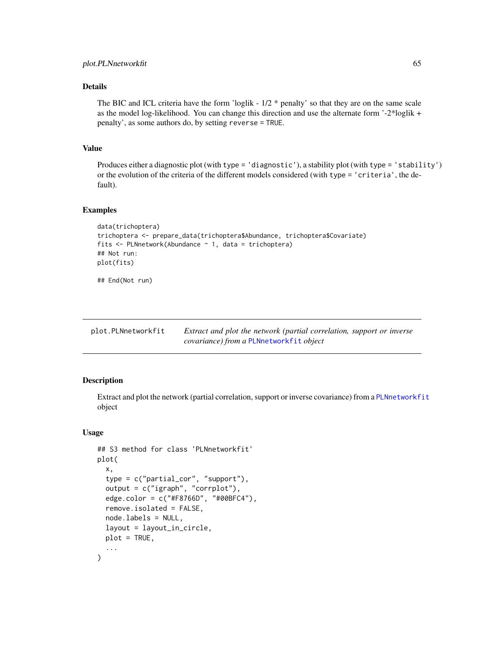# Details

The BIC and ICL criteria have the form 'loglik -  $1/2$  \* penalty' so that they are on the same scale as the model log-likelihood. You can change this direction and use the alternate form '-2\*loglik + penalty', as some authors do, by setting reverse = TRUE.

# Value

Produces either a diagnostic plot (with type = 'diagnostic'), a stability plot (with type = 'stability') or the evolution of the criteria of the different models considered (with type = 'criteria', the default).

#### Examples

```
data(trichoptera)
trichoptera <- prepare_data(trichoptera$Abundance, trichoptera$Covariate)
fits <- PLNnetwork(Abundance ~ 1, data = trichoptera)
## Not run:
plot(fits)
## End(Not run)
```
<span id="page-64-0"></span>

| plot.PLNnetworkfit | Extract and plot the network (partial correlation, support or inverse |
|--------------------|-----------------------------------------------------------------------|
|                    | <i>covariance)</i> from a PLNnetworkfit <i>object</i>                 |

### Description

Extract and plot the network (partial correlation, support or inverse covariance) from a [PLNnetworkfit](#page-45-0) object

```
## S3 method for class 'PLNnetworkfit'
plot(
  x,
  type = c("partial_cor", "support"),
  output = c("igraph", "corrplot"),
  edge.color = c("#F8766D", "#00BFC4"),
  remove.isolated = FALSE,
  node.labels = NULL,
  layout = layout_in_circle,
  plot = TRUE,
  ...
)
```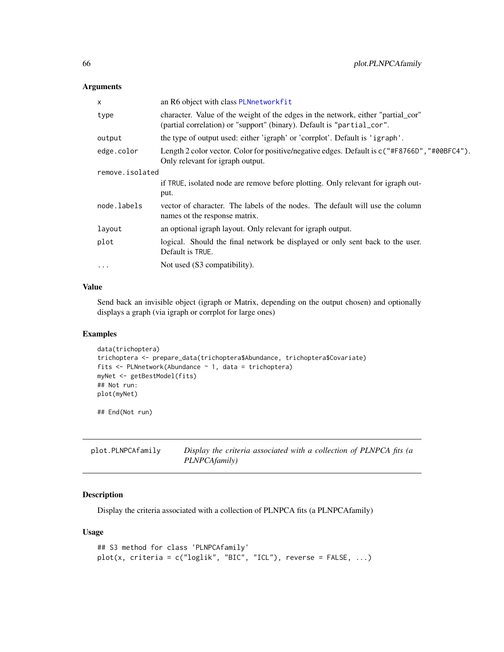| X               | an R6 object with class PLNnetworkfit                                                                                                                      |
|-----------------|------------------------------------------------------------------------------------------------------------------------------------------------------------|
| type            | character. Value of the weight of the edges in the network, either "partial_cor"<br>(partial correlation) or "support" (binary). Default is "partial_cor". |
| output          | the type of output used: either 'igraph' or 'corrplot'. Default is 'igraph'.                                                                               |
| edge.color      | Length 2 color vector. Color for positive/negative edges. Default is $c''$ #F8766D", "#00BFC4").<br>Only relevant for igraph output.                       |
| remove.isolated |                                                                                                                                                            |
|                 | if TRUE, isolated node are remove before plotting. Only relevant for igraph out-                                                                           |
|                 | put.                                                                                                                                                       |
| node.labels     | vector of character. The labels of the nodes. The default will use the column<br>names of the response matrix.                                             |
| layout          | an optional igraph layout. Only relevant for igraph output.                                                                                                |
| plot            | logical. Should the final network be displayed or only sent back to the user.<br>Default is TRUE.                                                          |
| $\ddotsc$       | Not used (S3 compatibility).                                                                                                                               |
|                 |                                                                                                                                                            |

# Value

Send back an invisible object (igraph or Matrix, depending on the output chosen) and optionally displays a graph (via igraph or corrplot for large ones)

### Examples

```
data(trichoptera)
trichoptera <- prepare_data(trichoptera$Abundance, trichoptera$Covariate)
fits <- PLNnetwork(Abundance ~ 1, data = trichoptera)
myNet <- getBestModel(fits)
## Not run:
plot(myNet)
```
## End(Not run)

<span id="page-65-0"></span>

| plot.PLNPCAfamily | Display the criteria associated with a collection of PLNPCA fits (a |
|-------------------|---------------------------------------------------------------------|
|                   | <i>PLNPCAfamily</i> )                                               |

# Description

Display the criteria associated with a collection of PLNPCA fits (a PLNPCAfamily)

```
## S3 method for class 'PLNPCAfamily'
plot(x, criteria = c("loglik", "BIC", "ICL"), reverse = FALSE, ...)
```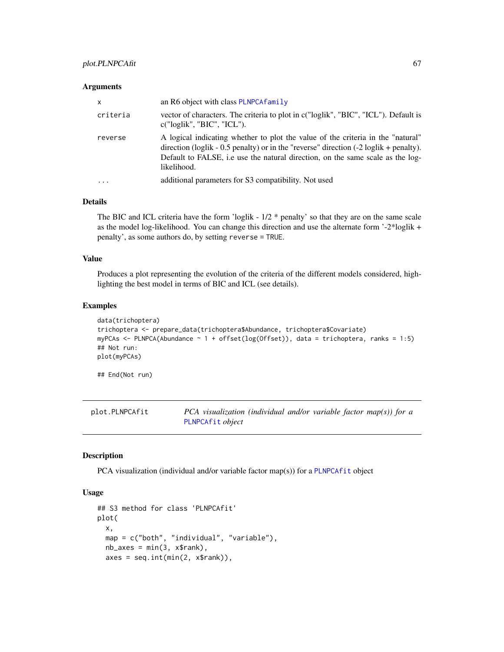| $\mathsf{x}$ | an R6 object with class PLNPCA family                                                                                                                                                                                                                                                 |
|--------------|---------------------------------------------------------------------------------------------------------------------------------------------------------------------------------------------------------------------------------------------------------------------------------------|
| criteria     | vector of characters. The criteria to plot in c("loglik", "BIC", "ICL"). Default is<br>c("loglik", "BIC", "ICL").                                                                                                                                                                     |
| reverse      | A logical indicating whether to plot the value of the criteria in the "natural"<br>direction (loglik - 0.5 penalty) or in the "reverse" direction $(-2 \log i k + \text{penalty})$ .<br>Default to FALSE, i.e use the natural direction, on the same scale as the log-<br>likelihood. |
| $\cdots$     | additional parameters for S3 compatibility. Not used                                                                                                                                                                                                                                  |

### Details

The BIC and ICL criteria have the form 'loglik -  $1/2$  \* penalty' so that they are on the same scale as the model log-likelihood. You can change this direction and use the alternate form '-2\*loglik + penalty', as some authors do, by setting reverse = TRUE.

# Value

Produces a plot representing the evolution of the criteria of the different models considered, highlighting the best model in terms of BIC and ICL (see details).

#### Examples

```
data(trichoptera)
trichoptera <- prepare_data(trichoptera$Abundance, trichoptera$Covariate)
myPCAs <- PLNPCA(Abundance ~ 1 + offset(log(Offset)), data = trichoptera, ranks = 1:5)
## Not run:
plot(myPCAs)
```
## End(Not run)

plot.PLNPCAfit *PCA visualization (individual and/or variable factor map(s)) for a* [PLNPCAfit](#page-53-0) *object*

### Description

PCA visualization (individual and/or variable factor map(s)) for a [PLNPCAfit](#page-53-0) object

```
## S3 method for class 'PLNPCAfit'
plot(
  x,
  map = c("both", "individual", "variable"),
  nb\_\exists x \in s = min(3, x\{rank}),
  axes = seq.int(min(2, x$rank)),
```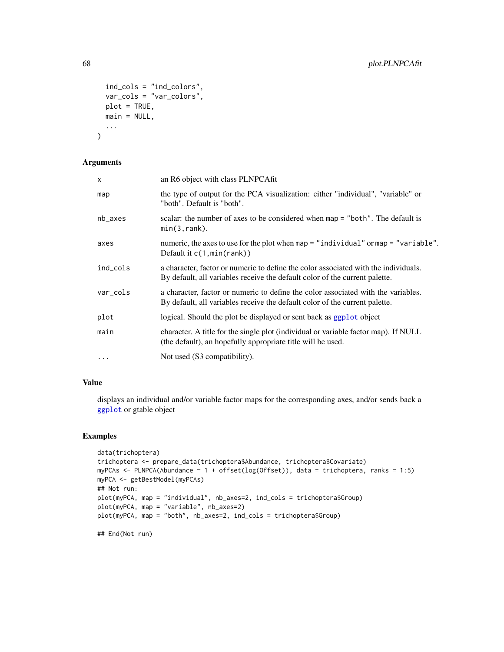```
ind_cols = "ind_colors",
  var_cols = "var_colors",
 plot = TRUE,
 main = NULL,...
\mathcal{L}
```

| X         | an R6 object with class PLNPCAfit                                                                                                                                  |
|-----------|--------------------------------------------------------------------------------------------------------------------------------------------------------------------|
| map       | the type of output for the PCA visualization: either "individual", "variable" or<br>"both". Default is "both".                                                     |
| $nb$ axes | scalar: the number of axes to be considered when map = "both". The default is<br>$min(3, rank)$ .                                                                  |
| axes      | numeric, the axes to use for the plot when map = "individual" or map = "variable".<br>Default it $c(1, min(rank))$                                                 |
| ind_cols  | a character, factor or numeric to define the color associated with the individuals.<br>By default, all variables receive the default color of the current palette. |
| var_cols  | a character, factor or numeric to define the color associated with the variables.<br>By default, all variables receive the default color of the current palette.   |
| plot      | logical. Should the plot be displayed or sent back as ggplot object                                                                                                |
| main      | character. A title for the single plot (individual or variable factor map). If NULL<br>(the default), an hopefully appropriate title will be used.                 |
| $\ddotsc$ | Not used (S3 compatibility).                                                                                                                                       |

# Value

displays an individual and/or variable factor maps for the corresponding axes, and/or sends back a [ggplot](#page-0-0) or gtable object

### Examples

```
data(trichoptera)
trichoptera <- prepare_data(trichoptera$Abundance, trichoptera$Covariate)
myPCAs <- PLNPCA(Abundance ~ 1 + offset(log(Offset)), data = trichoptera, ranks = 1:5)
myPCA <- getBestModel(myPCAs)
## Not run:
plot(myPCA, map = "individual", nb_axes=2, ind_cols = trichoptera$Group)
plot(myPCA, map = "variable", nb_axes=2)
plot(myPCA, map = "both", nb_axes=2, ind_cols = trichoptera$Group)
```
## End(Not run)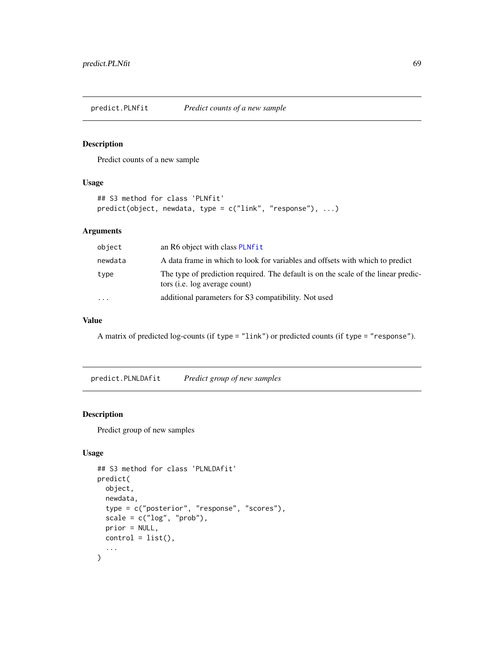predict.PLNfit *Predict counts of a new sample*

# Description

Predict counts of a new sample

# Usage

```
## S3 method for class 'PLNfit'
predict(object, newdata, type = c("link", "response"), ...)
```
# Arguments

| object    | an R6 object with class PLNfit                                                                                      |
|-----------|---------------------------------------------------------------------------------------------------------------------|
| newdata   | A data frame in which to look for variables and offsets with which to predict                                       |
| type      | The type of prediction required. The default is on the scale of the linear predic-<br>tors (i.e. log average count) |
| $\ddotsc$ | additional parameters for S3 compatibility. Not used                                                                |

# Value

A matrix of predicted log-counts (if type = "link") or predicted counts (if type = "response").

predict.PLNLDAfit *Predict group of new samples*

# Description

Predict group of new samples

```
## S3 method for class 'PLNLDAfit'
predict(
 object,
 newdata,
  type = c("posterior", "response", "scores"),
  scale = c("log", "prob"),prior = NULL,
 control = list(),
  ...
\mathcal{L}
```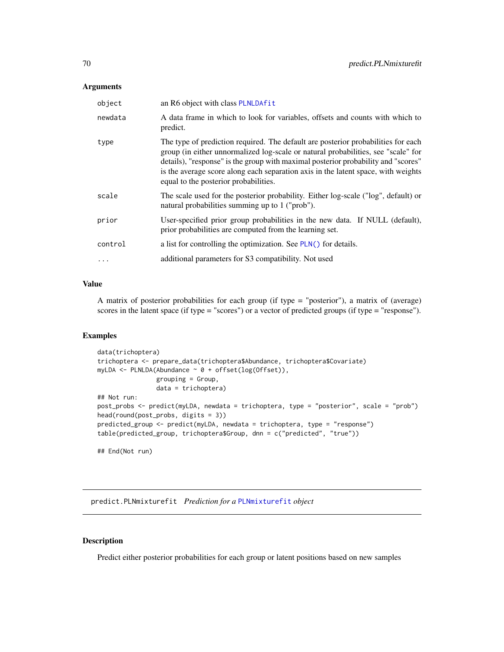| object   | an R6 object with class PLNLDAfit                                                                                                                                                                                                                                                                                                                                                         |
|----------|-------------------------------------------------------------------------------------------------------------------------------------------------------------------------------------------------------------------------------------------------------------------------------------------------------------------------------------------------------------------------------------------|
| newdata  | A data frame in which to look for variables, offsets and counts with which to<br>predict.                                                                                                                                                                                                                                                                                                 |
| type     | The type of prediction required. The default are posterior probabilities for each<br>group (in either unnormalized log-scale or natural probabilities, see "scale" for<br>details), "response" is the group with maximal posterior probability and "scores"<br>is the average score along each separation axis in the latent space, with weights<br>equal to the posterior probabilities. |
| scale    | The scale used for the posterior probability. Either log-scale ("log", default) or<br>natural probabilities summing up to 1 ("prob").                                                                                                                                                                                                                                                     |
| prior    | User-specified prior group probabilities in the new data. If NULL (default),<br>prior probabilities are computed from the learning set.                                                                                                                                                                                                                                                   |
| control  | a list for controlling the optimization. See PLN() for details.                                                                                                                                                                                                                                                                                                                           |
| $\ddots$ | additional parameters for S3 compatibility. Not used                                                                                                                                                                                                                                                                                                                                      |

# Value

A matrix of posterior probabilities for each group (if type = "posterior"), a matrix of (average) scores in the latent space (if type = "scores") or a vector of predicted groups (if type = "response").

# Examples

```
data(trichoptera)
trichoptera <- prepare_data(trichoptera$Abundance, trichoptera$Covariate)
myLDA <- PLNLDA(Abundance ~ 0 + offset(log(Offset)),
                grouping = Group,
                data = trichoptera)
## Not run:
post_probs <- predict(myLDA, newdata = trichoptera, type = "posterior", scale = "prob")
head(round(post_probs, digits = 3))
predicted_group <- predict(myLDA, newdata = trichoptera, type = "response")
table(predicted_group, trichoptera$Group, dnn = c("predicted", "true"))
## End(Not run)
```
predict.PLNmixturefit *Prediction for a* [PLNmixturefit](#page-35-0) *object*

### Description

Predict either posterior probabilities for each group or latent positions based on new samples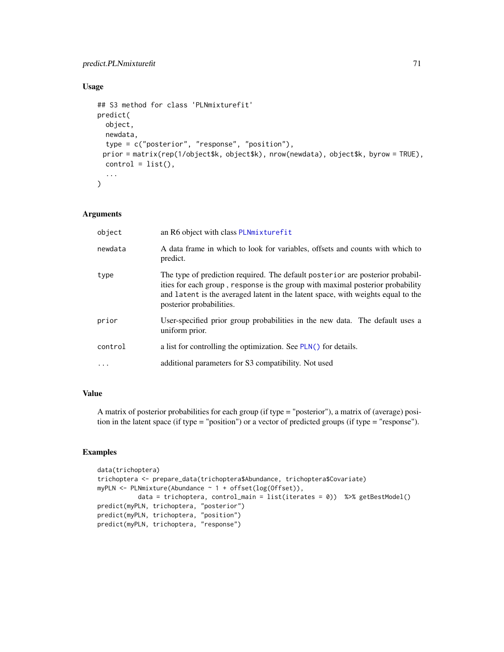# predict.PLNmixturefit 71

# Usage

```
## S3 method for class 'PLNmixturefit'
predict(
 object,
 newdata,
  type = c("posterior", "response", "position"),
 prior = matrix(rep(1/object$k, object$k), nrow(newdata), object$k, byrow = TRUE),
 control = list(),
  ...
\mathcal{L}
```
# Arguments

| object   | an R6 object with class PLNmixturefit                                                                                                                                                                                                                                            |
|----------|----------------------------------------------------------------------------------------------------------------------------------------------------------------------------------------------------------------------------------------------------------------------------------|
| newdata  | A data frame in which to look for variables, offsets and counts with which to<br>predict.                                                                                                                                                                                        |
| type     | The type of prediction required. The default posterior are posterior probabil-<br>ities for each group, response is the group with maximal posterior probability<br>and latent is the averaged latent in the latent space, with weights equal to the<br>posterior probabilities. |
| prior    | User-specified prior group probabilities in the new data. The default uses a<br>uniform prior.                                                                                                                                                                                   |
| control  | a list for controlling the optimization. See PLN() for details.                                                                                                                                                                                                                  |
| $\cdots$ | additional parameters for S3 compatibility. Not used                                                                                                                                                                                                                             |

# Value

A matrix of posterior probabilities for each group (if type = "posterior"), a matrix of (average) position in the latent space (if type = "position") or a vector of predicted groups (if type = "response").

# Examples

```
data(trichoptera)
trichoptera <- prepare_data(trichoptera$Abundance, trichoptera$Covariate)
myPLN <- PLNmixture(Abundance ~ 1 + offset(log(Offset)),
          data = trichoptera, control_main = list(iterates = 0)) %>% getBestModel()
predict(myPLN, trichoptera, "posterior")
predict(myPLN, trichoptera, "position")
predict(myPLN, trichoptera, "response")
```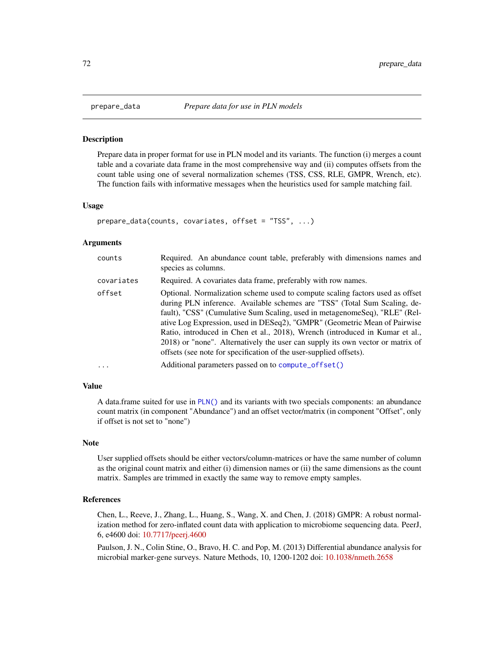#### Description

Prepare data in proper format for use in PLN model and its variants. The function (i) merges a count table and a covariate data frame in the most comprehensive way and (ii) computes offsets from the count table using one of several normalization schemes (TSS, CSS, RLE, GMPR, Wrench, etc). The function fails with informative messages when the heuristics used for sample matching fail.

#### Usage

```
prepare_data(counts, covariates, offset = "TSS", ...)
```
#### Arguments

| counts     | Required. An abundance count table, preferably with dimensions names and<br>species as columns.                                                                                                                                                                                                                                                                                                                                                                                                                                                               |
|------------|---------------------------------------------------------------------------------------------------------------------------------------------------------------------------------------------------------------------------------------------------------------------------------------------------------------------------------------------------------------------------------------------------------------------------------------------------------------------------------------------------------------------------------------------------------------|
| covariates | Required. A covariates data frame, preferably with row names.                                                                                                                                                                                                                                                                                                                                                                                                                                                                                                 |
| offset     | Optional. Normalization scheme used to compute scaling factors used as offset<br>during PLN inference. Available schemes are "TSS" (Total Sum Scaling, de-<br>fault), "CSS" (Cumulative Sum Scaling, used in metagenomeSeq), "RLE" (Rel-<br>ative Log Expression, used in DESeq2), "GMPR" (Geometric Mean of Pairwise<br>Ratio, introduced in Chen et al., 2018), Wrench (introduced in Kumar et al.,<br>2018) or "none". Alternatively the user can supply its own vector or matrix of<br>offsets (see note for specification of the user-supplied offsets). |
|            | Additional parameters passed on to compute of fset()                                                                                                                                                                                                                                                                                                                                                                                                                                                                                                          |

#### Value

A data.frame suited for use in [PLN\(\)](#page-15-0) and its variants with two specials components: an abundance count matrix (in component "Abundance") and an offset vector/matrix (in component "Offset", only if offset is not set to "none")

#### Note

User supplied offsets should be either vectors/column-matrices or have the same number of column as the original count matrix and either (i) dimension names or (ii) the same dimensions as the count matrix. Samples are trimmed in exactly the same way to remove empty samples.

#### References

Chen, L., Reeve, J., Zhang, L., Huang, S., Wang, X. and Chen, J. (2018) GMPR: A robust normalization method for zero-inflated count data with application to microbiome sequencing data. PeerJ, 6, e4600 doi: [10.7717/peerj.4600](https://doi.org/10.7717/peerj.4600)

Paulson, J. N., Colin Stine, O., Bravo, H. C. and Pop, M. (2013) Differential abundance analysis for microbial marker-gene surveys. Nature Methods, 10, 1200-1202 doi: [10.1038/nmeth.2658](https://doi.org/10.1038/nmeth.2658)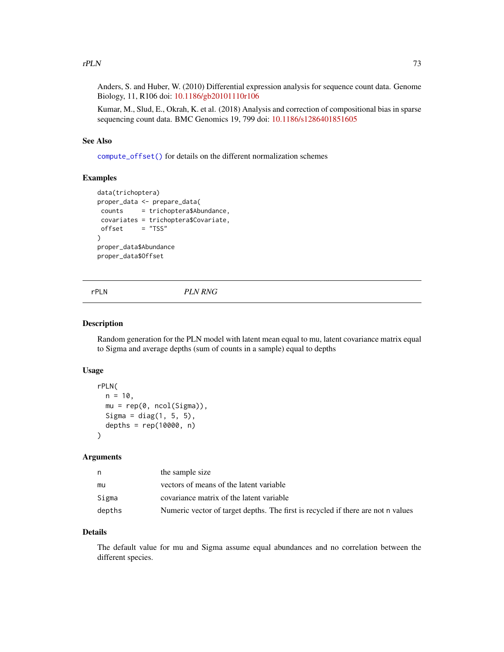## <span id="page-72-0"></span> $rPLN$  73

Anders, S. and Huber, W. (2010) Differential expression analysis for sequence count data. Genome Biology, 11, R106 doi: [10.1186/gb20101110r106](https://doi.org/10.1186/gb-2010-11-10-r106)

Kumar, M., Slud, E., Okrah, K. et al. (2018) Analysis and correction of compositional bias in sparse sequencing count data. BMC Genomics 19, 799 doi: [10.1186/s1286401851605](https://doi.org/10.1186/s12864-018-5160-5)

## See Also

[compute\\_offset\(\)](#page-5-0) for details on the different normalization schemes

## Examples

```
data(trichoptera)
proper_data <- prepare_data(
counts = trichoptera$Abundance,
covariates = trichoptera$Covariate,
offset = "TSS"\lambdaproper_data$Abundance
proper_data$Offset
```
rPLN *PLN RNG*

#### Description

Random generation for the PLN model with latent mean equal to mu, latent covariance matrix equal to Sigma and average depths (sum of counts in a sample) equal to depths

## Usage

```
rPLN(
  n = 10,
 mu = rep(0, ncol(Sigma)),Sigma = diag(1, 5, 5),
  depths = rep(10000, n))
```
## Arguments

| n      | the sample size                                                                  |
|--------|----------------------------------------------------------------------------------|
| mu     | vectors of means of the latent variable                                          |
| Sigma  | covariance matrix of the latent variable                                         |
| depths | Numeric vector of target depths. The first is recycled if there are not n values |

## Details

The default value for mu and Sigma assume equal abundances and no correlation between the different species.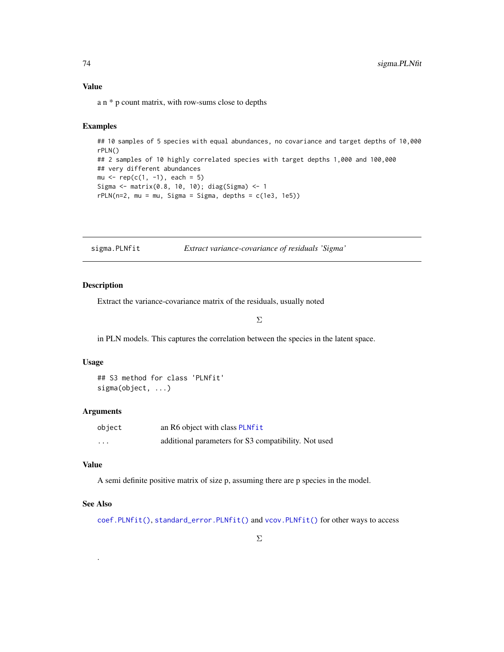## Value

a n \* p count matrix, with row-sums close to depths

#### Examples

```
## 10 samples of 5 species with equal abundances, no covariance and target depths of 10,000
rPLN()
## 2 samples of 10 highly correlated species with target depths 1,000 and 100,000
## very different abundances
mu \leq rep(c(1, -1), each = 5)
Sigma <- matrix(0.8, 10, 10); diag(Sigma) <- 1
rPLN(n=2, mu = mu, Sigma = Sigma, depths = c(1e3, 1e5))
```
<span id="page-73-0"></span>sigma.PLNfit *Extract variance-covariance of residuals 'Sigma'*

## Description

Extract the variance-covariance matrix of the residuals, usually noted

Σ

in PLN models. This captures the correlation between the species in the latent space.

#### Usage

## S3 method for class 'PLNfit' sigma(object, ...)

#### Arguments

| object | an R6 object with class PLNfit                       |
|--------|------------------------------------------------------|
| .      | additional parameters for S3 compatibility. Not used |

#### Value

A semi definite positive matrix of size p, assuming there are p species in the model.

## See Also

.

[coef.PLNfit\(\)](#page-2-0), [standard\\_error.PLNfit\(\)](#page-76-0) and [vcov.PLNfit\(\)](#page-78-0) for other ways to access

<span id="page-73-1"></span>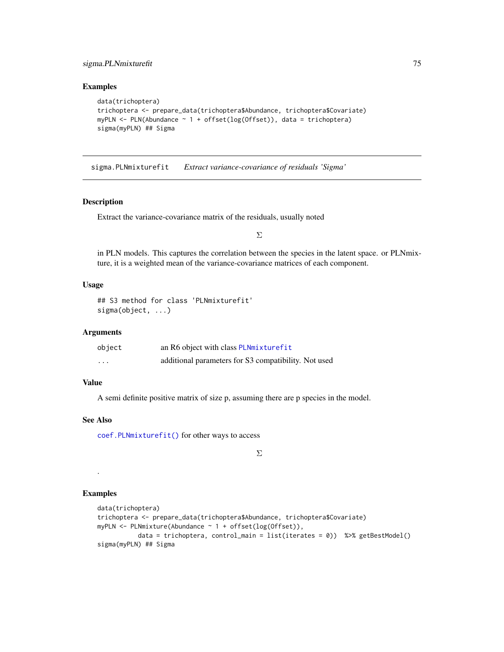## <span id="page-74-0"></span>sigma.PLNmixturefit 75

## Examples

```
data(trichoptera)
trichoptera <- prepare_data(trichoptera$Abundance, trichoptera$Covariate)
myPLN <- PLN(Abundance \sim 1 + offset(log(Offset)), data = trichoptera)
sigma(myPLN) ## Sigma
```
sigma.PLNmixturefit *Extract variance-covariance of residuals 'Sigma'*

## Description

Extract the variance-covariance matrix of the residuals, usually noted

Σ

in PLN models. This captures the correlation between the species in the latent space. or PLNmixture, it is a weighted mean of the variance-covariance matrices of each component.

## Usage

```
## S3 method for class 'PLNmixturefit'
sigma(object, ...)
```
## Arguments

| object  | an R6 object with class PLNmixturefit                |
|---------|------------------------------------------------------|
| $\cdot$ | additional parameters for S3 compatibility. Not used |

## Value

A semi definite positive matrix of size p, assuming there are p species in the model.

## See Also

[coef.PLNmixturefit\(\)](#page-4-0) for other ways to access

Σ

# Examples

.

```
data(trichoptera)
trichoptera <- prepare_data(trichoptera$Abundance, trichoptera$Covariate)
myPLN <- PLNmixture(Abundance ~ 1 + offset(log(Offset)),
          data = trichoptera, control_main = list(iterates = 0)) %>% getBestModel()
sigma(myPLN) ## Sigma
```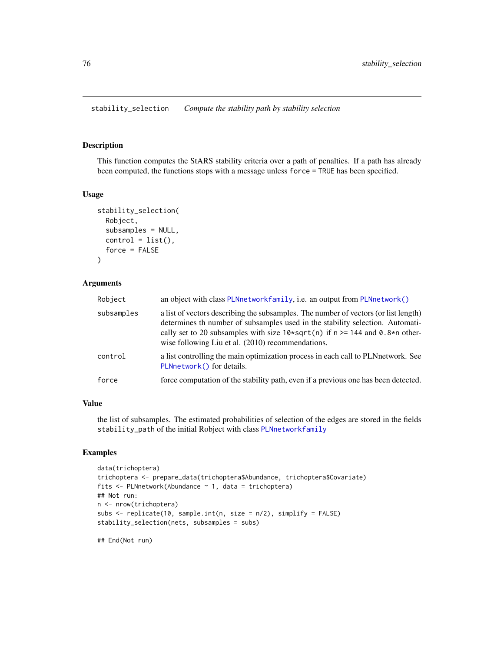<span id="page-75-0"></span>stability\_selection *Compute the stability path by stability selection*

## **Description**

This function computes the StARS stability criteria over a path of penalties. If a path has already been computed, the functions stops with a message unless force = TRUE has been specified.

## Usage

```
stability_selection(
 Robject,
  subsamples = NULL,
  control = list(),force = FALSE
)
```
## Arguments

| Robject    | an object with class PLNnetworkfamily, i.e. an output from PLNnetwork()                                                                                                                                                                                                                                        |
|------------|----------------------------------------------------------------------------------------------------------------------------------------------------------------------------------------------------------------------------------------------------------------------------------------------------------------|
| subsamples | a list of vectors describing the subsamples. The number of vectors (or list length)<br>determines th number of subsamples used in the stability selection. Automati-<br>cally set to 20 subsamples with size $10*sqrt(n)$ if $n \ge 144$ and 0.8*n other-<br>wise following Liu et al. (2010) recommendations. |
| control    | a list controlling the main optimization process in each call to PLN network. See<br>PLNnetwork() for details.                                                                                                                                                                                                 |
| force      | force computation of the stability path, even if a previous one has been detected.                                                                                                                                                                                                                             |

## Value

the list of subsamples. The estimated probabilities of selection of the edges are stored in the fields stability\_path of the initial Robject with class [PLNnetworkfamily](#page-41-0)

# Examples

```
data(trichoptera)
trichoptera <- prepare_data(trichoptera$Abundance, trichoptera$Covariate)
fits \leq PLNnetwork(Abundance \sim 1, data = trichoptera)
## Not run:
n <- nrow(trichoptera)
subs <- replicate(10, sample.int(n, size = n/2), simplify = FALSE)
stability_selection(nets, subsamples = subs)
```
## End(Not run)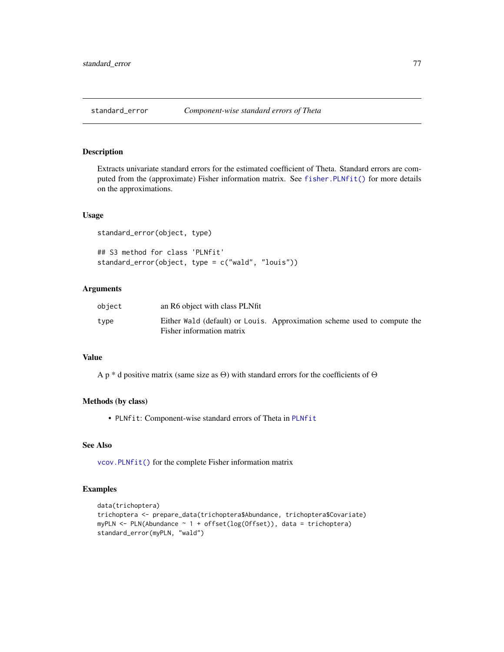## <span id="page-76-1"></span><span id="page-76-0"></span>Description

Extracts univariate standard errors for the estimated coefficient of Theta. Standard errors are computed from the (approximate) Fisher information matrix. See fisher. PLNfit() for more details on the approximations.

#### Usage

```
standard_error(object, type)
```

```
## S3 method for class 'PLNfit'
standard_error(object, type = c("wald", "louis"))
```
## Arguments

| object | an R6 object with class PLNfit                                                                        |  |  |
|--------|-------------------------------------------------------------------------------------------------------|--|--|
| type   | Either Wald (default) or Louis. Approximation scheme used to compute the<br>Fisher information matrix |  |  |

## Value

A p \* d positive matrix (same size as Θ) with standard errors for the coefficients of Θ

#### Methods (by class)

• PLNfit: Component-wise standard errors of Theta in [PLNfit](#page-19-0)

#### See Also

[vcov.PLNfit\(\)](#page-78-0) for the complete Fisher information matrix

## Examples

```
data(trichoptera)
trichoptera <- prepare_data(trichoptera$Abundance, trichoptera$Covariate)
myPLN <- PLN(Abundance ~ 1 + offset(log(Offset)), data = trichoptera)
standard_error(myPLN, "wald")
```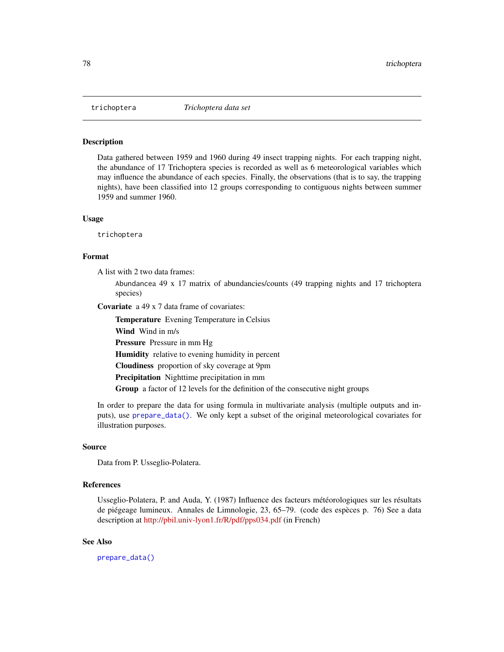<span id="page-77-0"></span>

#### **Description**

Data gathered between 1959 and 1960 during 49 insect trapping nights. For each trapping night, the abundance of 17 Trichoptera species is recorded as well as 6 meteorological variables which may influence the abundance of each species. Finally, the observations (that is to say, the trapping nights), have been classified into 12 groups corresponding to contiguous nights between summer 1959 and summer 1960.

#### Usage

trichoptera

## Format

A list with 2 two data frames:

Abundancea 49 x 17 matrix of abundancies/counts (49 trapping nights and 17 trichoptera species)

Covariate a 49 x 7 data frame of covariates:

Temperature Evening Temperature in Celsius Wind Wind in m/s Pressure Pressure in mm Hg Humidity relative to evening humidity in percent Cloudiness proportion of sky coverage at 9pm Precipitation Nighttime precipitation in mm Group a factor of 12 levels for the definition of the consecutive night groups

In order to prepare the data for using formula in multivariate analysis (multiple outputs and inputs), use [prepare\\_data\(\)](#page-71-0). We only kept a subset of the original meteorological covariates for illustration purposes.

#### Source

Data from P. Usseglio-Polatera.

#### References

Usseglio-Polatera, P. and Auda, Y. (1987) Influence des facteurs météorologiques sur les résultats de piégeage lumineux. Annales de Limnologie, 23, 65–79. (code des espèces p. 76) See a data description at <http://pbil.univ-lyon1.fr/R/pdf/pps034.pdf> (in French)

## See Also

[prepare\\_data\(\)](#page-71-0)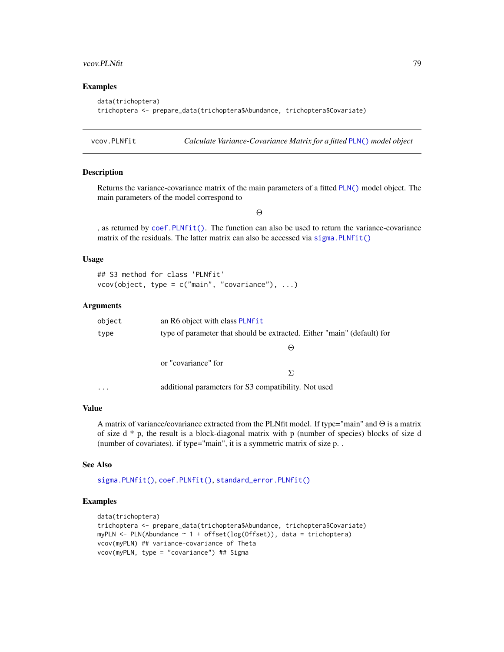#### <span id="page-78-1"></span>vcov.PLNfit 79

## Examples

```
data(trichoptera)
trichoptera <- prepare_data(trichoptera$Abundance, trichoptera$Covariate)
```
<span id="page-78-0"></span>vcov.PLNfit *Calculate Variance-Covariance Matrix for a fitted* [PLN\(\)](#page-15-0) *model object*

#### Description

Returns the variance-covariance matrix of the main parameters of a fitted [PLN\(\)](#page-15-0) model object. The main parameters of the model correspond to

Θ

, as returned by  $\text{coef}, \text{PLNfit}()$ . The function can also be used to return the variance-covariance matrix of the residuals. The latter matrix can also be accessed via sigma. PLNfit()

## Usage

```
## S3 method for class 'PLNfit'
vcov(object, type = c("main", "covariance"), ...)
```
## Arguments

| object   | an R6 object with class PLNfit                                          |
|----------|-------------------------------------------------------------------------|
| type     | type of parameter that should be extracted. Either "main" (default) for |
|          | $\left(\text{--}\right)$                                                |
|          | or "covariance" for                                                     |
|          |                                                                         |
| $\cdots$ | additional parameters for S3 compatibility. Not used                    |

#### Value

A matrix of variance/covariance extracted from the PLNfit model. If type="main" and  $\Theta$  is a matrix of size  $d * p$ , the result is a block-diagonal matrix with p (number of species) blocks of size d (number of covariates). if type="main", it is a symmetric matrix of size p. .

#### See Also

[sigma.PLNfit\(\)](#page-73-0), [coef.PLNfit\(\)](#page-2-0), [standard\\_error.PLNfit\(\)](#page-76-0)

## Examples

```
data(trichoptera)
trichoptera <- prepare_data(trichoptera$Abundance, trichoptera$Covariate)
myPLN <- PLN(Abundance ~ 1 + offset(log(Offset)), data = trichoptera)
vcov(myPLN) ## variance-covariance of Theta
vcov(myPLN, type = "covariance") ## Sigma
```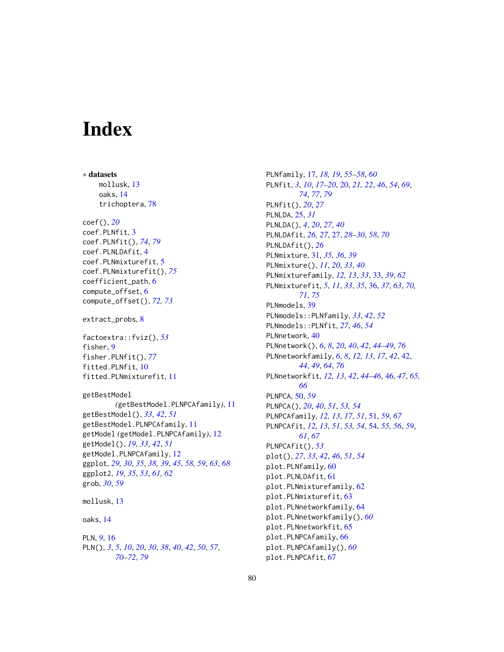# **Index**

∗ datasets mollusk, [13](#page-12-0) oaks, [14](#page-13-0) trichoptera, [78](#page-77-0) coef(), *[20](#page-19-1)* coef.PLNfit, [3](#page-2-1) coef.PLNfit(), *[74](#page-73-1)*, *[79](#page-78-1)* coef.PLNLDAfit, [4](#page-3-0) coef.PLNmixturefit, [5](#page-4-1) coef.PLNmixturefit(), *[75](#page-74-0)* coefficient\_path, [6](#page-5-1) compute\_offset, [6](#page-5-1) compute\_offset(), *[72,](#page-71-1) [73](#page-72-0)* extract\_probs, [8](#page-7-0) factoextra::fviz(), *[53](#page-52-0)* fisher, [9](#page-8-1) fisher.PLNfit(), *[77](#page-76-1)* fitted.PLNfit, [10](#page-9-0) fitted.PLNmixturefit, [11](#page-10-0) getBestModel *(*getBestModel.PLNPCAfamily*)*, [11](#page-10-0) getBestModel(), *[33](#page-32-0)*, *[42](#page-41-1)*, *[51](#page-50-0)* getBestModel.PLNPCAfamily, [11](#page-10-0) getModel *(*getModel.PLNPCAfamily*)*, [12](#page-11-0) getModel(), *[19](#page-18-0)*, *[33](#page-32-0)*, *[42](#page-41-1)*, *[51](#page-50-0)* getModel.PLNPCAfamily, [12](#page-11-0) ggplot, *[29,](#page-28-0) [30](#page-29-0)*, *[35](#page-34-0)*, *[38,](#page-37-0) [39](#page-38-0)*, *[45](#page-44-0)*, *[58,](#page-57-0) [59](#page-58-0)*, *[63](#page-62-0)*, *[68](#page-67-0)* ggplot2, *[19](#page-18-0)*, *[35](#page-34-0)*, *[53](#page-52-0)*, *[61,](#page-60-0) [62](#page-61-0)* grob, *[30](#page-29-0)*, *[59](#page-58-0)* mollusk, [13](#page-12-0) oaks, [14](#page-13-0) PLN, *[9](#page-8-1)*, [16](#page-15-1) PLN(), *[3](#page-2-1)*, *[5](#page-4-1)*, *[10](#page-9-0)*, *[20](#page-19-1)*, *[30](#page-29-0)*, *[38](#page-37-0)*, *[40](#page-39-1)*, *[42](#page-41-1)*, *[50](#page-49-0)*, *[57](#page-56-0)*, *[70](#page-69-0)[–72](#page-71-1)*, *[79](#page-78-1)*

PLNfamily, [17,](#page-16-0) *[18,](#page-17-0) [19](#page-18-0)*, *[55](#page-54-0)[–58](#page-57-0)*, *[60](#page-59-0)* PLNfit, *[3](#page-2-1)*, *[10](#page-9-0)*, *[17](#page-16-0)[–20](#page-19-1)*, [20,](#page-19-1) *[21,](#page-20-0) [22](#page-21-0)*, *[46](#page-45-0)*, *[54](#page-53-0)*, *[69](#page-68-0)*, *[74](#page-73-1)*, *[77](#page-76-1)*, *[79](#page-78-1)* PLNfit(), *[20](#page-19-1)*, *[27](#page-26-0)* PLNLDA, [25,](#page-24-0) *[31](#page-30-0)* PLNLDA(), *[4](#page-3-0)*, *[20](#page-19-1)*, *[27](#page-26-0)*, *[40](#page-39-1)* PLNLDAfit, *[26,](#page-25-0) [27](#page-26-0)*, [27,](#page-26-0) *[28](#page-27-0)[–30](#page-29-0)*, *[58](#page-57-0)*, *[70](#page-69-0)* PLNLDAfit(), *[26](#page-25-0)* PLNmixture, [31,](#page-30-0) *[35,](#page-34-0) [36](#page-35-1)*, *[39](#page-38-0)* PLNmixture(), *[11](#page-10-0)*, *[20](#page-19-1)*, *[33](#page-32-0)*, *[40](#page-39-1)* PLNmixturefamily, *[12,](#page-11-0) [13](#page-12-0)*, *[33](#page-32-0)*, [33,](#page-32-0) *[39](#page-38-0)*, *[62](#page-61-0)* PLNmixturefit, *[5](#page-4-1)*, *[11](#page-10-0)*, *[33](#page-32-0)*, *[35](#page-34-0)*, [36,](#page-35-1) *[37](#page-36-0)*, *[63](#page-62-0)*, *[70,](#page-69-0) [71](#page-70-0)*, *[75](#page-74-0)* PLNmodels, [39](#page-38-0) PLNmodels::PLNfamily, *[33](#page-32-0)*, *[42](#page-41-1)*, *[52](#page-51-0)* PLNmodels::PLNfit, *[27](#page-26-0)*, *[46](#page-45-0)*, *[54](#page-53-0)* PLNnetwork, [40](#page-39-1) PLNnetwork(), *[6](#page-5-1)*, *[8](#page-7-0)*, *[20](#page-19-1)*, *[40](#page-39-1)*, *[42](#page-41-1)*, *[44](#page-43-0)[–49](#page-48-0)*, *[76](#page-75-0)* PLNnetworkfamily, *[6](#page-5-1)*, *[8](#page-7-0)*, *[12,](#page-11-0) [13](#page-12-0)*, *[17](#page-16-0)*, *[42](#page-41-1)*, [42,](#page-41-1) *[44](#page-43-0)*, *[49](#page-48-0)*, *[64](#page-63-0)*, *[76](#page-75-0)* PLNnetworkfit, *[12,](#page-11-0) [13](#page-12-0)*, *[42](#page-41-1)*, *[44](#page-43-0)[–46](#page-45-0)*, [46,](#page-45-0) *[47](#page-46-0)*, *[65,](#page-64-0) [66](#page-65-0)* PLNPCA, [50,](#page-49-0) *[59](#page-58-0)* PLNPCA(), *[20](#page-19-1)*, *[40](#page-39-1)*, *[51](#page-50-0)*, *[53,](#page-52-0) [54](#page-53-0)* PLNPCAfamily, *[12,](#page-11-0) [13](#page-12-0)*, *[17](#page-16-0)*, *[51](#page-50-0)*, [51,](#page-50-0) *[59](#page-58-0)*, *[67](#page-66-0)* PLNPCAfit, *[12,](#page-11-0) [13](#page-12-0)*, *[51](#page-50-0)*, *[53,](#page-52-0) [54](#page-53-0)*, [54,](#page-53-0) *[55,](#page-54-0) [56](#page-55-0)*, *[59](#page-58-0)*, *[61](#page-60-0)*, *[67](#page-66-0)* PLNPCAfit(), *[53](#page-52-0)* plot(), *[27](#page-26-0)*, *[33](#page-32-0)*, *[42](#page-41-1)*, *[46](#page-45-0)*, *[51](#page-50-0)*, *[54](#page-53-0)* plot.PLNfamily, [60](#page-59-0) plot.PLNLDAfit, [61](#page-60-0) plot.PLNmixturefamily, [62](#page-61-0) plot.PLNmixturefit, [63](#page-62-0) plot.PLNnetworkfamily, [64](#page-63-0) plot.PLNnetworkfamily(), *[60](#page-59-0)* plot.PLNnetworkfit, [65](#page-64-0) plot.PLNPCAfamily, [66](#page-65-0) plot.PLNPCAfamily(), *[60](#page-59-0)* plot.PLNPCAfit, [67](#page-66-0)